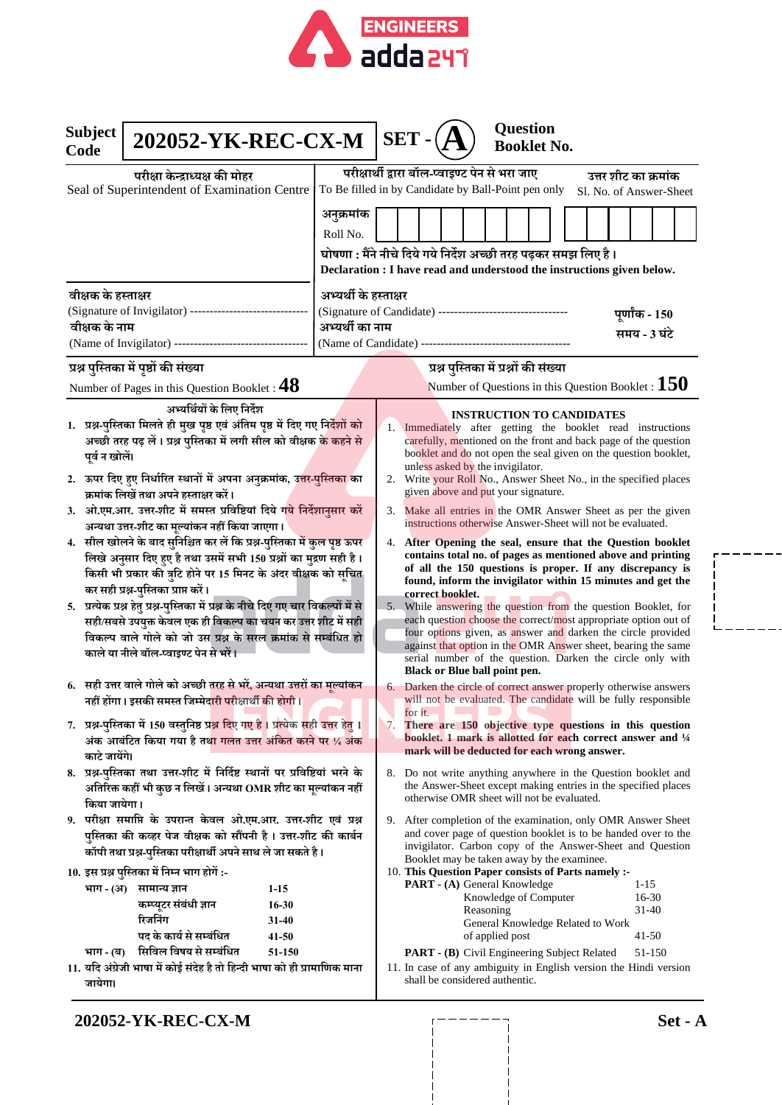

| <b>Subject</b><br>Code | 202052-YK-REC-CX-M                                                                                                                                      |                       | <b>Question</b><br>SET-<br><b>Booklet No.</b>                                                                                      |  |  |  |  |
|------------------------|---------------------------------------------------------------------------------------------------------------------------------------------------------|-----------------------|------------------------------------------------------------------------------------------------------------------------------------|--|--|--|--|
|                        | परीक्षा केन्द्राध्यक्ष की मोहर                                                                                                                          |                       | परीक्षार्थी द्वारा बॉल-प्वाइण्ट पेन से भरा जाए<br>उत्तर शीट का क्रमांक                                                             |  |  |  |  |
|                        | Seal of Superintendent of Examination Centre                                                                                                            |                       | To Be filled in by Candidate by Ball-Point pen only<br>Sl. No. of Answer-Sheet                                                     |  |  |  |  |
|                        |                                                                                                                                                         | अनुक्रमांक            |                                                                                                                                    |  |  |  |  |
|                        |                                                                                                                                                         | Roll No.              |                                                                                                                                    |  |  |  |  |
|                        |                                                                                                                                                         |                       | घोषणा : मैंने नीचे दिये गये निर्देश अच्छी तरह पढ़कर समझ लिए है।                                                                    |  |  |  |  |
|                        |                                                                                                                                                         |                       | Declaration : I have read and understood the instructions given below.                                                             |  |  |  |  |
| वीक्षक के हस्ताक्षर    |                                                                                                                                                         | अभ्यर्थी के हस्ताक्षर |                                                                                                                                    |  |  |  |  |
|                        | (Signature of Invigilator) ------------                                                                                                                 |                       | (Signature of Candidate) ---------------------------------<br>पूर्णांक - 150                                                       |  |  |  |  |
| वीक्षक के नाम          |                                                                                                                                                         | अभ्यर्थी का नाम       | समय - 3 घंटे                                                                                                                       |  |  |  |  |
|                        | (Name of Invigilator) -------------------                                                                                                               |                       | (Name of Candidate) ---------------------------------                                                                              |  |  |  |  |
|                        | प्रश्न पुस्तिका में पृष्ठों की संख्या                                                                                                                   |                       | प्रश्न पुस्तिका में प्रश्नों की संख्या                                                                                             |  |  |  |  |
|                        | Number of Pages in this Question Booklet : $48$                                                                                                         |                       | Number of Questions in this Question Booklet : $150$                                                                               |  |  |  |  |
|                        | अभ्यर्थियों के लिए निर्देश                                                                                                                              |                       | <b>INSTRUCTION TO CANDIDATES</b>                                                                                                   |  |  |  |  |
| 1.                     | प्रश्न-पुस्तिका मिलते ही मुख पृष्ठ एवं अंतिम पृष्ठ में दिए गए निर्देशों को                                                                              |                       | 1.<br>Immediately after getting the booklet read instructions                                                                      |  |  |  |  |
|                        | अच्छी तरह पढ़ लें। प्रश्न पुस्तिका में लगी सील को वीक्षक <mark>के क</mark> हने से                                                                       |                       | carefully, mentioned on the front and back page of the question<br>booklet and do not open the seal given on the question booklet, |  |  |  |  |
| पूर्व न खोलें।         |                                                                                                                                                         |                       | unless asked by the invigilator.                                                                                                   |  |  |  |  |
|                        | 2. ऊपर दिए हुए निर्धारित स्थानों में अपना अनुक्रमांक, उ <mark>त्तर-पुस्तिका</mark> का                                                                   |                       | 2. Write your Roll No., Answer Sheet No., in the specified places                                                                  |  |  |  |  |
|                        | क्रमांक लिखें तथा अपने हस्ताक्षर करें।<br>ओ.एम.आर. उत्तर-शीट में समस्त प्रविष्टियां दिये गये निर्देशानुसार करें                                         |                       | given above and put your signature.                                                                                                |  |  |  |  |
| 3.                     | अन्यथा उत्तर-शीट का मूल्यांकन नहीं किया जाएगा।                                                                                                          |                       | 3. Make all entries in the OMR Answer Sheet as per the given<br>instructions otherwise Answer-Sheet will not be evaluated.         |  |  |  |  |
|                        | 4. सील खोलने के बाद सुनिश्चित कर लें कि प्रश्न-पुस्तिका में <u>कु</u> ल पृष्ठ ऊपर                                                                       |                       | 4. After Opening the seal, ensure that the Question booklet                                                                        |  |  |  |  |
|                        | लिखे अनुसार दिए हुए है तथा उसमें सभी 150 प्रश्नों का मुद्रण सही है।                                                                                     |                       | contains total no. of pages as mentioned above and printing                                                                        |  |  |  |  |
|                        | किसी भी प्रकार की त्रुटि होने पर 15 मिनट के अंदर वीक्षक को सूचित                                                                                        |                       | of all the 150 questions is proper. If any discrepancy is<br>found, inform the invigilator within 15 minutes and get the           |  |  |  |  |
|                        | कर सही प्रश्न-पुस्तिका प्राप्त करें।                                                                                                                    |                       | correct booklet.                                                                                                                   |  |  |  |  |
|                        | 5. प्रत्येक प्रश्न हेतु प्रश्न-पुस्तिका में प्रश्न के नीचे दिए गए चार विकल्पों में से<br>सही/सबसे उपयुक्त केवल एक ही विकल्प का चयन कर उत्तर शीट में सही |                       | 5. While answering the question from the question Booklet, for<br>each question choose the correct/most appropriate option out of  |  |  |  |  |
|                        | विकल्प वाले गोले को जो उस प्रश्न के सरल क्रमांक से सम्बंधित हो                                                                                          |                       | four options given, as answer and darken the circle provided                                                                       |  |  |  |  |
|                        | काले या नीले बॉल-प्वाइण्ट पेन से भरें।                                                                                                                  |                       | against that option in the OMR Answer sheet, bearing the same                                                                      |  |  |  |  |
|                        |                                                                                                                                                         |                       | serial number of the question. Darken the circle only with<br>Black or Blue ball point pen.                                        |  |  |  |  |
|                        | 6. सही उत्तर वाले गोले को अच्छी तरह से भरें, अन्यथा उत्तरों का मूल्यांकन                                                                                |                       | 6. Darken the circle of correct answer properly otherwise answers                                                                  |  |  |  |  |
|                        | नहीं होंगा। इसकी समस्त जिम्मेदारी परीक्षार्थी की होगी।                                                                                                  |                       | will not be evaluated. The candidate will be fully responsible<br>for it.                                                          |  |  |  |  |
|                        | 7. प्रश्न-पुस्तिका में 150 वस्तुनिष्ठ प्र <mark>श्न दिए गए है। प्रत्येक स</mark> ही उत्तर हेतु 1                                                        |                       | 7.<br>There are 150 objective type questions in this question                                                                      |  |  |  |  |
|                        | अंक आबंटित किया गया है तथ <mark>ा गलत उत्तर अंकित करने पर ¼ अंक</mark>                                                                                  |                       | booklet. 1 mark is allotted for each correct answer and 1/4                                                                        |  |  |  |  |
| काटे जायेंगे।          |                                                                                                                                                         |                       | mark will be deducted for each wrong answer.                                                                                       |  |  |  |  |
|                        | 8. प्रश्न-पुस्तिका तथा उत्तर-शीट में निर्दिष्ट स्थानों पर प्रविष्टियां भरने के                                                                          |                       | 8. Do not write anything anywhere in the Question booklet and<br>the Answer-Sheet except making entries in the specified places    |  |  |  |  |
| किया जायेगा।           | अतिरिक्त कहीं भी कुछ न लिखें। अन्यथा OMR शीट का मूल्यांकन नहीं                                                                                          |                       | otherwise OMR sheet will not be evaluated.                                                                                         |  |  |  |  |
|                        | 9. परीक्षा समाप्ति के उपरान्त केवल ओ.एम.आर. उत्तर-शीट एवं प्रश्न                                                                                        |                       | 9. After completion of the examination, only OMR Answer Sheet                                                                      |  |  |  |  |
|                        | पुस्तिका की कव्हर पेज वीक्षक को सौंपनी है। उत्तर-शीट की कार्बन                                                                                          |                       | and cover page of question booklet is to be handed over to the                                                                     |  |  |  |  |
|                        | कॉपी तथा प्रश्न-पुस्तिका परीक्षार्थी अपने साथ ले जा सकते है।                                                                                            |                       | invigilator. Carbon copy of the Answer-Sheet and Question<br>Booklet may be taken away by the examinee.                            |  |  |  |  |
|                        | 10. इस प्रश्न पुस्तिका में निम्न भाग होगें :-                                                                                                           |                       | 10. This Question Paper consists of Parts namely :-                                                                                |  |  |  |  |
|                        | भाग - (अं) सामान्य ज्ञान<br>$1-15$                                                                                                                      |                       | <b>PART</b> - (A) General Knowledge<br>$1-15$<br>16-30<br>Knowledge of Computer                                                    |  |  |  |  |
|                        | कम्प्यूटर संबंधी ज्ञान<br>16-30                                                                                                                         |                       | 31-40<br>Reasoning                                                                                                                 |  |  |  |  |
|                        | रिजनिंग<br>31-40<br>पद के कार्य से सम्बंधित                                                                                                             |                       | General Knowledge Related to Work                                                                                                  |  |  |  |  |
|                        | 41-50<br>भाग - (ब) सिविल विषय से सम्बंधित<br>51-150                                                                                                     |                       | 41-50<br>of applied post                                                                                                           |  |  |  |  |
|                        | 11. यदि अंग्रेजी भाषा में कोई संदेह है तो हिन्दी भाषा को ही प्रामाणिक माना                                                                              |                       | 51-150<br><b>PART</b> - (B) Civil Engineering Subject Related<br>11. In case of any ambiguity in English version the Hindi version |  |  |  |  |
| जायेगा।                |                                                                                                                                                         |                       | shall be considered authentic.                                                                                                     |  |  |  |  |
|                        |                                                                                                                                                         |                       |                                                                                                                                    |  |  |  |  |

**202052-YK-REC-CX-M** 1<sup>-------</sup>] **Set - A**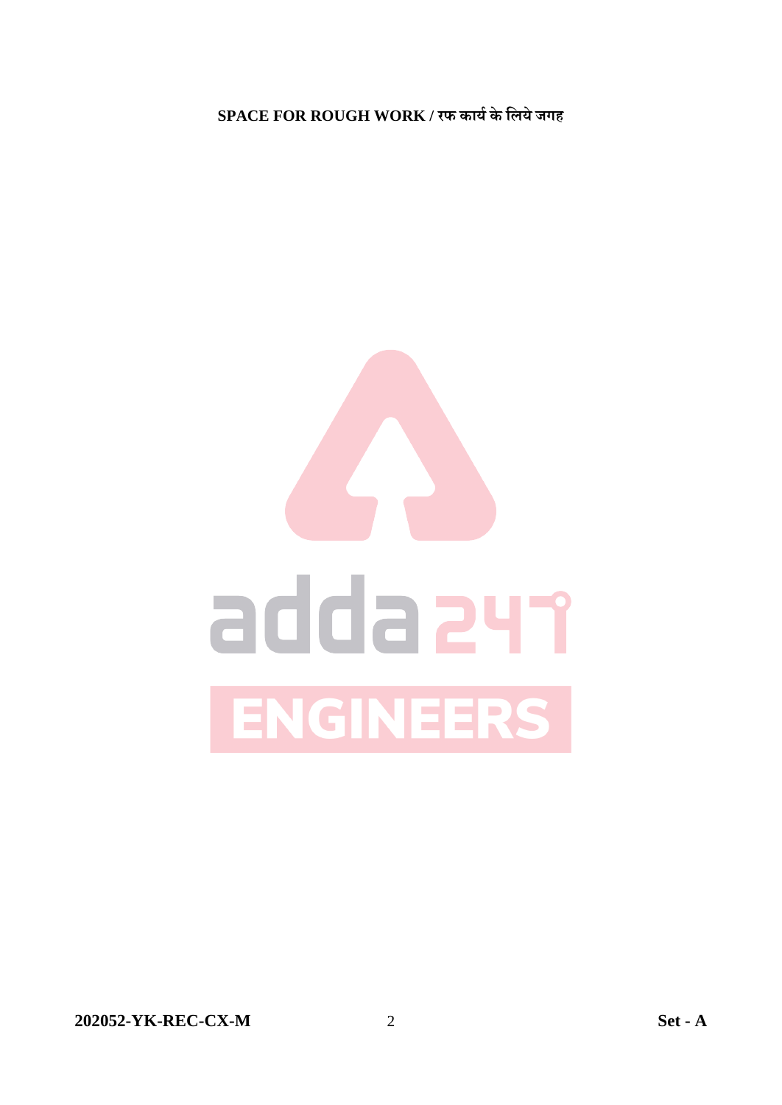

**202052-YK-REC-CX-M** 2 **Set - A**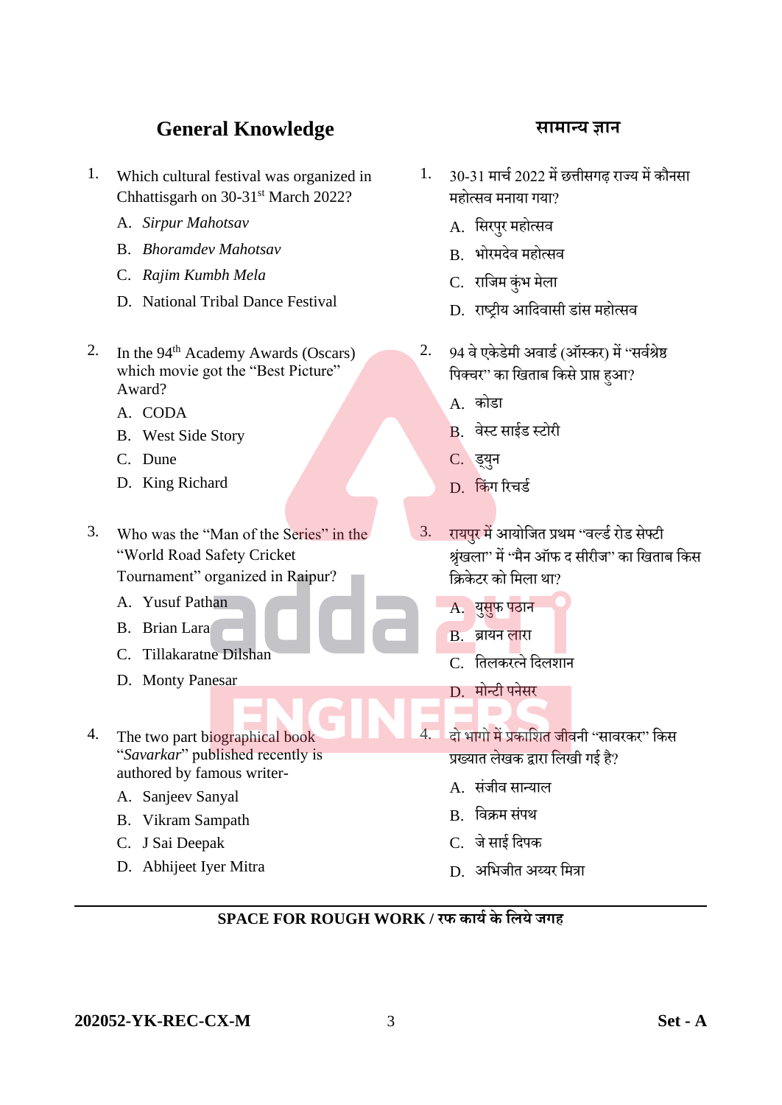#### **General Knowledge सामान्द्र् ज्ञान**

- 1. Which cultural festival was organized in Chhattisgarh on 30-31<sup>st</sup> March 2022?
	- A. *Sirpur Mahotsav*
	- B. *Bhoramdev Mahotsav*
	- C. *Rajim Kumbh Mela*
	- D. National Tribal Dance Festival
- 2. In the  $94<sup>th</sup>$  Academy Awards (Oscars) which movie got the "Best Picture" Award?
	- A. CODA
	- B. West Side Story
	- C. Dune
	- D. King Richard

3. Who was the "Man of the Series" in the "World Road Safety Cricket Tournament" organized in Raipur?

- A. Yusuf Pathan
- B. Brian Lara
- C. Tillakaratne Dilshan
- D. Monty Panesar
- 4. The two part biographical book "*Savarkar*" published recently is authored by famous writer-
	- A. Sanjeev Sanyal
	- B. Vikram Sampath
	- C. J Sai Deepak
	- D. Abhijeet Iyer Mitra

- 1. 30-31 मार्च 2022 में छत्तीसगढ़ राज्य में कौनसा महोत्सव मनाया गया?
	- A. सिरपुर महोत्सव
	- B. भोरमदेव महोत्सव
	- C. राजिम कंभ मेला
	- D. राष्ट्रीय आदिवासी डांस महोत्सव
- 2. 94 वे एकेडेमी अवार्ड (ऑस्कर) में "सर्वश्रेष्ठ पिक्चर" का खिताब किसे प्राप्त हुआ?
	- A. कोडा
	- B. वेस्ट साईड स्टोरी
	- C. ड्यनु
	- D. किंग रिचर्ड
- 3. रायपुर में आयोजित प्रथम ''वर्ल्ड रोड सेफ्टी श्रृंखला" में ''मैन ऑफ द सीरीज" का खिताब किस सिकेटर को समला था?
	- A. यसुफु पठान
	- B. ब्रायन लारा
	- C. सतलकरत्ने सदलशान
	- D. मोन्टी पनेसर
	- दो भागो में प्रकाशित जीवनी ''सावरकर'' किस प्रख्यात लेखक द्वारा लिखी गई है?
	- A. संजीव सान्याल
	- B. विकम संपथ
	- C. िे साई सदपक
	- D. अभिजीत अय्यर मित्रा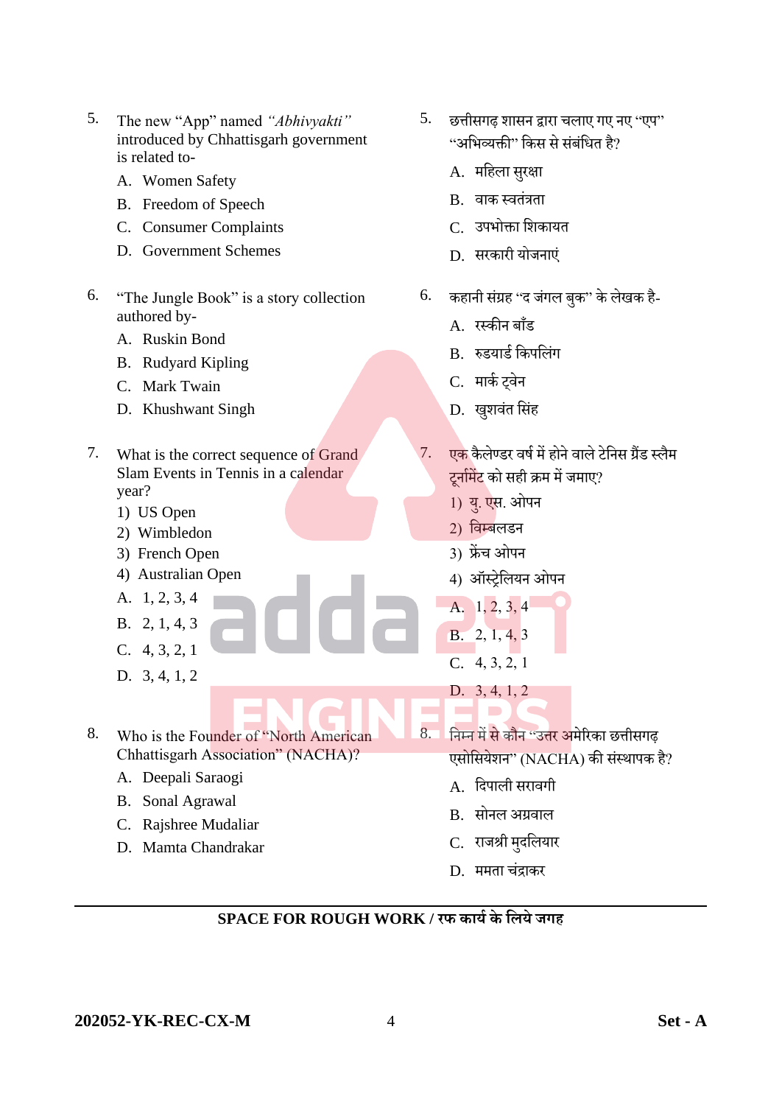- 5. The new "App" named *"Abhivyakti"* introduced by Chhattisgarh government is related to-
	- A. Women Safety
	- B. Freedom of Speech
	- C. Consumer Complaints
	- D. Government Schemes
- 6. "The Jungle Book" is a story collection authored by-
	- A. Ruskin Bond
	- B. Rudyard Kipling
	- C. Mark Twain
	- D. Khushwant Singh
- 7. What is the correct sequence of Grand Slam Events in Tennis in a calendar year?
	- 1) US Open
	- 2) Wimbledon
	- 3) French Open
	- 4) Australian Open
	- A. 1, 2, 3, 4
	- B. 2, 1, 4, 3
	- C. 4, 3, 2, 1
	- D. 3, 4, 1, 2
- 8. Who is the Founder of "North American Chhattisgarh Association" (NACHA)?
	- A. Deepali Saraogi
	- B. Sonal Agrawal
	- C. Rajshree Mudaliar
	- D. Mamta Chandrakar
- $5.$  छत्तीसगढ़ शासन द्वारा चलाए गए नए "एप" "अभिव्यक्ती" किस से संबंधित है?
	- A. मसहला सरुक्षा
	- B. वाक स्वतुंत्रता
	- C. उपभोक्ता सशकायत
	- D. सरकारी योजनाएं
- $6.$  कहानी संग्रह ''द जंगल बुक'' के लेखक है-
	- $\overline{A}$  रस्कीन बाँड
	- B. रुडयार्ड किपलिंग
	- C. मार्क टवेन
	- D. खुशवंत सिंह
- 7. एक कै लेण्डर वर्च में होने वाले टेसनस ग्रैंड स्लैम टूर्नामेंट को सही क्रम में जमाए?
	- 1) यु. एस. ओपन
	- 2) विम्बलडन
	- 3) फ्रेंच ओपन
	- 4) ऑस्रेसलयन ओपन
	- A. 1, 2, 3, 4 B. 2, 1, 4, 3 C. 4, 3, 2, 1
	- D. 3, 4, 1, 2

**COL** 

- 8. सनम्न में से कौन "उत्तर अमेररका छत्तीसगढ़ एसोसियेशन" (NACHA) की संस्थापक है?
	- A. सदपाली सरावगी
	- B. सोनल अग्रवाल
	- C. राजश्री मदलियार
	- D. ममता चंद्राकर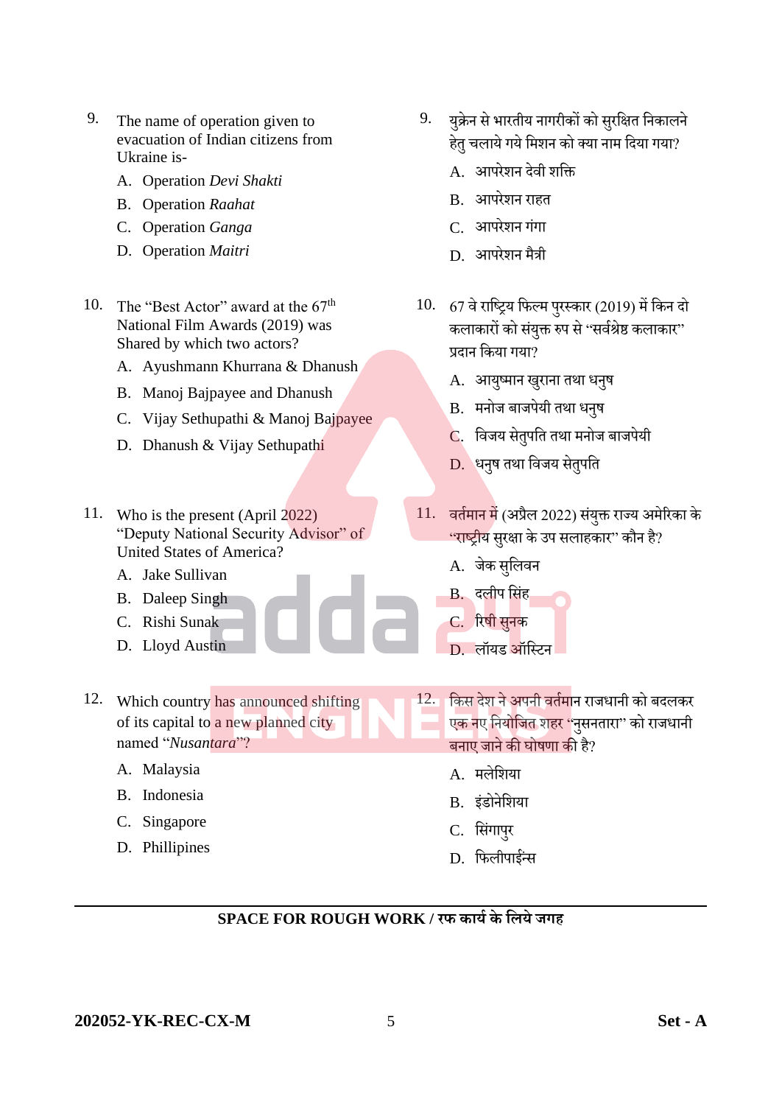- 9. The name of operation given to evacuation of Indian citizens from Ukraine is-
	- A. Operation *Devi Shakti*
	- B. Operation *Raahat*
	- C. Operation *Ganga*
	- D. Operation *Maitri*
- 10. The "Best Actor" award at the  $67<sup>th</sup>$ National Film Awards (2019) was Shared by which two actors?
	- A. Ayushmann Khurrana & Dhanush
	- B. Manoj Bajpayee and Dhanush
	- C. Vijay Sethupathi & Manoj Bajpayee
	- D. Dhanush & Vijay Sethupathi
- 11. Who is the present (April 2022) "Deputy National Security Advisor" of United States of America?
	- A. Jake Sullivan
	- B. Daleep Singh
	- C. Rishi Sunak
	- D. Lloyd Austin
- 12. Which country has announced shifting of its capital to a new planned city named "*Nusantara*"?
	- A. Malaysia
	- B. Indonesia
	- C. Singapore
	- D. Phillipines
- 9. यिुेन सेभारतीय नागरीकों को सरुसक्षत सनकालने हेत् चलाये गये मिशन को क्या नाम दिया गया?
	- A. आपरेशन देवी शसक्त
	- B. आपरेशन राहत
	- C. आपरेशन गंगा
	- D. आपरेशन मैत्री
- $10.$  67 वे राष्ट्रिय फिल्म पुरस्कार (2019) में किन दो कलाकारों को संयुक्त रुप से ''सर्वश्रेष्ठ कलाकार'' प्रदान सकया गया?
	- A. आयुष्मान खुराना तथा धनुष
	- B. मनोज बाजपेयी तथा धनुष
	- C. विजय सेतुपति तथा मनोज बाजपेयी
	- D. धनुष तथा विजय सेतुपति
- 11. वर्तमान में (अप्रैल 2022) संयुक्त राज्य अमेरिका के "राष्ट्रीय सरुक्षा केउप सलाहकार" कौन ह?ै
	- A. िेक सुसलवन
	- B. दलीप सिंह
	- C. रिषी सुनक
	- D. लॉयड ऑसस्टन
- 12. किस देश ने अपनी वर्तमान राजधानी को बदलकर एक नए नियोजित शहर ''नुसनतारा'' को राजधानी e. बनाए जाने की घोषणा की है?
	- A. मलेसशया
	- B. इंडोनेशिया
	- C. सिंगापर
	- D. फिलीपा<mark>ईन्स</mark>

#### **202052-YK-REC-CX-M** 5 **Set - A**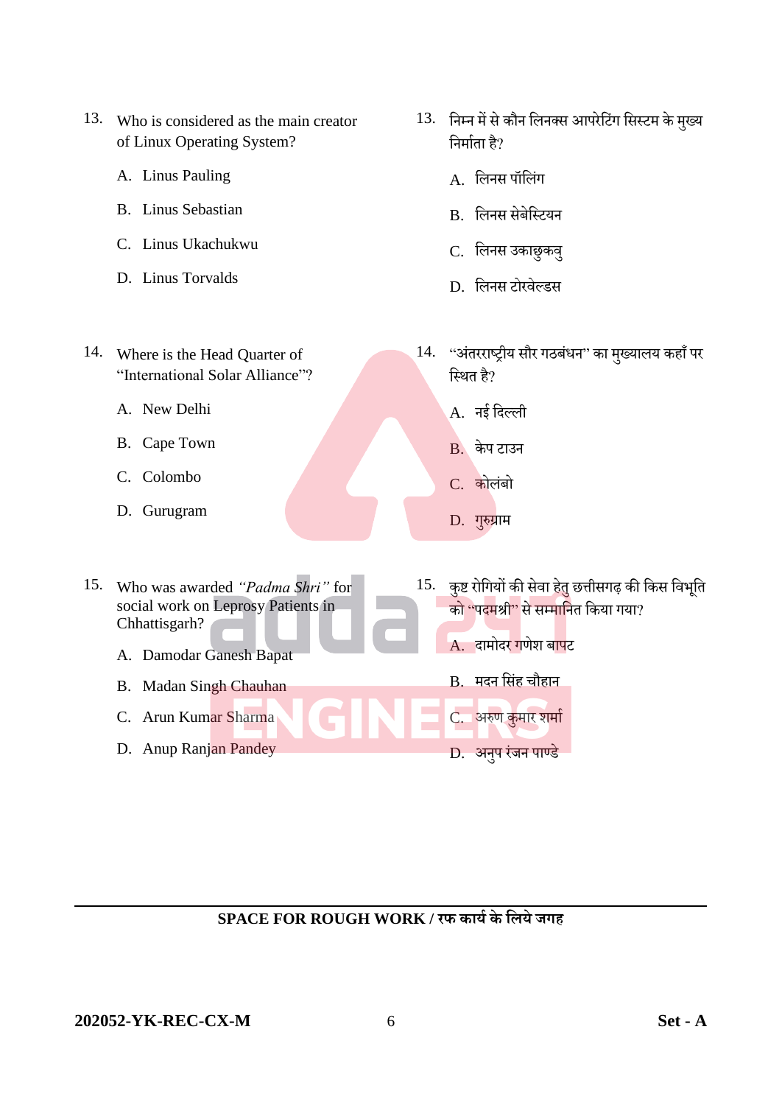- 13. Who is considered as the main creator of Linux Operating System?
	- A. Linus Pauling
	- B. Linus Sebastian
	- C. Linus Ukachukwu
	- D. Linus Torvalds
- 14. Where is the Head Quarter of "International Solar Alliance"?
	- A. New Delhi
	- B. Cape Town
	- C. Colombo
	- D. Gurugram
- 15. Who was awarded *"Padma Shri"* for social work on Leprosy Patients in Chhattisgarh?
	- A. Damodar Ganesh Bapat
	- B. Madan Singh Chauhan
	- C. Arun Kumar Sharma
	- D. Anup Ranjan Pandey
- 13. निम्न में से कौन लिनक्स आपरेटिंग सिस्टम के मुख्य निर्माता है?
	- A. लिनस पॉलिंग
	- B. सलनस सेबेसस्टयन
	- C. सलनस उकाछुकवु
	- D. सलनस टोरवेर्लडस
- 14. "अंतरराष्ट्रीय सौर गठबंधन" का मुख्यालय कहाँ पर सस्थत है?
	- A. नई दिल्ली
	- B. केप टाउन
	- C. कोलुंबो
	- D. गुरुग्राम
- 15. कुष्ट रोगियों की सेवा हेतु छत्तीसगढ़ की किस विभूति को "पदमश्री" से सम्मासनत सकया गया?
- A. दामोदर गणेश बापट

D. अनुप रंजन पाण्डे

B. मदन सिंह चौहान C. अरुण कुमार शर्मा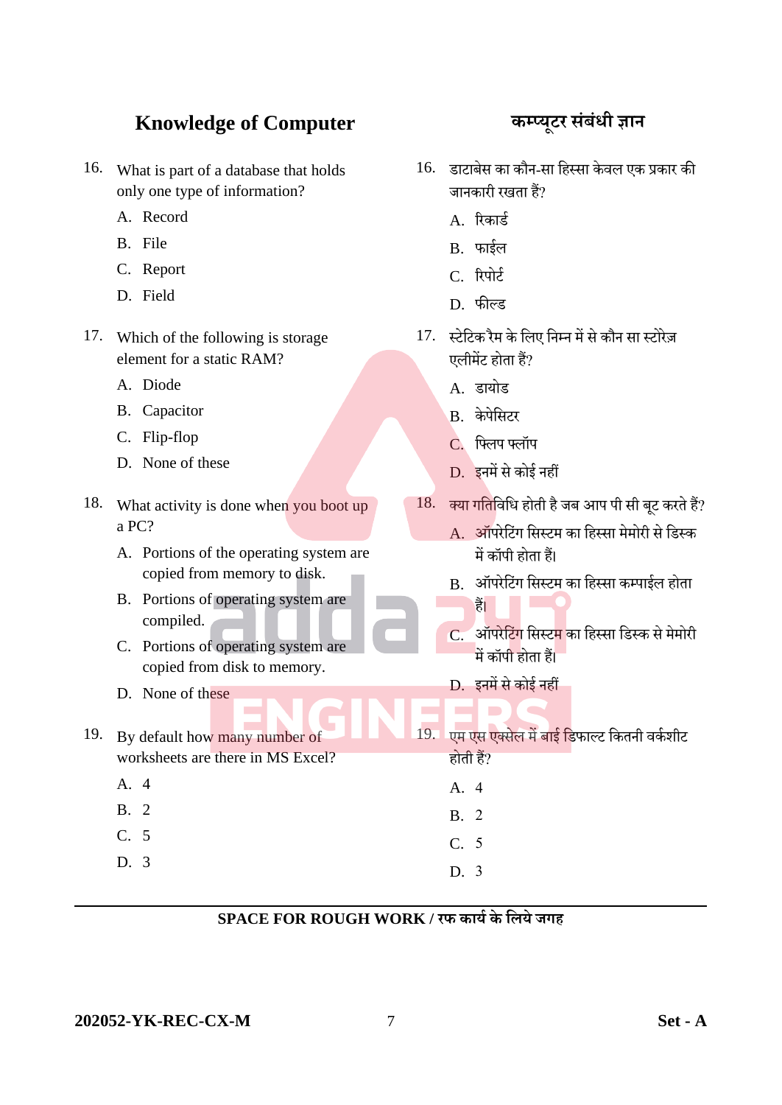## **Knowledge of Computer कम्प्र्ूटर सांबांर्ी ज्ञान**

- 16. What is part of a database that holds only one type of information?
	- A. Record
	- B. File
	- C. Report
	- D. Field
- 17. Which of the following is storage element for a static RAM?
	- A. Diode
	- B. Capacitor
	- C. Flip-flop
	- D. None of these
- 18. What activity is done when you boot up a PC?
	- A. Portions of the operating system are copied from memory to disk.
	- B. Portions of operating system are compiled.
	- C. Portions of operating system are copied from disk to memory.
	- D. None of these
- 19. By default how many number of worksheets are there in MS Excel?
	- A. 4 B. 2
	- C. 5
	-
	- D. 3

- 16. डाटाबेस का कौन-सा सहस्सा के वल एक प्रकार की जानकारी रखता हैं?
	- A. रिकार्ड
	- B. फाईल
	- C. रिपोर्ट
	- D. फीर्लड
- 17. स्टेसटक रैम के सलए सनम्न में से कौन सा स्टोरेज़ एलीमेंट होता हैं?
	- A. डायोड
	- B. केपेसिटर
	- C. सफ्लप फ्लॉप
	- D. इनमें से कोई नहीं
- $18.$  क्या गतिविधि होती है जब आप पी सी बूट करते हैं?
	- A. ऑपरेसटुंग ससस्टम का सहस्सा मेमोरी सेसडस्क में कॉपी होता हैं।
	- B. ऑपरेटिंग सिस्टम का हिस्सा कम्पाईल होता हैं।
	- C. ऑपरेसटुंग ससस्टम का सहस्सा सडस्क से मेमोरी में कॉपी होता हैं।
	- D. इनमें से कोई नहीं

÷

- 19. एम एस एक्सेल में बाई डिफाल्ट कितनी वर्कशीट होती हैं?
	- A. 4
	- $B<sub>2</sub>$
	- C. 5
- D. 3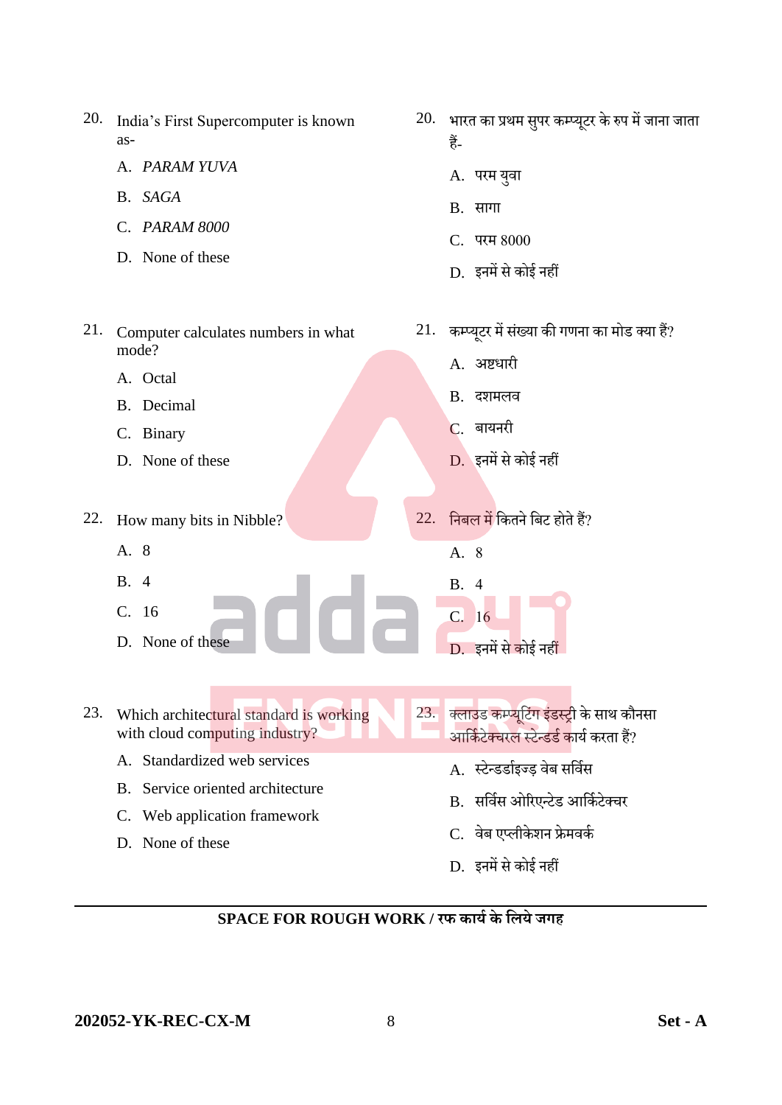| 20. | India's First Supercomputer is known<br>as-                                                                                                                                                             |     | 20. भारत का प्रथम सुपर कम्प्यूटर के रुप में जाना जाता<br>हैं-                                                                                                                                                  |
|-----|---------------------------------------------------------------------------------------------------------------------------------------------------------------------------------------------------------|-----|----------------------------------------------------------------------------------------------------------------------------------------------------------------------------------------------------------------|
| 21. | A. PARAM YUVA<br>B. SAGA<br>C. PARAM 8000<br>D. None of these<br>Computer calculates numbers in what<br>mode?<br>A. Octal<br>B. Decimal<br>C. Binary<br>D. None of these                                | 21. | A. परम युवा<br>B. सागा<br>C. परम 8000<br>D. इनमें से कोई नहीं<br>कम्प्यूटर में संख्या की गणना का मोड क्या हैं?<br>A. अष्टधारी<br>B. दशमलव<br>बायनरी<br>$\mathsf{C}$ .<br>D. इनमें से कोई नहीं                  |
| 22. | How many bits in Nibble?<br>A. 8<br><b>B.</b> 4<br>C. 16<br>D. None of these                                                                                                                            | 22. | निबल में कितने बिट होते हैं?<br>A. 8<br>B. 4<br>C. 16<br>D. इनमें से कोई नहीं                                                                                                                                  |
| 23. | Which architectural standard is working<br>with cloud computing industry?<br>A. Standardized web services<br>Service oriented architecture<br>В.<br>Web application framework<br>C.<br>D. None of these | 23. | क्लाउड कम्प्यूटिंग इंडस्ट्री के साथ कौनसा<br>आर्किटेक्चरल स्टेन्डर्ड कार्य करता हैं?<br>A. स्टेन्डर्डाइज्ड वेब सर्विस<br>B. सर्विस ओरिएन्टेड आर्किटेक्चर<br>C. वेब एप्लीकेशन फ्रेमवर्क<br>D. इनमें से कोई नहीं |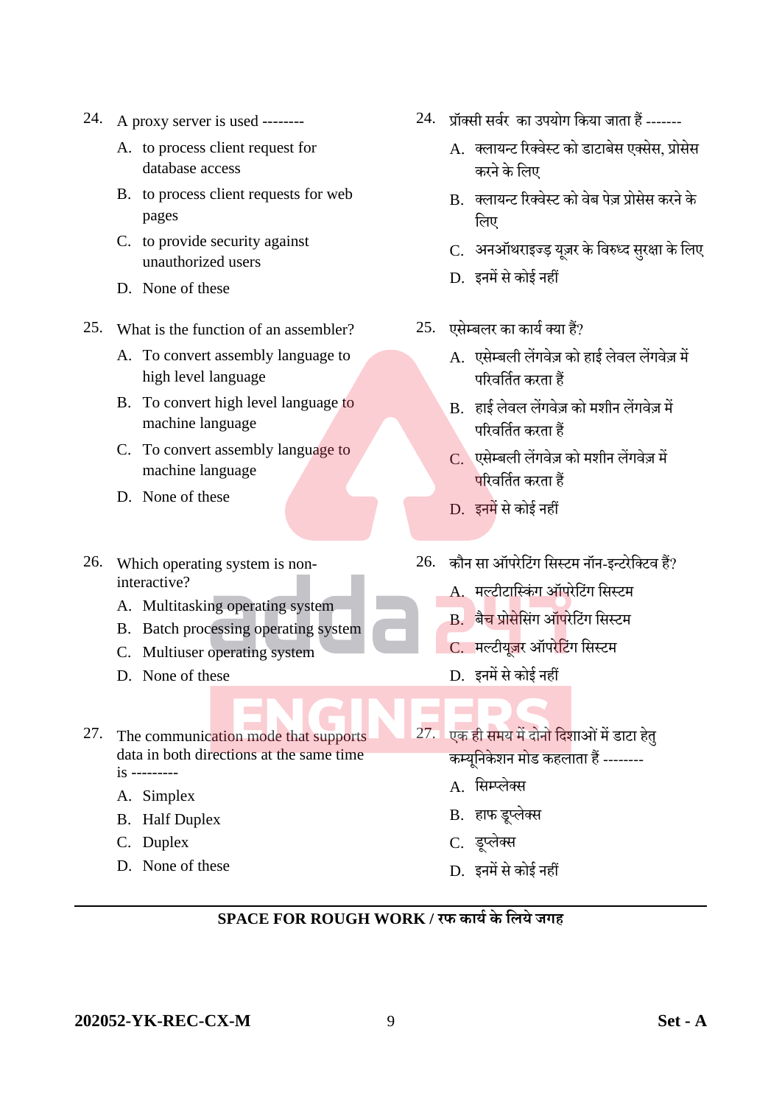- 24. A proxy server is used --------
	- A. to process client request for database access
	- B. to process client requests for web pages
	- C. to provide security against unauthorized users
	- D. None of these
- 25. What is the function of an assembler?
	- A. To convert assembly language to high level language
	- B. To convert high level language to machine language
	- C. To convert assembly language to machine language
	- D. None of these
- 26. Which operating system is noninteractive?
	- A. Multitasking operating system
	- B. Batch processing operating system
	- C. Multiuser operating system
	- D. None of these
- 27. The communication mode that supports data in both directions at the same time is ---------
	- A. Simplex
	- B. Half Duplex
	- C. Duplex
	- D. None of these
- 24. प्रॉक्सी सर्वर का उपयोग किया जाता हैं -------
	- A. क्लायन्ट ररक्वेस्ट को डाटाबेस एक्सेस, प्रोसेस करने के सलए
	- B. क्लायन्ट ररक्वेस्ट को वेब पेज़ प्रोसेस करने के सलए
	- C. अनऑथराइज्ड़ यूज़र के विरुध्द सुरक्षा के लिए
	- D. इनमें से कोई नहीं
- 25. एसेम्बलर का कार्य क्या हैं?
	- A. एसेम्बली लेंगवेज़ को हाई लेवल लेंगवेज़ में परिवर्तित करता हैं
	- B. हाई लेवल लेंगवेज़ को मशीन लेंगवेज़ में पररवसतचत करता हैं
	- C. एसेम्बली लेंगवेज़ को मशीन लेंगवेज़ में <mark>प</mark>रिवर्तित करता हैं
	- D. इनमें से कोई नहीं
- 26. कौन सा ऑपरेटिंग सिस्टम नॉन-इन्टरेक्टिव हैं?
	- A. मल्टीटास्किंग ऑपरेटिंग सिस्टम
	- B. बैच प्रोसेसिंग ऑपरेटिंग सिस्टम
	- C. मल्टीयूजर ऑपरेटिंग सिस्टम
	- D. इनमें से कोई नहीं
- 27. एक ही समय में दोन<mark>ो दिशा</mark>ओं में डाटा हेतु कम्यसूनकेशन मोड कहलाताहैं--------
	- A. सिम्प्लेक्स
	- B. हाफ डू्लेक्स
	- C. डू्लेक्स
	- D. इनमें से कोई नहीं

**COL**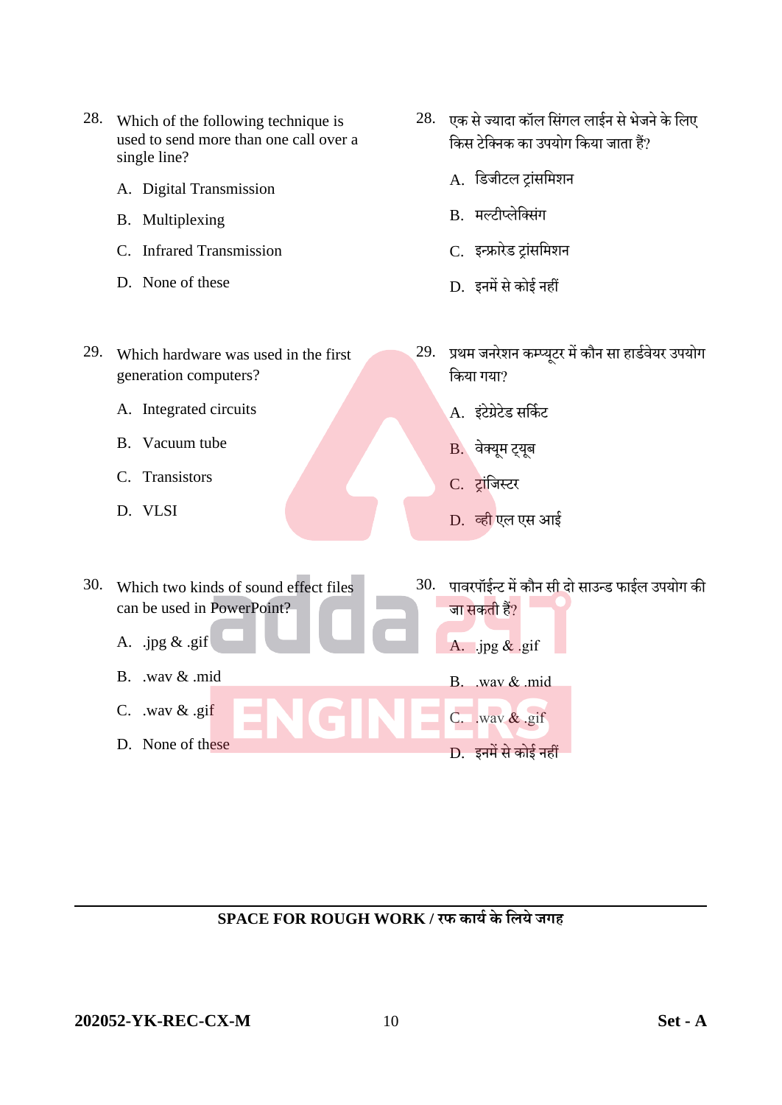- 28. Which of the following technique is used to send more than one call over a single line?
	- A. Digital Transmission
	- B. Multiplexing
	- C. Infrared Transmission

29. Which hardware was used in the first

D. None of these

generation computers?

A. Integrated circuits

B. Vacuum tube

C. Transistors

D. VLSI

- 28. एक से ज्यादा कॉल सिंगल लाईन से भेजने के लिए किस टेक्निक का उपयोग किया जाता हैं?
	- A. डिजीटल टांसमिशन
	- B. मर्लटी्लेसक्सुंग
	- C. इन्फ्रारेड ट्रांसमिशन
	- D. इनमें से कोई नहीं
- 29. प्रथम जनरेशन कम्प्युटर में कौन सा हार्डवेयर उपयोग सकया गया?
	- A. इंटेग्रेटेड सर्किट
	- B. वेक्यूम ट्यूब
	- C. राुंसिस्टर
	- D. व्ही एल एस आई
- 30. Which two kinds of sound effect files can be used in PowerPoint? A. .jpg  $\&$  .gif B. .wav & .mid C. .wav & .gif D. None of these 30. पावरपॉईन्ट में कौन सी दो साउन्ड फाईल उपयोग की जा सकती हैं? A. .jpg & .gif B. .wav & .mid C. .wav & .gif D. इनमें से कोई नहीं

#### **SPACE FOR ROUGH WORK / रफ कार्यके लिर्े जगह**

**202052-YK-REC-CX-M** 10 **Set - A**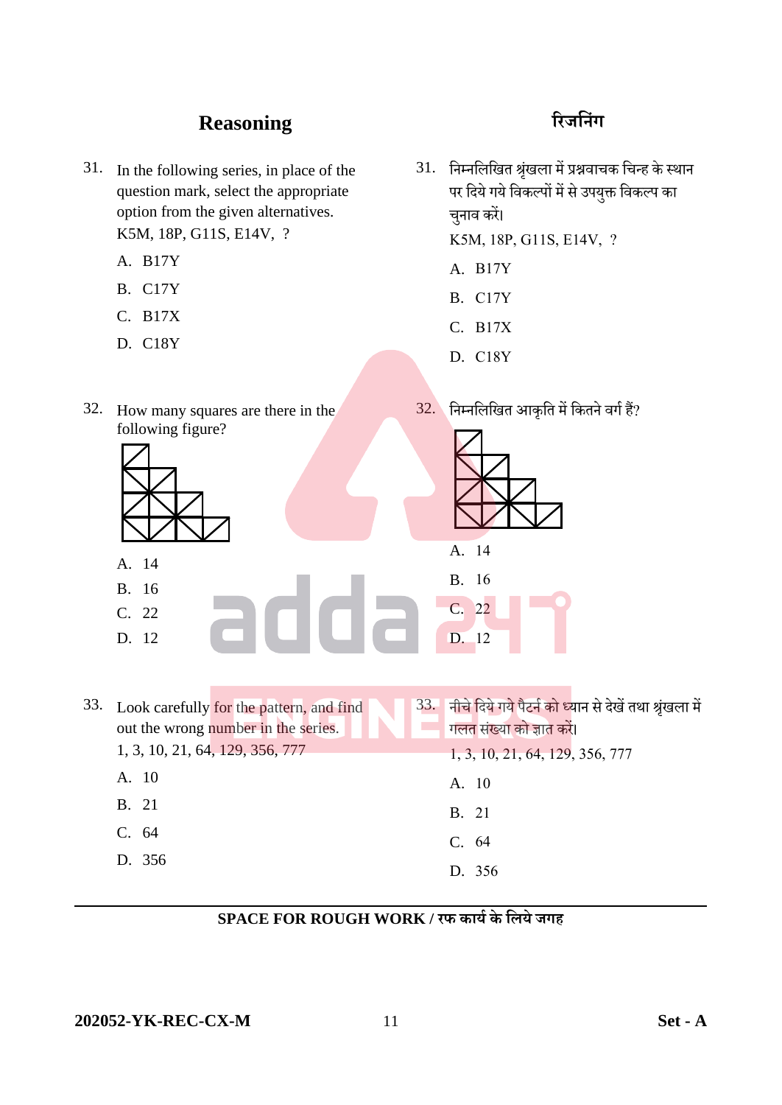## Reasoning **राजनिंग**

- 31. In the following series, in place of the question mark, select the appropriate option from the given alternatives. K5M, 18P, G11S, E14V, ?
	- A. B17Y
	- B. C17Y
	- C. B17X
	- D. C18Y

- 31. निम्नलिखित श्रृंखला में प्रश्नवाचक चिन्ह के स्थान पर दिये गये विकल्पों में से उपयुक्त विकल्प का चुनाव करें। K5M, 18P, G11S, E14V, ?
	- A. B17Y
	- B. C17Y
	- C. B17X
	- D. C18Y

| 32. | 32.<br>How many squares are there in the                                        | निम्नलिखित आकृति में कितने वर्ग हैं?                                                     |
|-----|---------------------------------------------------------------------------------|------------------------------------------------------------------------------------------|
|     | following figure?                                                               |                                                                                          |
|     | A. 14                                                                           | A. 14                                                                                    |
|     | B. 16                                                                           | <b>B.</b> 16                                                                             |
|     | C. 22                                                                           | C. 22                                                                                    |
|     | D. 12                                                                           | D. 12                                                                                    |
|     |                                                                                 |                                                                                          |
| 33. | Look carefully for the pattern, and find<br>out the wrong number in the series. | 33. नीचे दिये गये पैटर्न को ध्यान से देखें तथा श्रृंखला में<br>गलत संख्या को ज्ञात करें। |
|     | 1, 3, 10, 21, 64, 129, 356, 777                                                 | 1, 3, 10, 21, 64, 129, 356, 777                                                          |
|     | A. 10                                                                           | A. 10                                                                                    |
|     | B. 21                                                                           | <b>B.</b> 21                                                                             |

D. 356

#### **SPACE FOR ROUGH WORK / रफ कार्यके लिर्े जगह**

C. 64

D. 356

C. 64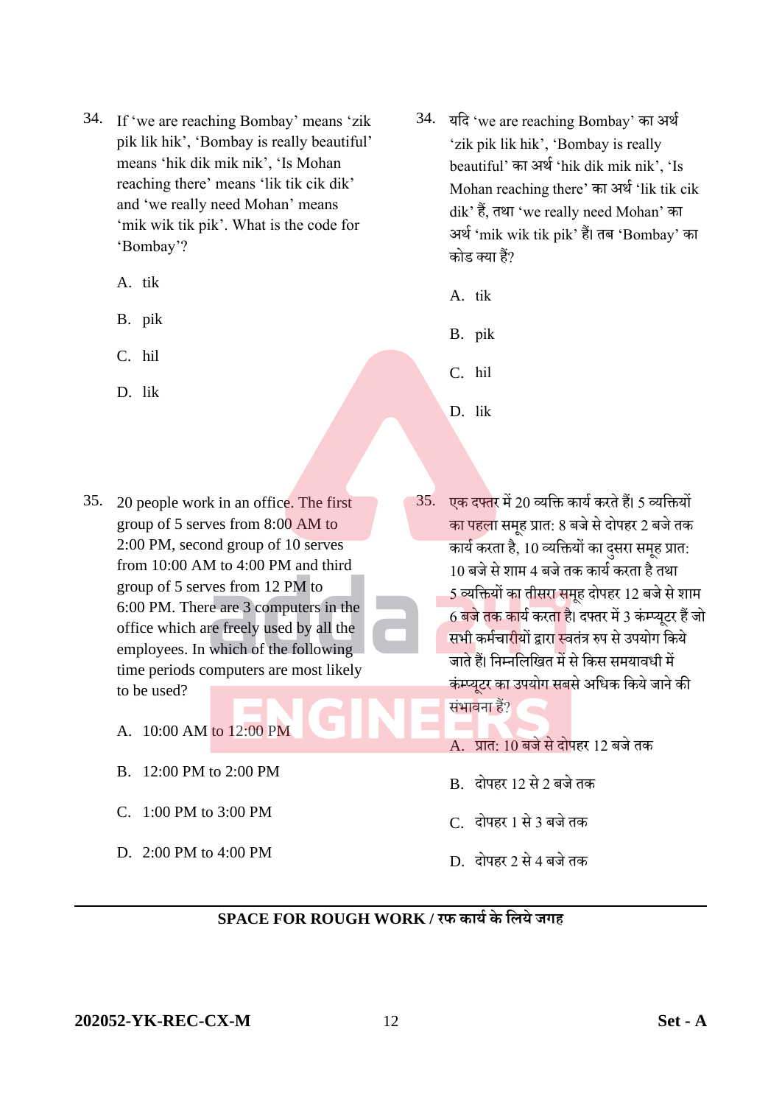- 34. If 'we are reaching Bombay' means 'zik pik lik hik', 'Bombay is really beautiful' means 'hik dik mik nik', 'Is Mohan reaching there' means 'lik tik cik dik' and 'we really need Mohan' means 'mik wik tik pik'. What is the code for 'Bombay'?
	- A. tik
	- B. pik
	- C. hil
	- D. lik
- 35. 20 people work in an office. The first group of 5 serves from 8:00 AM to 2:00 PM, second group of 10 serves from 10:00 AM to 4:00 PM and third group of 5 serves from 12 PM to 6:00 PM. There are 3 computers in the office which are freely used by all the employees. In which of the following time periods computers are most likely to be used?
	- A. 10:00 AM to 12:00 PM
	- B. 12:00 PM to 2:00 PM
	- C. 1:00 PM to 3:00 PM
	- D. 2:00 PM to 4:00 PM
- 34. यसद 'we are reaching Bombay' का अथच 'zik pik lik hik', 'Bombay is really beautiful' का अथच 'hik dik mik nik', 'Is Mohan reaching there' का अथच 'lik tik cik dik' हैं, तथा 'we really need Mohan' का अथच 'mik wik tik pik' हैं। तब 'Bombay' का कोड क्या हैं?
	- A. tik
	- B. pik
	- C. hil
	- D. lik
- 35. एक दफ्तर में 20 व्यसक्त कायच करते हैं। 5 व्यसक्तयों का पहला समूह प्रात: 8 बजे से दोपहर 2 बजे तक कार्य करता है, 10 व्यक्तियों का दसरा समूह प्रात: 10 बजे से शाम 4 बजे तक कार्य करता है तथा <u>5 व्यक्तियों का तीसरा समू</u>ह दोपहर 12 बजे से शाम 6 बजे तक कार्य करता है। दफ्तर में 3 कंम्प्यूटर हैं जो <mark>सभी कर्मचारी</mark>यों द्वारा स्वतंत्र रुप से उपयोग किये िाते हैं। सनम्नसलसित में से सकस समयाविी में कंम्प्यटर का उपयोग सबसे अधिक किये जाने की सुंभावनाह?ैं
	- A. प्रात: 10 बजे से दोपहर 12 बजे तक
	- B. दोपहर 12 से 2 बजे तक
	- C. दोपहर 1 से 3 बजे तक
	- D. दोपहर 2 से 4 बजे तक

#### **202052-YK-REC-CX-M** 12 **Set - A**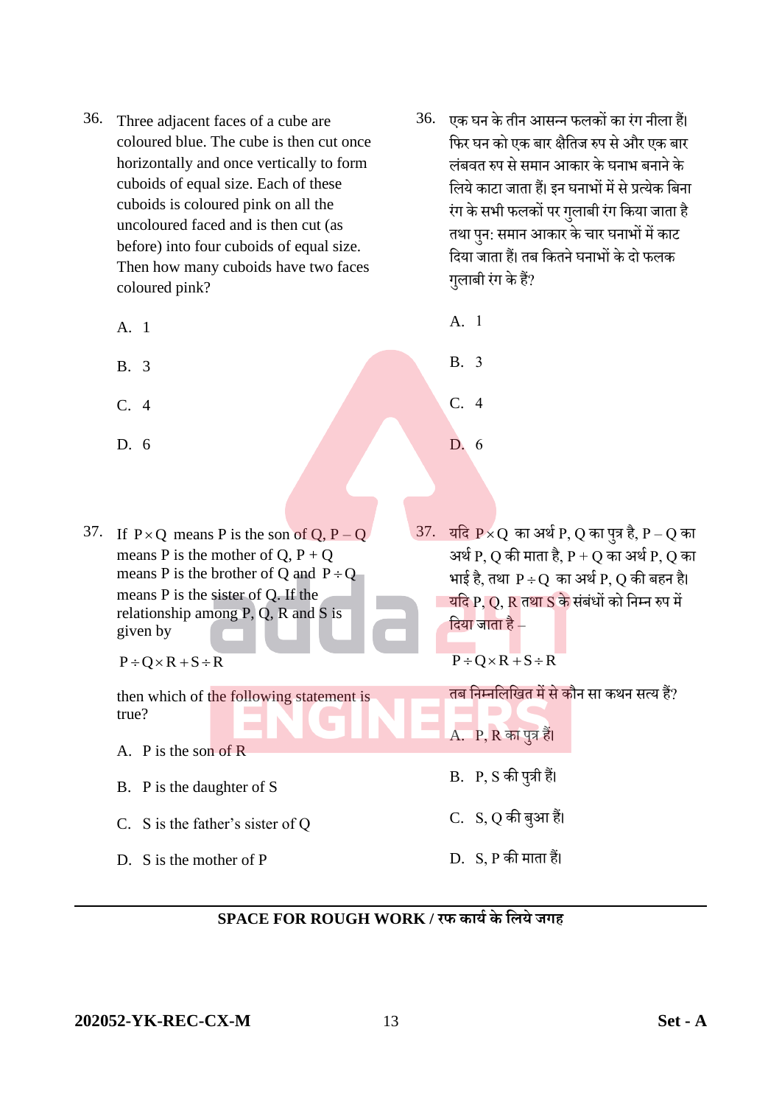- 36. Three adjacent faces of a cube are coloured blue. The cube is then cut once horizontally and once vertically to form cuboids of equal size. Each of these cuboids is coloured pink on all the uncoloured faced and is then cut (as before) into four cuboids of equal size. Then how many cuboids have two faces coloured pink?
	- A. 1
	- B. 3
	- C. 4
	- D. 6

given by

- 36. एक घन के तीन आसन्न फलकों का रंग नीला हैं। फिर घन को एक बार क्षैतिज रुप से और एक बार लुंबवत रुप सेसमान आकार केघनाभ बनाने के सलये काटा िाता हैं। इन घनाभों में से प्रत्येक सबना रंग के सभी फलकों पर गलाबी रंग किया जाता है तथा पन: समान आकार के चार घनाभों में काट दिया जाता हैं। तब कितने घनाभों के दो फलक गलाबी रंग के हैं?
	- A. 1
	- B. 3
	- C. 4
	- D. 6
- $37.$  यदि  $P \times Q$  का अर्थ P, Q का पुत्र है, P Q का अर्थ P,  $O$  की माता है,  $P + O$  का अर्थ P,  $O$  का भाई है, तथा  $\mathrm{P}\textup{+}\mathrm{Q}\,$  का अर्थ P,  $\mathrm{Q}$  की बहन है।  $\blacksquare$  यदि P, O, R तथा S के संबंधों को निम्न रुप में दिया जाता है $-$

$$
P \div Q \times R + S \div R
$$

A. P, R कापत्रु ह।ैं

**COL** 

B. P, S की पुत्री हैं।

 $C. S, Q$  की बुआ हैं।

D. S, P की माता हैं।

तब सनम्नसलसित में से कौन सा कथन सत्य हैं?

then which of the following statement is true?

37. If  $P \times Q$  means P is the son of  $Q, P - Q$ means P is the mother of Q,  $P + Q$ means P is the brother of Q and  $P \div Q$ 

> means P is the sister of Q. If the relationship among  $P$ ,  $Q$ ,  $R$  and  $S$  is

A. P is the son of R

 $P \div Q \times R + S \div R$ 

- B. P is the daughter of S
- C. S is the father's sister of Q
- D. S is the mother of P

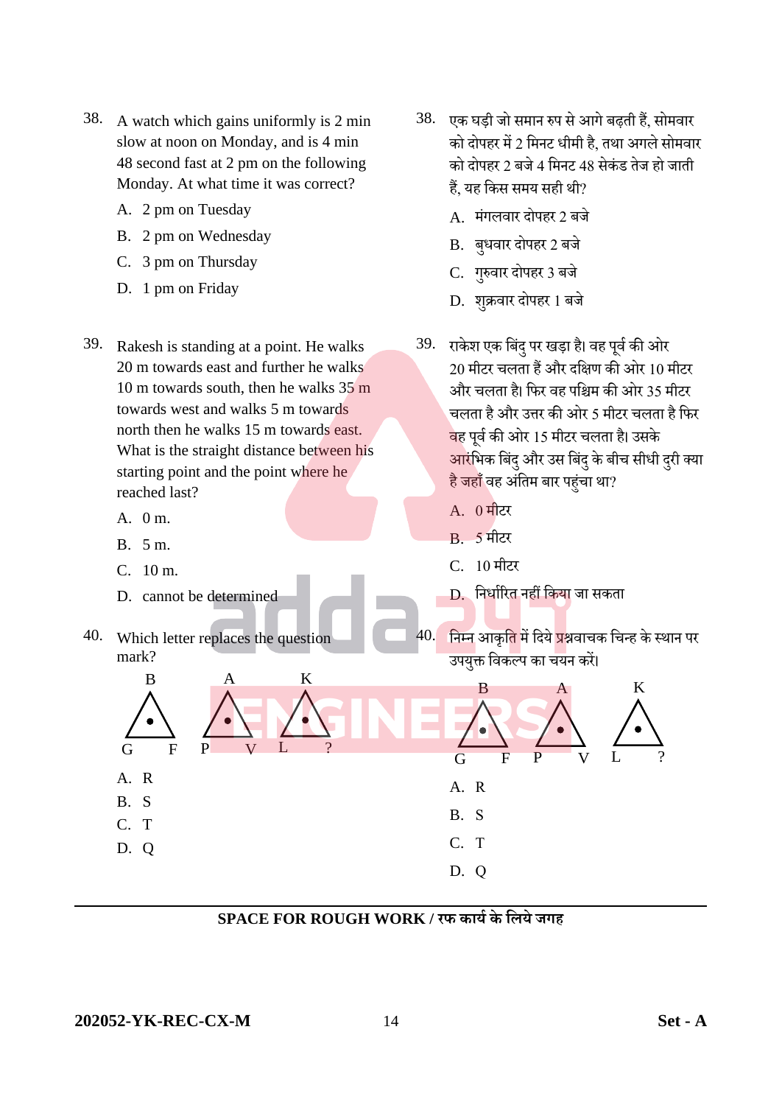- 38. A watch which gains uniformly is 2 min slow at noon on Monday, and is 4 min 48 second fast at 2 pm on the following Monday. At what time it was correct?
	- A. 2 pm on Tuesday
	- B. 2 pm on Wednesday
	- C. 3 pm on Thursday
	- D. 1 pm on Friday
- 39. Rakesh is standing at a point. He walks 20 m towards east and further he walks 10 m towards south, then he walks 35 m towards west and walks 5 m towards north then he walks 15 m towards east. What is the straight distance between his starting point and the point where he reached last?
	- A. 0 m.
	- B. 5 m.
	- C. 10 m.
	- D. cannot be determined
- 40. Which letter replaces the question mark?
- 38. एक घड़ी िो समान रुप से आगे बढ़ती हैं, सोमवार को दोपहर में 2 मिनट धीमी है. तथा अगले सोमवार को दोपहर 2 बजे 4 मिनट 48 सेकंड तेज हो जाती हैं, यह सकस समय सही थी?
	- A. मंगलवार दोपहर 2 बजे
	- B. बुधवार दोपहर 2 बजे
	- C. गुरुवार दोपहर 3 बजे
	- D. शुक्रवार दोपहर 1 बजे
- 39. राकेश एक बिंदु पर खड़ा है। वह पूर्व की ओर 20 मीटर र्लता हैं और दसक्षण की ओर 10 मीटर और र्लता है। सफर वह पसिम की ओर 35 मीटर र्लता है और उत्तर की ओर 5 मीटर र्लता है सफर <mark>व</mark>ह पर्व की ओर 15 मीटर चलता है। उसके <mark>आरं</mark>भिक बिंदु और उस बिंदु के बीच सीधी दुरी क्या है जहाँ वह अंतिम बार पहुंचा था?
	- A. 0 मीटर
	- B. 5 मीटर
	- C. 10 मीटर
	- D. निर्धारित नहीं किया जा सकता
- 40. सिम्न आकृति में दिये प्रश्नवाचक चिन्ह के स्थान पर उपयक्तु सवकर्लप का र्यन करें।

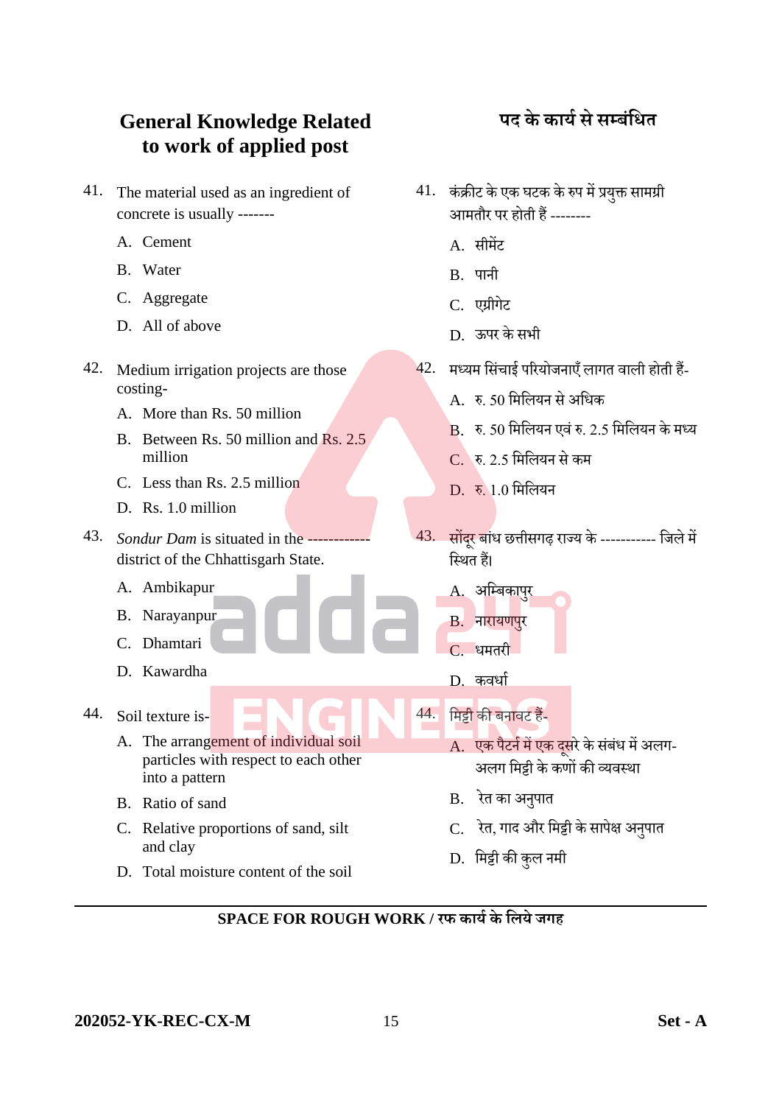#### **General Knowledge Related to work of applied post**

- 41. The material used as an ingredient of concrete is usually -------
	- A. Cement
	- B. Water
	- C. Aggregate
	- D. All of above
- 42. Medium irrigation projects are those costing-
	- A. More than Rs. 50 million
	- B. Between Rs. 50 million and Rs. 2.5 million
	- C. Less than Rs. 2.5 million
	- D. Rs. 1.0 million
- 43. *Sondur Dam* is situated in the district of the Chhattisgarh State.
	- A. Ambikapur
	- B. Narayanpur
	- C. Dhamtari
	- D. Kawardha
- 44. Soil texture is-
	- A. The arrangement of individual soil particles with respect to each other into a pattern
	- B. Ratio of sand
	- C. Relative proportions of sand, silt and clay
	- D. Total moisture content of the soil

## **पि के कार्य से सम्बांलर्त**

- $41.$  कंक्रीट के एक घटक के रुप में प्रयुक्त सामग्री आमतौर पर होती हैं --------
	- A. सीमेंट
	- B. पानी
	- C. एग्रीगेट
	- D. ऊपर के सभी
- $42.$  मध्यम सिंचाई परियोजनाएँ लागत वाली होती हैं-
	- A. रु. 50 समसलयन से असिक
	- B. रु. 50 मिलियन एवं रु. 2.5 मिलियन के मध्य
	- C. रु. 2.5 समसलयन से कम
	- $D = \overline{5}$  1.0 मिलियन
- 43. सोंदरूबाुंि छत्तीसगढ़ राज्य के----------- सिले में सस्थत हैं।
	- A. असम्बकापरु B. नारायणपरु
	- $C_{\alpha}$ धमतरी
	- D. कवर्धा
- 44. समट्टी की बनावट हैं-
	- ${\bf A}$ . एक पैटर्न में एक दसरे के संबंध में अलग-अलग समट्टी केकणों की व्यवस्था
	- B. रेत का अनुपात
	- C. रेत, गाद और समट्टी केसापेक्ष अनुपात
	- D. समट्टी की कुल नमी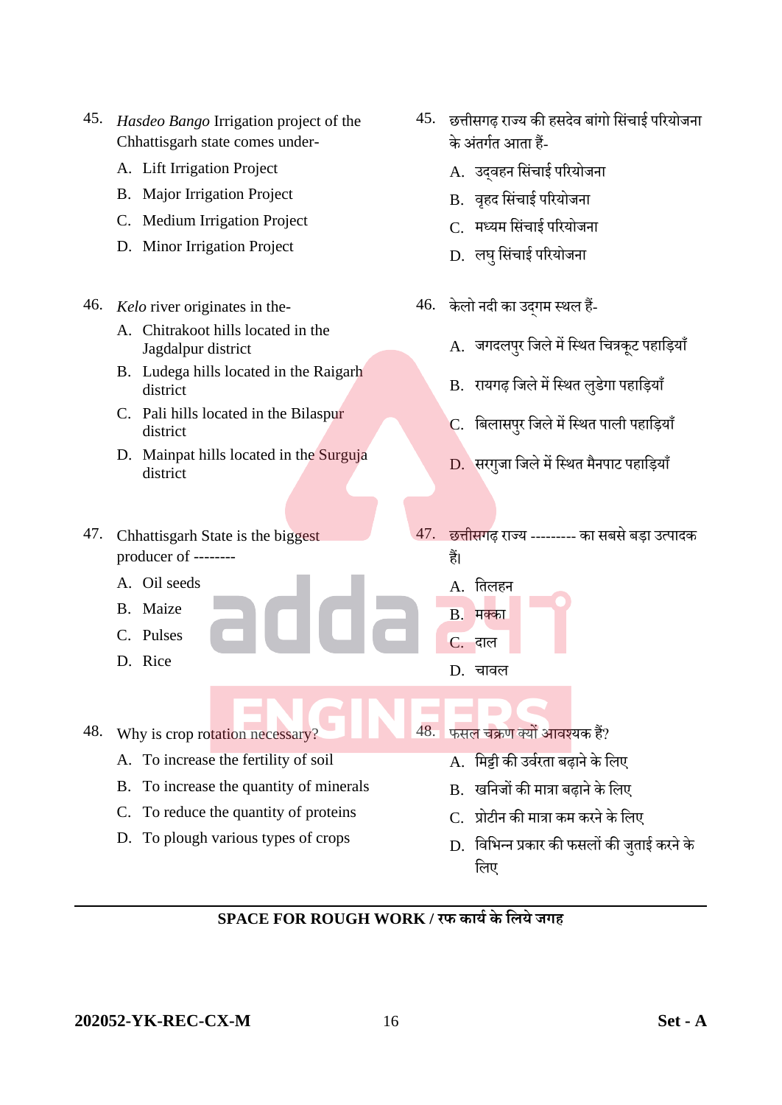| 45. | Hasdeo Bango Irrigation project of the<br>Chhattisgarh state comes under- | 45. | छत्तीसगढ़ राज्य की हसदेव बांगो सिंचाई परियोजना<br>के अंतर्गत आता हैं- |
|-----|---------------------------------------------------------------------------|-----|-----------------------------------------------------------------------|
|     | A. Lift Irrigation Project                                                |     | A. उद्वहन सिंचाई परियोजना                                             |
|     | <b>B.</b> Major Irrigation Project                                        |     | B. वृहद सिंचाई परियोजना                                               |
|     | C. Medium Irrigation Project                                              |     | C. मध्यम सिंचाई परियोजना                                              |
|     | D. Minor Irrigation Project                                               |     | D. लघु सिंचाई परियोजना                                                |
| 46. | Kelo river originates in the-                                             |     | 46. केलो नदी का उद्गम स्थल हैं-                                       |
|     | A. Chitrakoot hills located in the<br>Jagdalpur district                  |     | A. जगदलपुर जिले में स्थित चित्रकूट पहाड़ियाँ                          |
|     | B. Ludega hills located in the Raigarh<br>district                        |     | B. रायगढ़ जिले में स्थित लुडेगा पहाड़ियाँ                             |
|     | C. Pali hills located in the Bilaspur<br>district                         |     | C. बिलासपुर जिले में स्थित पाली पहाड़ियाँ                             |
|     | D. Mainpat hills located in the Surguja<br>district                       |     | D. सरगुजा जिले में स्थित मैनपाट पहाड़ियाँ                             |
|     |                                                                           |     |                                                                       |
| 47. | Chhattisgarh State is the biggest                                         | 47. | <u>. छत्तीसग</u> ढ़ राज्य --------- का सबसे बड़ा उत्पादक              |
|     | producer of --------                                                      |     | हैं।                                                                  |
|     | A. Oil seeds                                                              |     | A. तिलहन                                                              |
|     | B. Maize                                                                  |     | B. मक्का                                                              |
|     | C. Pulses                                                                 |     | $C.$ दाल                                                              |
|     | D. Rice                                                                   |     | D. चावल                                                               |
| 48. | Why is crop rotation necessary?                                           | 48. | फसल चक्रण क्यों आवश्यक हैं?                                           |
|     | To increase the fertility of soil<br>А.                                   |     | मिट्टी की उर्वरता बढ़ाने के लिए<br>$A_{\cdot}$                        |
|     | To increase the quantity of minerals<br>В.                                |     | खनिजों की मात्रा बढ़ाने के लिए<br><b>B.</b>                           |
|     | To reduce the quantity of proteins<br>C.                                  |     | प्रोटीन की मात्रा कम करने के लिए                                      |
|     | To plough various types of crops<br>D.                                    |     | D.  विभिन्न प्रकार की फसलों की जुताई करने के<br>लिए                   |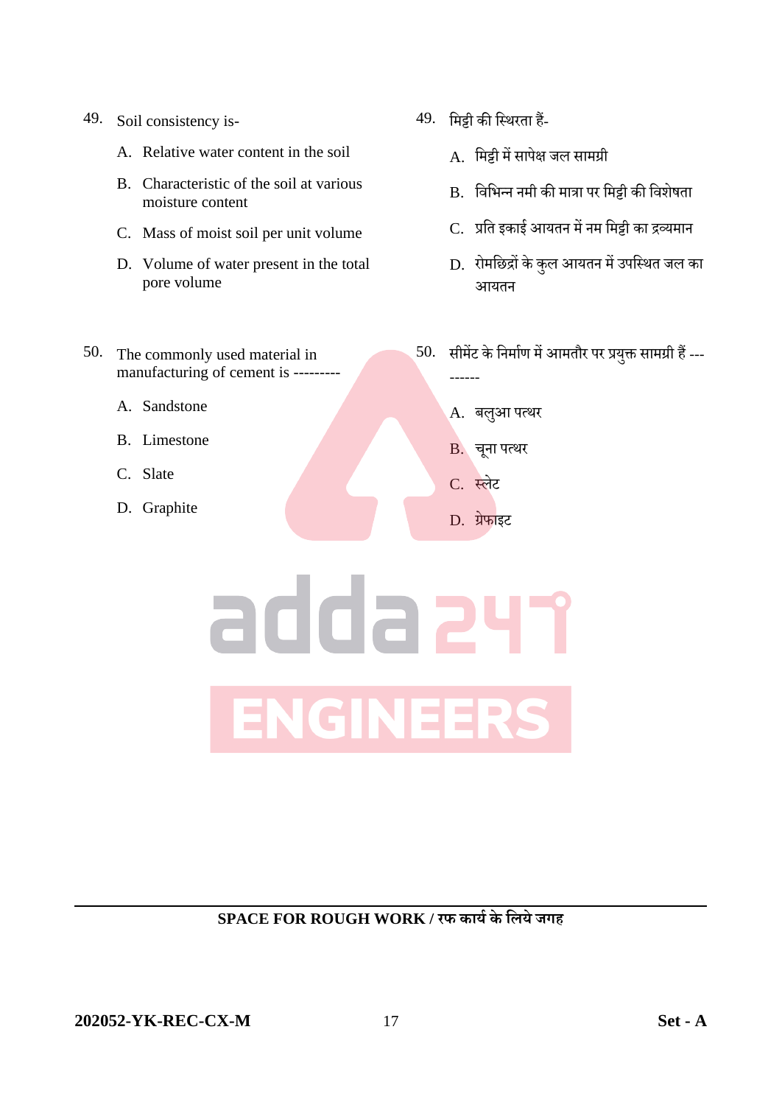- 49. Soil consistency is-
	- A. Relative water content in the soil
	- B. Characteristic of the soil at various moisture content
	- C. Mass of moist soil per unit volume
	- D. Volume of water present in the total pore volume
- 50. The commonly used material in manufacturing of cement is ---------
	- A. Sandstone
	- B. Limestone
	- C. Slate
	- D. Graphite
- 49. समट्टी की सस्थरता हैं-
	- A. मिट्टी में सापेक्ष जल सामग्री
	- B. सवसभन्न नमी की मात्रा पर समट्टी की सवशेर्ता
	- C. प्रसत इकाई आयतन में नम समट्टी का द्रव्यमान
	- D. रोमछिद्रों के कुल आयतन में उपस्थित जल का आयतन
- $50.$  सीमेंट के निर्माण में आमतौर पर प्रयुक्त सामग्री हैं ---
	- A. बलुआ पत्थर
	- B. चूना पत्थर
	- C. स्लेट

------

D. ग्रेफाइट

# addazyr **ENGINEERS**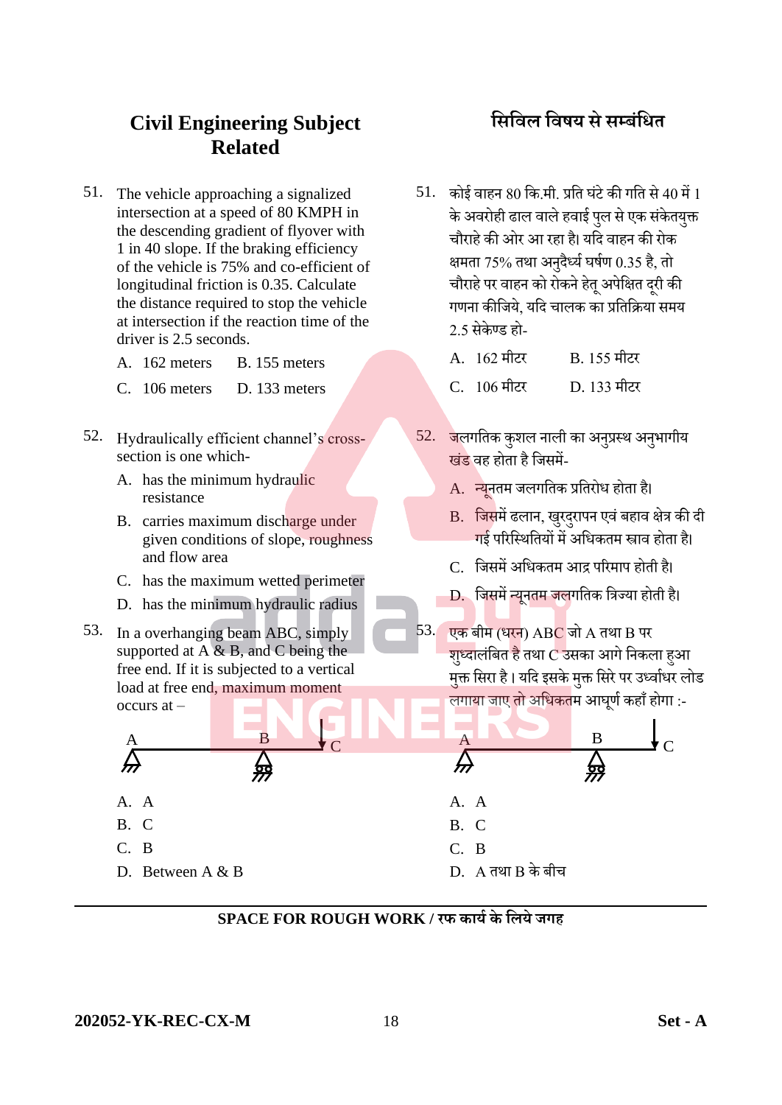#### **Civil Engineering Subject Related**

51. The vehicle approaching a signalized intersection at a speed of 80 KMPH in the descending gradient of flyover with 1 in 40 slope. If the braking efficiency of the vehicle is 75% and co-efficient of longitudinal friction is 0.35. Calculate the distance required to stop the vehicle at intersection if the reaction time of the driver is 2.5 seconds.

A. 162 meters B. 155 meters

C. 106 meters D. 133 meters

- 52. Hydraulically efficient channel's crosssection is one which-
	- A. has the minimum hydraulic resistance
	- B. carries maximum discharge under given conditions of slope, roughness and flow area
	- C. has the maximum wetted perimeter
	- D. has the minimum hydraulic radius
- 53. In a overhanging beam ABC, simply supported at  $A \& B$ , and  $C$  being the free end. If it is subjected to a vertical load at free end, maximum moment occurs at –

## $\mathbf A$  B

- A. A
- B. C
- C. B
- D. Between A & B

#### **लसलवि लवषर् से सम्बलर्ां त**

 $51.$  कोई वाहन  $80$  कि.मी. प्रति घंटे की गति से  $40$  में  $1$ के अवरोही ढाल वाले हवाई पल से एक संकेतयक्त र्ौराहे की ओर आ रहा है। यसद वाहन की रोक क्षमता 75% तथा अनुदैर्ध्य घर्षण 0.35 है, तो चौराहे पर वाहन को रोकने हेत् अपेक्षित दरी की गणना कीजिये, यदि चालक का प्रतिक्रिया समय 2.5 सेके ण्ड हो-

| A. 162 मीटर | <b>B. 155 मीटर</b> |
|-------------|--------------------|
|-------------|--------------------|

C. 106 मीटर D. 133 मीटर

- 52. िलगसतक कुशल नाली का अनुप्रस्थ अनुभागीय िुंड वह होताहैसिसमें-
	- A. न्युनतम जलगतिक प्रतिरोध होता है।
	- B. जिसमें ढलान, खुरदुरापन एवं बहाव क्षेत्र की दी गई पररसस्थसतयों में असिकतम स्त्राव होता है।
	- C. सिसमें असिकतम आद्र पररमाप होती है।
	- D. जिसमें न्यूनतम जलगतिक त्रिज्या होती है।
- $53.$  एक बीम (धरन)  $\rm{ABC}$  जो  $\rm{A}$  तथा  $\rm{B}$  पर शुध्दालंबित है तथा C उसका आगे निकला हुआ मुक्त सिरा है। यदि इसके मुक्त सिरे पर उध्वधिर लोड लगाया जाए तो अधिकतम आघूर्ण कहाँ होगा :-



D. A तथा B के बीर्

**SPACE FOR ROUGH WORK / रफ कार्यके लिर्े जगह**

C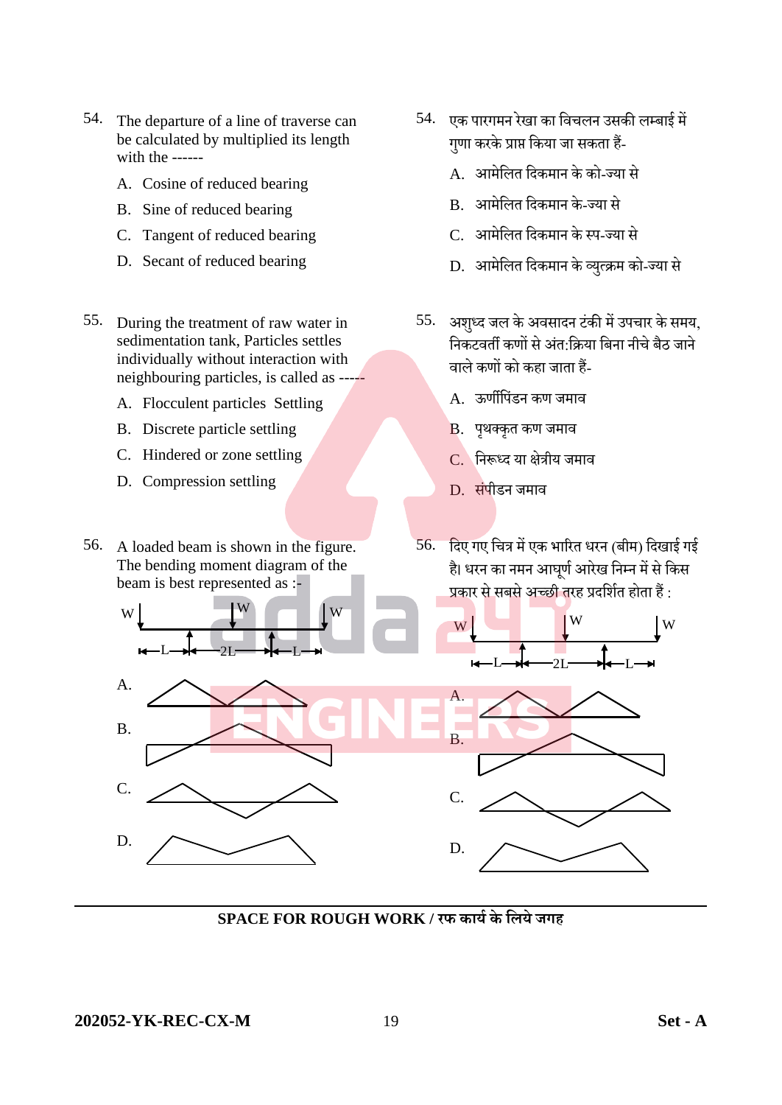- 54. The departure of a line of traverse can be calculated by multiplied its length with the ------
	- A. Cosine of reduced bearing
	- B. Sine of reduced bearing
	- C. Tangent of reduced bearing
	- D. Secant of reduced bearing
- 55. During the treatment of raw water in sedimentation tank, Particles settles individually without interaction with neighbouring particles, is called as -----
	- A. Flocculent particles Settling
	- B. Discrete particle settling
	- C. Hindered or zone settling
	- D. Compression settling
- 56. A loaded beam is shown in the figure. The bending moment diagram of the beam is best represented as :
	- w  $\mathbb{W}$  W w L<del> - de - -</del>2L <del>- - de -</del>L
- 54. एक पारगमन रेखा का विचलन उसकी लम्बाई में गणा करके प्राप्त किया जा सकता हैं-
	- A. आमेसलत सदकमान के को-ज्या से
	- B. आमेसलत सदकमान के-ज्या से
	- C. आमेसलत सदकमान के स्प-ज्या से
	- D. आमेलित दिकमान के व्युत्क्रम को-ज्या से
- 55. अश्ध्द जल के अवसादन टंकी में उपचार के समय, <u>निकटवर्ती कणों से अंत क्रिया बिना नीचे बैठ जाने</u> वाले कणों को कहा जाता हैं-
	- A. ऊर्णीपिंडन कण जमाव
	- B. पशक्कृत कण जमाव
	- C. निरूध्द या क्षेत्रीय जमाव
	- D. संपीडन जमाव
- 56. दिए गए चित्र में एक भारित धरन (बीम) दिखाई गई है। धरन का नमन आघर्ण आरेख निम्न में से किस प्रकार से सबसे अच्छी तरह प्रदर्शित होता हैं :



**SPACE FOR ROUGH WORK / रफ कार्यके लिर्े जगह**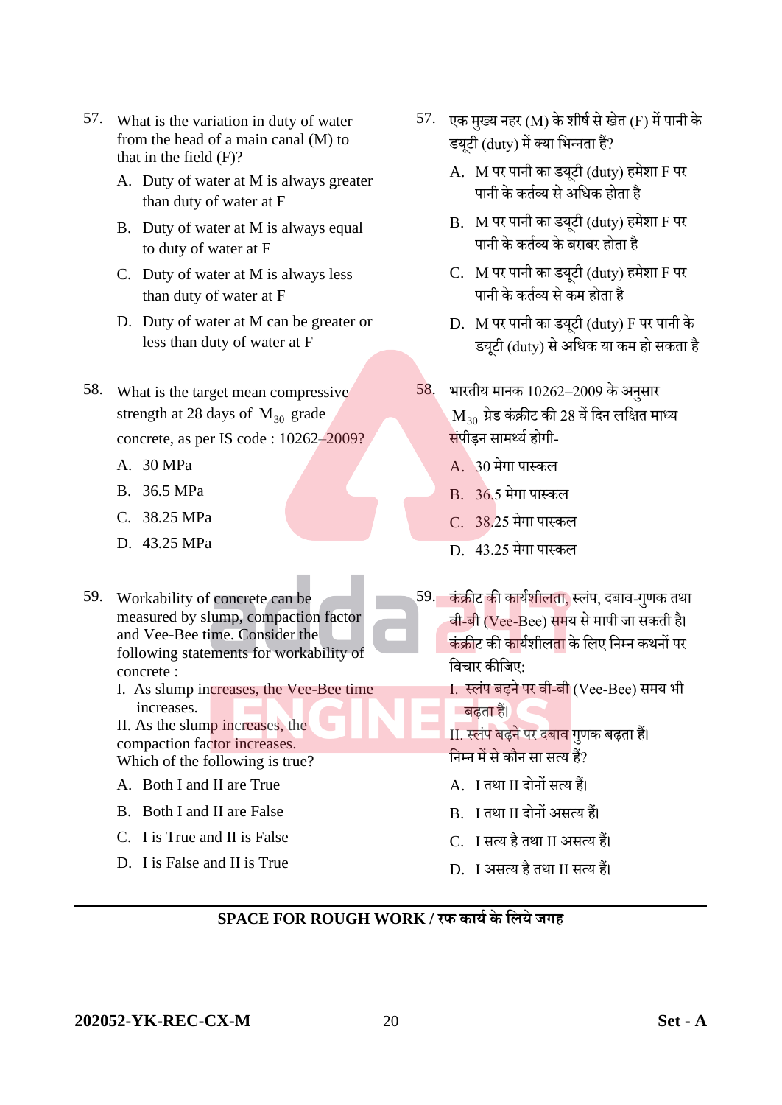- 57. What is the variation in duty of water from the head of a main canal (M) to that in the field (F)?
	- A. Duty of water at M is always greater than duty of water at F
	- B. Duty of water at M is always equal to duty of water at F
	- C. Duty of water at M is always less than duty of water at F
	- D. Duty of water at M can be greater or less than duty of water at F
- 58. What is the target mean compressive strength at 28 days of  $M_{30}$  grade concrete, as per IS code : 10262–2009?
	- A. 30 MPa
	- B. 36.5 MPa
	- C. 38.25 MPa
	- D. 43.25 MPa
- 59. Workability of concrete can be measured by slump, compaction factor and Vee-Bee time. Consider the following statements for workability of concrete :
	- I. As slump increases, the Vee-Bee time increases.
	- II. As the slump increases, the compaction factor increases. Which of the following is true?
	- A. Both I and II are True
	- B. Both I and II are False
	- C. I is True and II is False
	- D. I is False and II is True
- 57. एक मुख्य नहर (M) के शीर्ष से खेत (F) में पानी के डयटी (duty) में क्या भिन्नता हैं?
	- A. M पर पानी का डयटूी (duty) हमेशा F पर पानी के कतचव्य से असिक होता है
	- B. M पर पानी का डयटूी (duty) हमेशा F पर पानी के कतचव्य के बराबर होता है
	- C. M पर पानी का डयटूी (duty) हमेशा F पर पानी के कतचव्य से कम होता है
	- D. M पर पानी का डयटूी (duty) F पर पानी के डयटूी (duty) से असिक या कम हो सकता है
- $58.$  भारतीय मानक 10262–2009 के अनुसार  $\mathbf{M}_{\mathbf{30}}$  ग्रेड कंक्रीट की 28 वें दिन लक्षित माध्य <mark>स</mark>ंपीडन सामर्थ्य होगी-
	- A. 30 मेगा पास्कल
	- B. 36.5 मेगा पास्कल
	- C. 38.25 मेगा पास्कल
	- D. 43.25 मेगा पास्कल
- 59. कंक्रीट की कार्यशीलता, स्लंप, दबाव-गुणक तथा वी-बी (Vee-Bee) समय से मापी जा सकती है। <mark>कंक्रीट की का</mark>र्यशील<mark>ता</mark> के लिए निम्न कथनों पर विचार कीजिए:
	- I. स्लुंप बढ़नेपर वी-बी (Vee-Bee) समय भी बढ़ता हैं।
	- II. स्लुंप बढ़नेपर दबाव गणुक बढ़ताह।ैं सनम्न में से कौन सा सत्य हैं?
	- A. I तथा II दोनों सत्य हैं।
	- B. I तथा II दोनों असत्य हैं।
	- C. I सत्य है तथा II असत्य हैं।
	- D. I असत्य है तथा II सत्य हैं।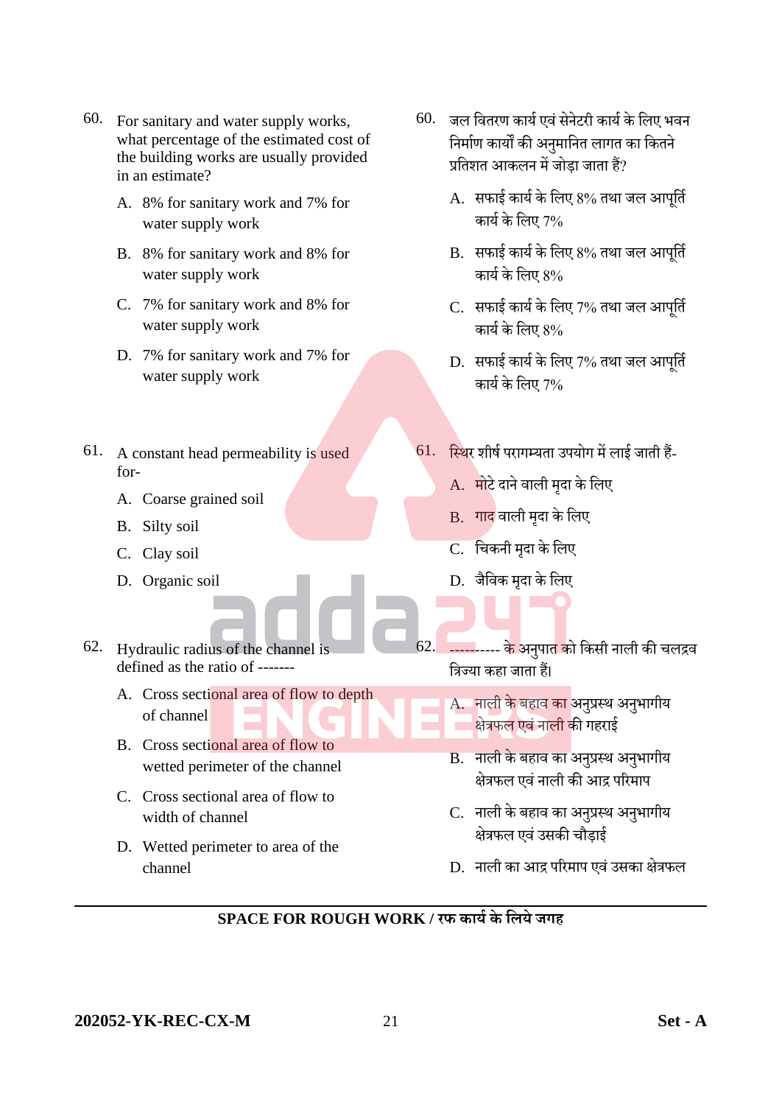- 60. For sanitary and water supply works, what percentage of the estimated cost of the building works are usually provided in an estimate?
	- A. 8% for sanitary work and 7% for water supply work
	- B. 8% for sanitary work and 8% for water supply work
	- C. 7% for sanitary work and 8% for water supply work
	- D. 7% for sanitary work and 7% for water supply work
- 61. A constant head permeability is used for-
	- A. Coarse grained soil
	- B. Silty soil
	- C. Clay soil
	- D. Organic soil
- 62. Hydraulic radius of the channel is defined as the ratio of -------
	- A. Cross sectional area of flow to depth of channel
	- B. Cross sectional area of flow to wetted perimeter of the channel
	- C. Cross sectional area of flow to width of channel
	- D. Wetted perimeter to area of the channel
- 60. जल वितरण कार्य एवं सेनेटरी कार्य के लिए भवन सनमाचण कायों की अनुमासनत लागत का सकतने प्रतिशत आकलन में जोड़ा जाता हैं?
	- $A.$  सफाई कार्य के लिए 8% तथा जल आपर्ति कार्य के लिए 7%
	- B. सफाई कार्य के लिए 8% तथा जल आपर्ति कार्य के लिए  $8\%$
	- C. सफाई कार्य के लिए 7% तथा जल आपूर्ति कार्य के लिए  $8\%$
	- D. सफाई कार्य के लिए 7% तथा जल आपूर्ति कार्य के लिए 7%
- $61.$  स्थिर शीर्ष परागम्यता उपयोग में लाई जाती हैं-
	- A. मोटे दाने वाली मुदा के लिए
	- B. गाद वाली मृदा के लिए
	- C. चिकनी मृदा के लिए
	- D. जैविक मृदा के लिए
- 62. ---------- के अनुपात को किसी नाली की चलद्रव त्रिज्या कहा जाता हैं।
	- A. नाली केबहाव का अनुप्रस्थ अनुभागीय क्षेत्रफल एवुंनाली की गहराई
	- B. नाली केबहाव का अनुप्रस्थ अनुभागीय क्षेत्रफल एवुंनाली की आद्र पररमाप
	- C. नाली केबहाव का अनुप्रस्थ अनुभागीय क्षेत्रफल एवुंउसकी र्ौड़ाई
	- D. नाली का आद्र पररमाप एवुंउसका क्षेत्रफल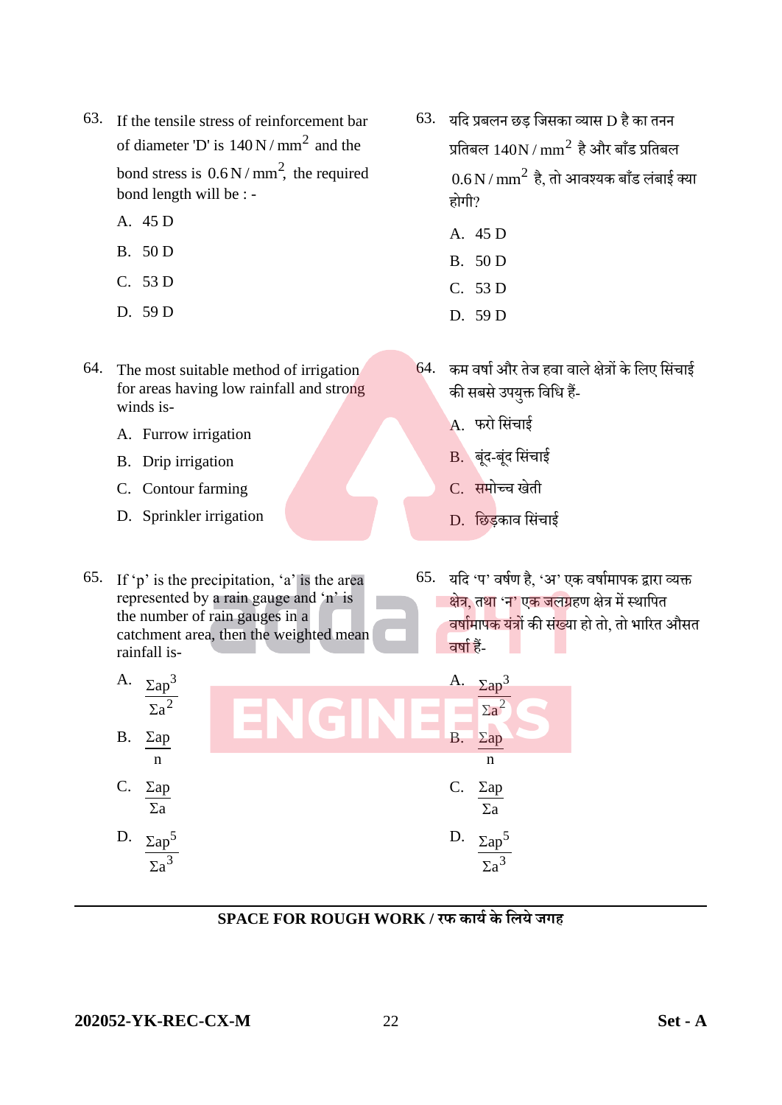- 63. If the tensile stress of reinforcement bar of diameter 'D' is  $140 \text{ N/mm}^2$  and the bond stress is  $0.6 \text{ N/mm}^2$ , the required bond length will be : -
	- A. 45 D
	- B. 50 D
	- C. 53 D
	- D. 59 D
- 64. The most suitable method of irrigation for areas having low rainfall and strong winds is-
	- A. Furrow irrigation
	- B. Drip irrigation
	- C. Contour farming
	- D. Sprinkler irrigation
- 65. If  $\phi$  is the precipitation,  $a'$  is the area represented by a rain gauge and 'n' is the number of rain gauges in a catchment area, then the weighted mean rainfall is-
- 63. यसद प्रबलन छड़ सिसका व्यास D है का तनन प्रतिबल 140N /  ${\rm mm}^{2}$  है और बाँड प्रतिबल  $0.6\,\mathrm{N}\,/\,\mathrm{mm}^2$  है, तो आवश्यक बाँड लंबाई क्या होगी?
	- A. 45 D
	- B. 50 D
	- C. 53 D
	- D. 59 D
- $64.$  कम वर्षा और तेज हवा वाले क्षेत्रों के लिए सिंचाई की सबसे उपयुक्त विधि हैं-
	- A. फरो सिंचाई
	- B. बूंद-बूंद सिंचाई
	- C. समोच्च खेती
	- D. छिड़काव सिंचाई
- 65. यसद 'प' वर्चण है, 'अ' एक वर्ाचमापक द्वारा व्यक्त <u>ि क्षेत्र, तथा 'न' एक जलग्र</u>हण क्षेत्र में स्थापित वर्षामापक यंत्रों की संख्या हो तो. तो भारित औसत वर्षा हैं-

| A.             |                                  | A. $\sum ap^3$                  |
|----------------|----------------------------------|---------------------------------|
|                | $\frac{\Sigma ap^3}{\Sigma a^2}$ | $\sqrt{\sum a^2}$               |
| <b>B.</b>      | $\Sigma$ ap                      | $\Sigma$ ap<br><b>B.</b>        |
|                | $\mathbf{n}$                     | n                               |
| $\mathbf{C}$ . | $\frac{\sum ap}{\sum a}$         | C. $\frac{\Sigma ap}{\Sigma a}$ |
| D.             | $\frac{\Sigma ap^5}{\Sigma a^3}$ | D. $\frac{\sum ap^5}{\sum a^3}$ |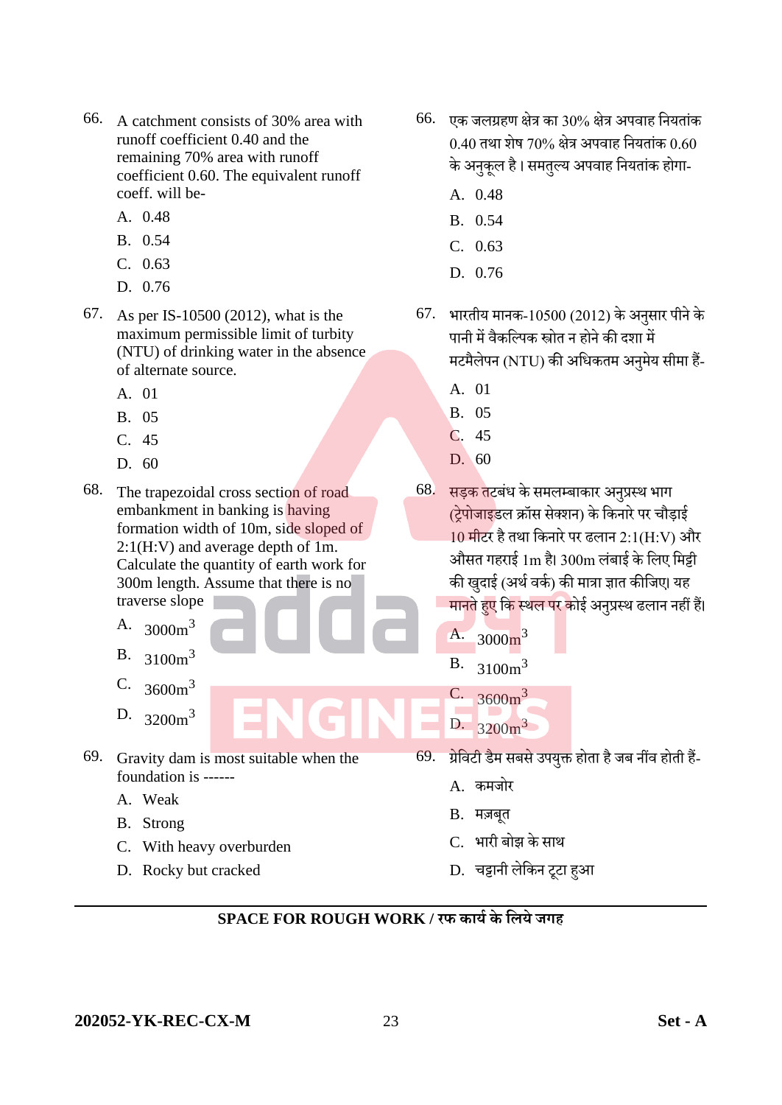- 66. A catchment consists of 30% area with runoff coefficient 0.40 and the remaining 70% area with runoff coefficient 0.60. The equivalent runoff coeff. will be-
	- A. 0.48
	- B. 0.54
	- C. 0.63
	- D. 0.76
- 67. As per IS-10500 (2012), what is the maximum permissible limit of turbity (NTU) of drinking water in the absence of alternate source.
	- A. 01
	- B. 05
	- C. 45
	- D. 60

68. The trapezoidal cross section of road embankment in banking is having formation width of 10m, side sloped of 2:1(H:V) and average depth of 1m. Calculate the quantity of earth work for 300m length. Assume that there is no traverse slope

- A. 3 3000m
- B. 3 3100m
- C. 3 3600m
- D. 3 3200m
- 69. Gravity dam is most suitable when the foundation is ------
	- A. Weak
	- B. Strong
	- C. With heavy overburden
	- D. Rocky but cracked
- $66.$  एक जलग्रहण क्षेत्र का  $30\%$  क्षेत्र अपवाह नियतांक  $0.40$  तथा शेष 70% क्षेत्र अपवाह नियतांक 0.60 के अनुकूल है। समतुल्य अपवाह नियतांक होगा-
	- A. 0.48
	- B. 0.54
	- C. 0.63
	- D. 0.76
- $67.$  भारतीय मानक- $10500(2012)$  के अनुसार पीने के पानी में वैकसर्लपक स्त्रोत न होने की दशा में मटमैलेपन (NTU) की अधिकतम अनुमेय सीमा हैं-
	- A. 01
	- B. 05
	- C. 45
	- D. 60
- 68. सड़क तटबंध के समलम्बाकार अनुप्रस्थ भाग (टेपोजाइडल क्रॉस सेक्शन) के किनारे पर चौड़ाई 10 मीटर है तथा सकनारे पर ढलान 2:1(H:V) और औसत गहराई  $1\text{m}$  है।  $300\text{m}$  लंबाई के लिए मिट्टी की खुदाई (अर्थ वर्क) की मात्रा ज्ञात कीजिए। यह मानतेहुए सक स्थल पर कोई अनुप्रस्थ ढलान नहीं हैं।
	- A.  $3000m^3$
	- B.  $3100m^3$
	- $C.$  3600 $m^3$ D.  $3200m^3$
- 69. ग्रेविटी डैम सबसे उपयुक्त होता है जब नींव होती हैं-
	- A. कमिोर

m.

- B. मज़बूत
- C. भारी बोझ के साथ
- D. चट्टानी लेकिन टूटा हुआ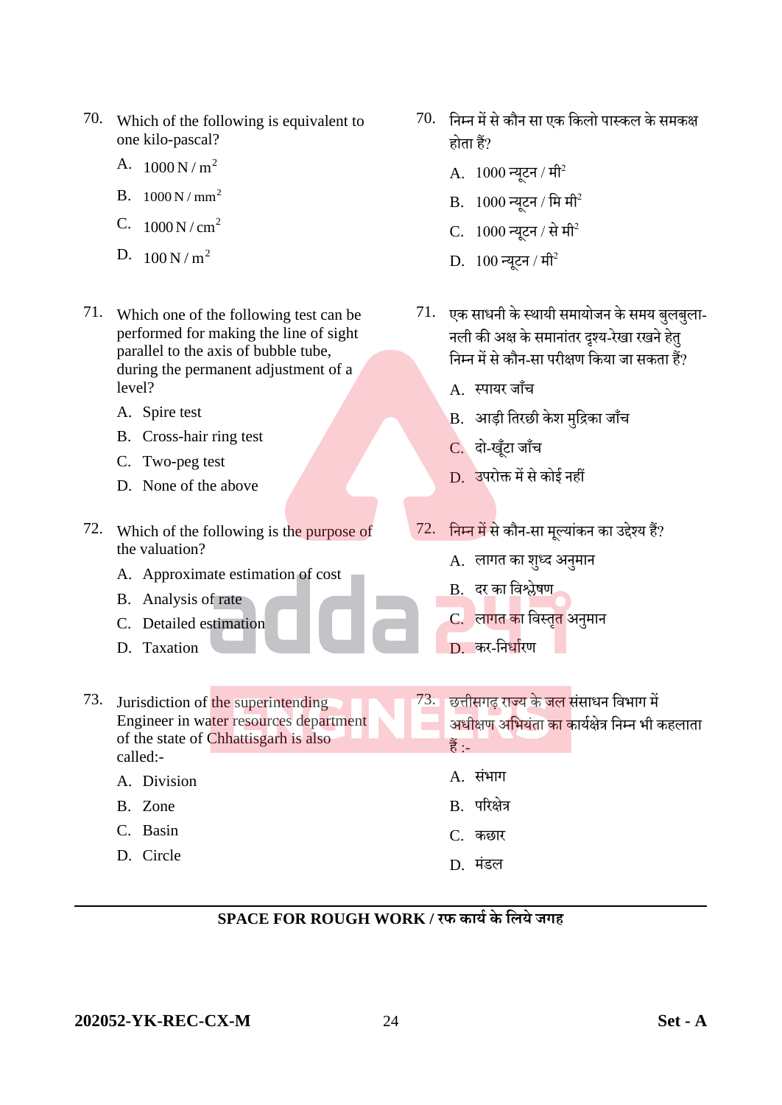- 70. Which of the following is equivalent to one kilo-pascal?
	- A.  $1000 \,\mathrm{N/m^2}$
	- **B.**  $1000 \text{ N/mm}^2$
	- C.  $1000 \,\mathrm{N/cm^2}$
	- D.  $100 N/m^2$
- 71. Which one of the following test can be performed for making the line of sight parallel to the axis of bubble tube, during the permanent adjustment of a level?
	- A. Spire test
	- B. Cross-hair ring test
	- C. Two-peg test
	- D. None of the above
- 72. Which of the following is the purpose of the valuation?
	- A. Approximate estimation of cost
	- B. Analysis of rate
	- C. Detailed estimation
	- D. Taxation
- 70. सनम्न में से कौन सा एक सकलो पास्कल के समकक्ष होता हैं?
	- $A.$   $1000$  न्यूटन / मी $^2$
	- $\, {\bf B.} \, \, \, 1000 \,$ न्यूटन / मि मी $\,$
	- C. 1000 न्यूटन / से मी<sup>2</sup>
	- $D. 100$  न्यूटन / मी $^2$
- 71. एक सािनी के स्थायी समायोिन के समय बुलबुला- नली की अक्ष के समानांतर दृश्य-रेखा रखने हेत् निम्न में से कौन-सा परीक्षण किया जा सकता हैं?
	- A. स्पायर जाँच
	- B. आड़ी तिरछी केश मुद्रिका जाँच
	- C. दो-खूँटा जाँच
	- D. उपरोक्त में से कोई नहीं
- $72.$  निम्न में से कौन-सा मुल्यांकन का उद्देश्य हैं?
	- A. लागत का शुध्द अनुमान
	- B. दर का सवश्लेर्ण
	- C. लागत का विस्तृत अनुमान
	- D. कर-निर्धारण
- 73. Jurisdiction of the superintending 73. । छत्तीसगढ़ राज्य के जल संसाधन विभाग में Engineer in water resources department a. of the state of Chhattisgarh is also हैं : called:- A. संभाग A. Division
	- B. Zone
	- C. Basin
	- D. Circle
- अधीक्षण अभियंता का कार्यक्षेत्र निम्न भी कहलाता
	- B. पररक्षेत्र
	- C. कछार
	- D. मंडल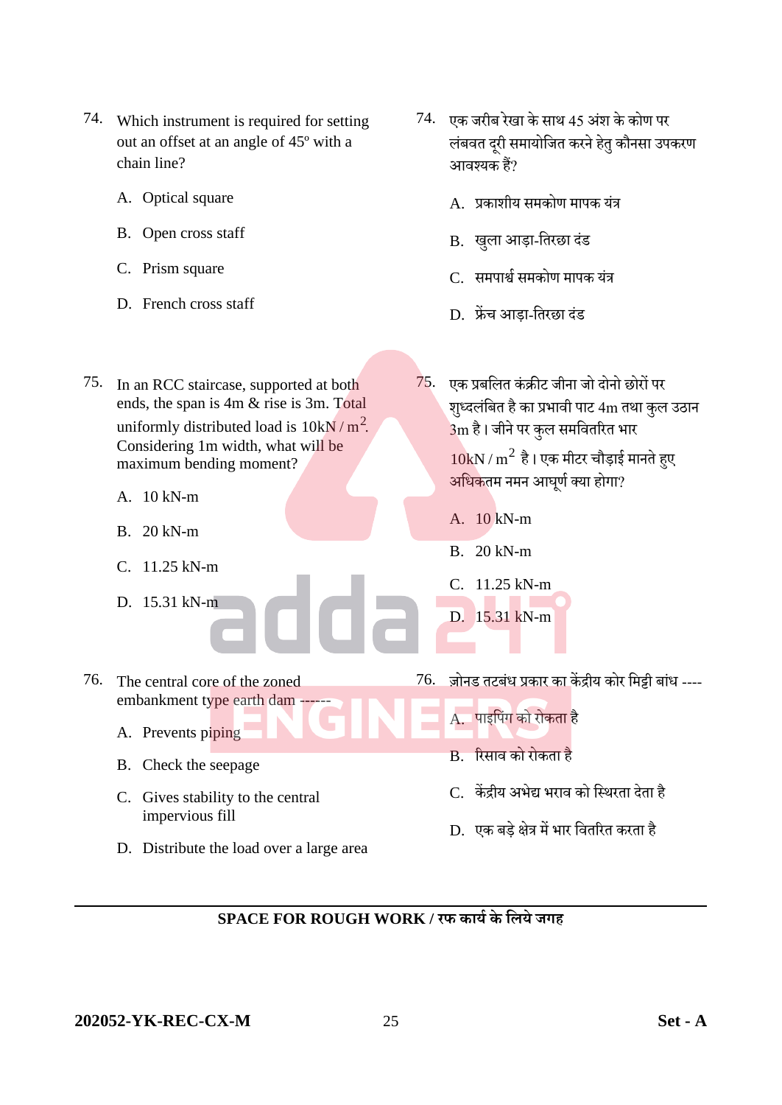- 74. Which instrument is required for setting out an offset at an angle of 45º with a chain line?
	- A. Optical square
	- B. Open cross staff
	- C. Prism square
	- D. French cross staff
- 75. In an RCC staircase, supported at both ends, the span is 4m & rise is 3m. Total uniformly distributed load is  $10 \text{kN/m}^2$ . Considering 1m width, what will be maximum bending moment?
	- A. 10 kN-m
	- B. 20 kN-m
	- C. 11.25 kN-m
	- D. 15.31 kN-m
- 74. एक जरीब रेखा के साथ 45 अंश के कोण पर लंबवत दरी समायोजित करने हेतु कौनसा उपकरण आवश्यक हैं?
	- A. प्रकाशीय समकोण मापक युंत्र
	- B. खुला आड़ा-तिरछा दंड
	- C. समपार्श्चसमकोण मापक युंत्र
	- D. फ्रें र् आड़ा-सतरछा दडुं
- $75.$  एक प्रबलित कंक्रीट जीना जो दोनो छोरों पर शुध्दलंबित है का प्रभावी पाट  $4\mathrm{m}$  तथा कुल उठान 3m है। जीने पर कुल समवितरित भार

 $10$ k $\mathrm{N}$  /  $\mathrm{m}^2$  है। एक मीटर चौड़ाई मानते हुए अधिकतम नमन आघर्ण क्या होगा?

- A. 10 kN-m
- B. 20 kN-m
- C. 11.25 kN-m

D. 15.31 kN-m

- 76. The central core of the zoned embankment type earth dam
	- A. Prevents piping
	- B. Check the seepage
	- C. Gives stability to the central impervious fill
	- D. Distribute the load over a large area
- 76. ज़ोनड तटबंध प्रकार का केंद्रीय कोर मिट्टी बांध ----
	- A. पाइपिंग को रोकता है
	- B. ररसाव को रोकता है
	- C. कें द्रीय अभेद्य भराव को सस्थरता देता है
	- D. एक बड़े क्षेत्र में भार सवतररत करता है
- **SPACE FOR ROUGH WORK / रफ कार्यके लिर्े जगह**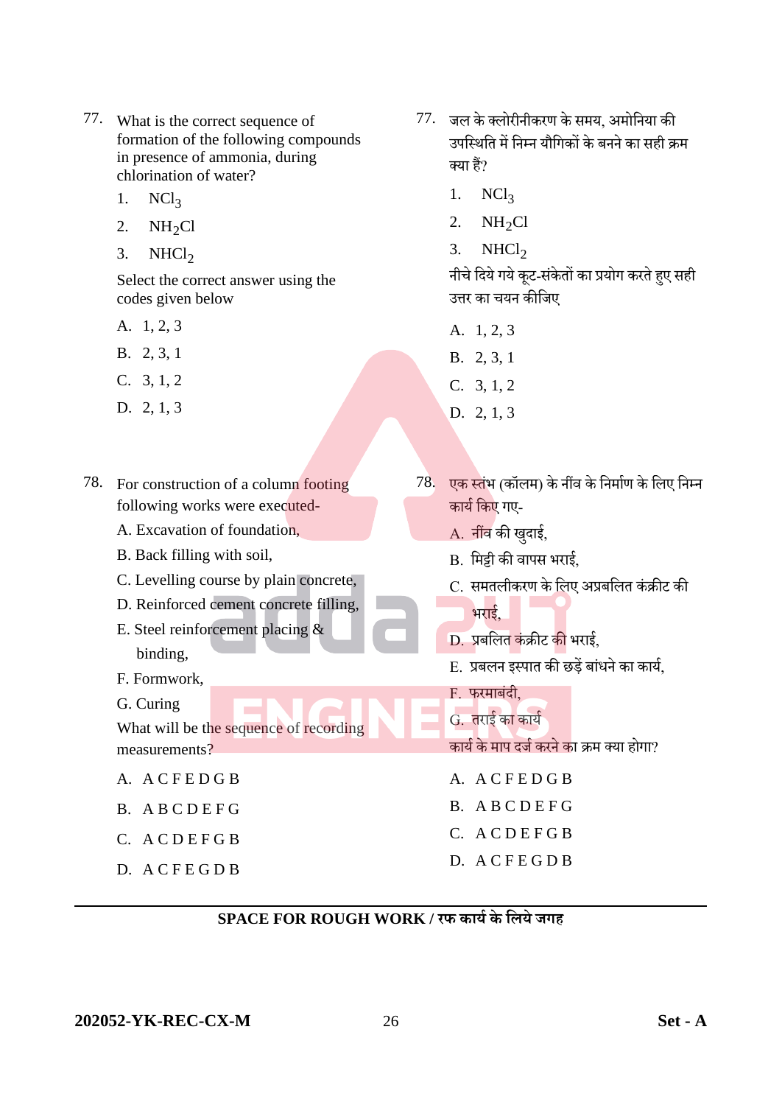| 77. What is the correct sequence of  |
|--------------------------------------|
| formation of the following compounds |
| in presence of ammonia, during       |
| chlorination of water?               |

- 1. NCl<sub>3</sub>
- 2.  $NH<sub>2</sub>Cl$
- 3.  $NHCl<sub>2</sub>$

Select the correct answer using the codes given below

- A. 1, 2, 3
- B. 2, 3, 1
- C. 3, 1, 2
- D. 2, 1, 3

78. For construction of a column footing following works were executed-

- A. Excavation of foundation,
- B. Back filling with soil,
- C. Levelling course by plain concrete,
- D. Reinforced cement concrete filling,
- E. Steel reinforcement placing & binding,
- F. Formwork,
- G. Curing

What will be the sequence of recording measurements?

- A. A C F E D G B
- B. A B C D E F G
- C. A C D E F G B
- D. A C F E G D B
- $77.$  जल के क्लोरीनीकरण के समय, अमोनिया की उपस्थिति में निम्न यौगिकों के बनने का सही कम क्या हैं?
	- 1.  $NCl<sub>3</sub>$
	- 2.  $NH<sub>2</sub>Cl$
	- 3.  $NHCl<sub>2</sub>$

नीचे दिये गये कूट-संकेतों का प्रयोग करते हुए सही उत्तर का र्यन कीसिए

- A. 1, 2, 3
- B. 2, 3, 1
- C. 3, 1, 2
- D. 2, 1, 3
- 78. एक स्तंभ (कॉलम) के नींव के निर्माण के लिए निम्न कार्य किए गए-
	- A. नींव की िदुाई,
	- B. समट्टी की वापस भराई,
	- C. समतलीकरण के लिए अप्रबलित कंक्रीट की भराई,
	- D. प्रबलित कुंक्रीट की भराई.
	- E. प्रबलन इस्पात की छड़ें बांधने का कार्य,
	- F. फरमाबुंदी,
	- G. तराई का कार्य

कार्य के माप दर्ज करने का क्रम क्या होगा?

- A. A C F E D G B
- B. A B C D E F G
- C. A C D E F G B
- D. A C F E G D B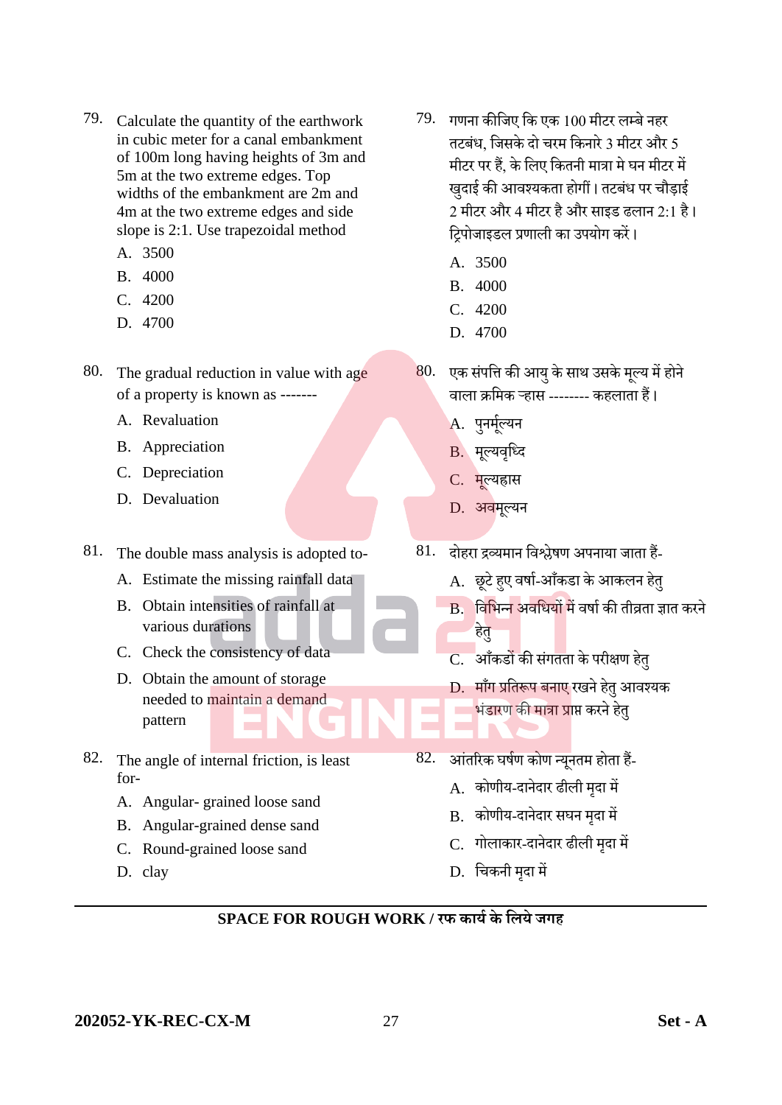- 79. Calculate the quantity of the earthwork in cubic meter for a canal embankment of 100m long having heights of 3m and 5m at the two extreme edges. Top widths of the embankment are 2m and 4m at the two extreme edges and side slope is 2:1. Use trapezoidal method
	- A. 3500
	- B. 4000
	- C. 4200
	- D. 4700
- 80. The gradual reduction in value with age of a property is known as -------
	- A. Revaluation
	- B. Appreciation
	- C. Depreciation
	- D. Devaluation

81. The double mass analysis is adopted to-

- A. Estimate the missing rainfall data
- B. Obtain intensities of rainfall at various durations
- C. Check the consistency of data
- D. Obtain the amount of storage needed to maintain a demand pattern
- 82. The angle of internal friction, is least for-
	- A. Angular- grained loose sand
	- B. Angular-grained dense sand
	- C. Round-grained loose sand
	- D. clay
- 79. गणना कीसिए सक एक 100 मीटर लम्बे नहर तटबंध, जिसके दो चरम किनारे 3 मीटर और 5 मीटर पर हैं, के सलए सकतनी मात्रा मे घन मीटर में खदाई की आवश्यकता होगीं। तटबंध पर चौडाई 2 मीटर और 4 मीटर है और साइड ढलान 2:1 है । ट्रिपोजाइडल प्रणाली का उपयोग करें।
	- A. 3500
	- B. 4000
	- C. 4200
	- D. 4700
- 80. एक संपत्ति की आयु के साथ उसके मूल्य में होने वाला क्रमिक ऱ्हास -------- कहलाता हैं।
	- A. पुनर्मृत्यन
	- B. मूल्यवृध्दि
	- C. मर्लूयह्रास
	- D. अवमूल्यन
- 81. दोहरा द्रव्यमान विश्लेषण अपनाया जाता हैं-
	- A. छूटे हुए वर्षा-आँकडा के आकलन हेत्
	- B. सवसभन्न अवसियों में वर्ाच की तीव्रता ज्ञात करने हेत्
	- C. आँकडों की संगतता के परीक्षण हेतु
	- D. माँग प्रतिरूप बनाए रखने हेत् आवश्यक भंडारण की मात्रा प्राप्त करने हेत्
- 82. आंतरिक घर्षण कोण न्यूनतम होता हैं-
	- A. कोणीय-दानेदार ढीली मदर ा में
	- B. कोणीय-दानेदार सघन मदा में
	- C. गोलाकार-दानेदार ढीली मदर ा में
	- D. चिकनी मृदा में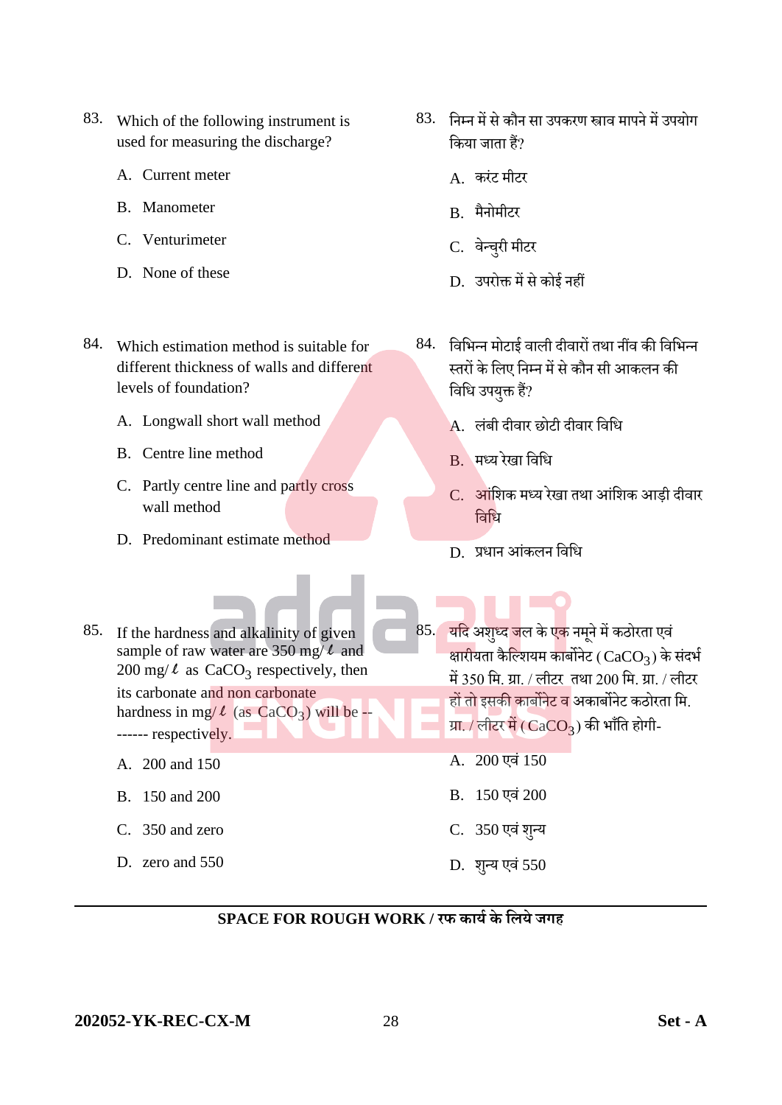- 83. Which of the following instrument is used for measuring the discharge?
	- A. Current meter
	- B. Manometer
	- C. Venturimeter
	- D. None of these
- 84. Which estimation method is suitable for different thickness of walls and different levels of foundation?
	- A. Longwall short wall method
	- B. Centre line method
	- C. Partly centre line and partly cross wall method
	- D. Predominant estimate method
- 83. सनम्न में से कौन सा उपकरण स्त्राव मापने में उपयोग किया जाता हैं?
	- A. करुंट मीटर
	- B. मैनोमीटर
	- C. वेन्र्रुी मीटर
	- D. उपरोक्त में से कोई नहीं
- 84. सवसभन्न मोटाई वाली दीवारों तथा नींव की सवसभन्न स्तरों के सलए सनम्न में से कौन सी आकलन की विधि उपयुक्त हैं?
	- A. लुंबी दीवार छोटी दीवार सवसि
	- B. मध्य रेखा विधि
	- C. आंशिक मध्य रेखा तथा आंशिक आड़ी दीवार सवसि
	- D. प्रधान आंकलन विधि
- 85. If the hardness and alkalinity of given sample of raw water are 350 mg/ $\ell$  and  $200 \text{ mg}/\ell$  as  $CaCO<sub>3</sub>$  respectively, then

its carbonate and non carbonate hardness in mg/ $\ell$  (as  $CaCO<sub>3</sub>$ ) will be -------- respectively.

- A. 200 and 150
- B. 150 and 200
- C. 350 and zero
- D. zero and 550
- 85. यदि अशुध्द जल के एक नमूने में कठोरता एवं क्षारीयता कैल्शियम कार्बोनेट ( $\rm CaCO_3$ ) के संदर्भ में 350 सम. ग्रा. / लीटर तथा 200 सम. ग्रा. / लीटर हों तो इसकी कार्बोनेट व अकार्बोनेट कठोरता मि. ग्रा. / लीटर में ( $\rm CaCO_3$ ) की भाँति होगी-
	- A. 200 एवं 150
	- B. 150 एवुं 200
	- C. 350 एवं शुन्य
	- D. शुन्य एवं 550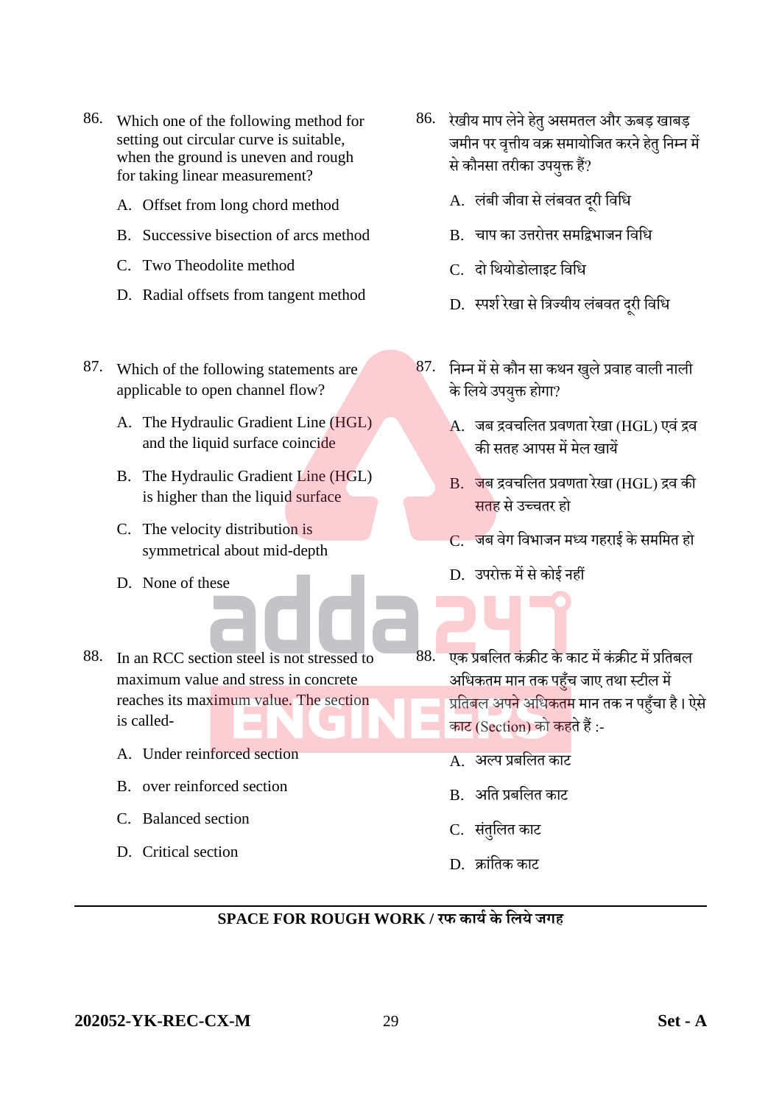- 86. Which one of the following method for setting out circular curve is suitable, when the ground is uneven and rough for taking linear measurement?
	- A. Offset from long chord method
	- B. Successive bisection of arcs method
	- C. Two Theodolite method
	- D. Radial offsets from tangent method
- 87. Which of the following statements are applicable to open channel flow?
	- A. The Hydraulic Gradient Line (HGL) and the liquid surface coincide
	- B. The Hydraulic Gradient Line (HGL) is higher than the liquid surface
	- C. The velocity distribution is symmetrical about mid-depth
	- D. None of these
- 88. In an RCC section steel is not stressed to maximum value and stress in concrete reaches its maximum value. The section is called-
	- A. Under reinforced section
	- B. over reinforced section
	- C. Balanced section
	- D. Critical section
- 86. रेिीय माप लेनेहतेुअसमतल और ऊबड़ िाबड़ जमीन पर वृत्तीय वक्र समायोजित करने हेतु निम्न में से कौनसा तरीका उपयुक्त हैं?
	- A. लंबी जीवा से लंबवत दूरी विधि
	- B. चाप का उत्तरोत्तर समद्रिभाजन विधि
	- C. दो सथयोडोलाइट सवसि
	- D. स्पर्श रेखा से त्रिज्यीय लंबवत दूरी विधि
- $87.$  निम्न में से कौन सा कथन खुले प्रवाह वाली नाली के लिये उपयुक्त होगा?
	- $\mathbf A$ . जब द्रवचलित प्रवणता रेखा (HGL) एवं द्रव की सतह आपस में मेल िायें
	- $B.$  जब द्रवचलित प्रवणता रेखा (HGL) द्रव की सतह से उच्र्तर हो
	- C. जब वेग विभाजन मध्य गहराई के सममित हो
	- D. उपरोक्त में से कोई नहीं
- 88. एक प्रबलित कुंक्रीट के काट में कुंक्रीट में प्रतिबल अधिकतम मान तक पहुँच जाए तथा स्टील में प्रतिबल अपने अधिकतम मान तक न पहुँचा है। ऐसे काट (Section) को कहते हैं :-
	- A. अर्लप प्रबसलत काट
	- B. असत प्रबसलत काट
	- C. संतुलित काट
	- D. क्रांतिक काट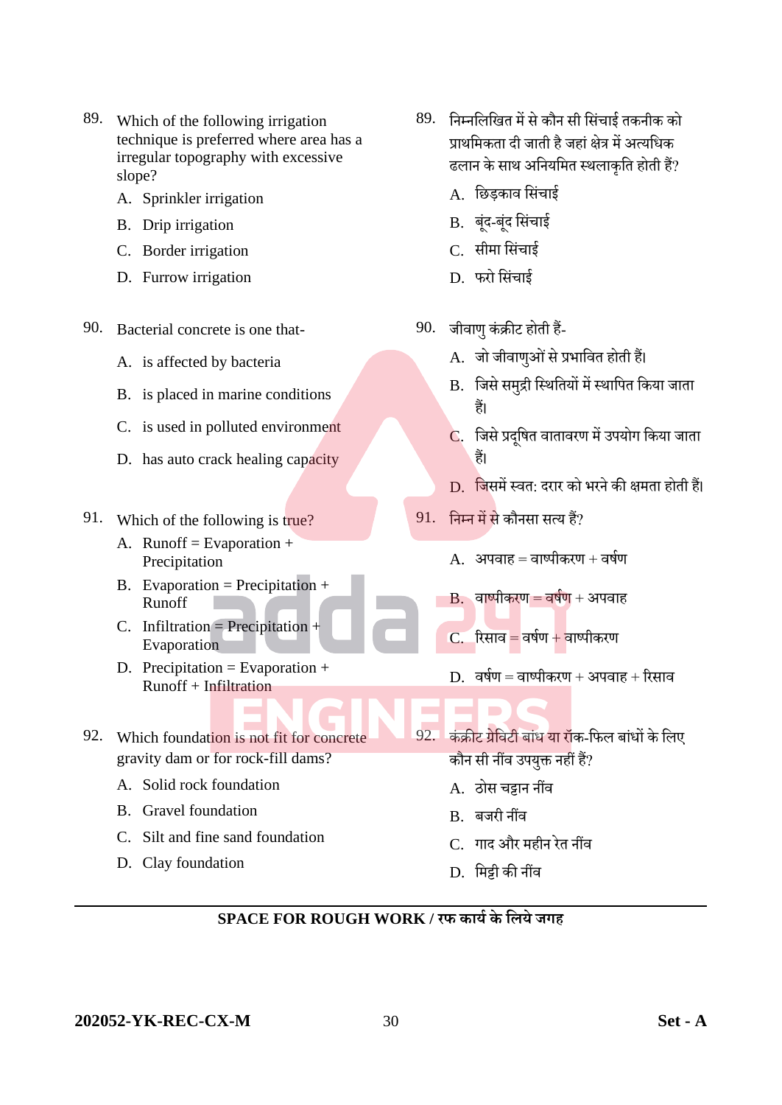- 89. Which of the following irrigation technique is preferred where area has a irregular topography with excessive slope?
	- A. Sprinkler irrigation
	- B. Drip irrigation
	- C. Border irrigation
	- D. Furrow irrigation
- 90. Bacterial concrete is one that-
	- A. is affected by bacteria
	- B. is placed in marine conditions
	- C. is used in polluted environment
	- D. has auto crack healing capacity
- 91. Which of the following is true?
	- A. Runoff = Evaporation + Precipitation
	- B. Evaporation = Precipitation + Runoff
	- C. Infiltration = Precipitation  $+$ Evaporation
	- D. Precipitation = Evaporation + Runoff + Infiltration
- 92. Which foundation is not fit for concrete gravity dam or for rock-fill dams?
	- A. Solid rock foundation
	- B. Gravel foundation
	- C. Silt and fine sand foundation
	- D. Clay foundation
- 89. सनम्नसलसित मेंसेकौन सी ससुंर्ाई तकनीक को प्राथमिकता दी जाती है जहां क्षेत्र में अत्यधिक ढलान के साथ अनियमित स्थलाकति होती हैं?
	- A. सछड़काव ससुंर्ाई
	- B. बुंद-बुंद सिंचाई
	- C. सीमा सिंचाई
	- D. फरो सिंचाई
- 90. जीवाणु कंक्रीट होती हैं-
	- A. जो जीवाणुओं से प्रभावित होती हैं।
	- B. जिसे समुद्री स्थितियों में स्थापित किया जाता हैं।
	- $\overline{\mathbf{C}}$ . जिसे प्रदूषित वातावरण में उपयोग किया जाता हैं।
	- D. सिसमें स्वत: दरार को भरने की क्षमता होती हैं।
- 91. सनम्न में से कौनसा सत्य हैं?
	- $A.$  अपवाह $=$  वाष्पीकरण  $+$  वर्षण
	- B. वाष्ट्पीकरण = वर्चण + अपवाह
		- C. ररसाव = वर्चण + वाष्ट्पीकरण
		- $D.$  वर्षण = वाष्पीकरण + अपवाह + रिसाव
- 92. कुंक्रीट ग्रेविटी बांध या रॉक-फिल बांधों के लिए कौन सी नींव उपयुक्त नहीं हैं?
	- A. ठोस र्ट्टान नींव

 $\sim$ 

**COL** 

- B. बिरी नींव
- C. गाद और महीन रेत नींव
- D. समट्टी की नींव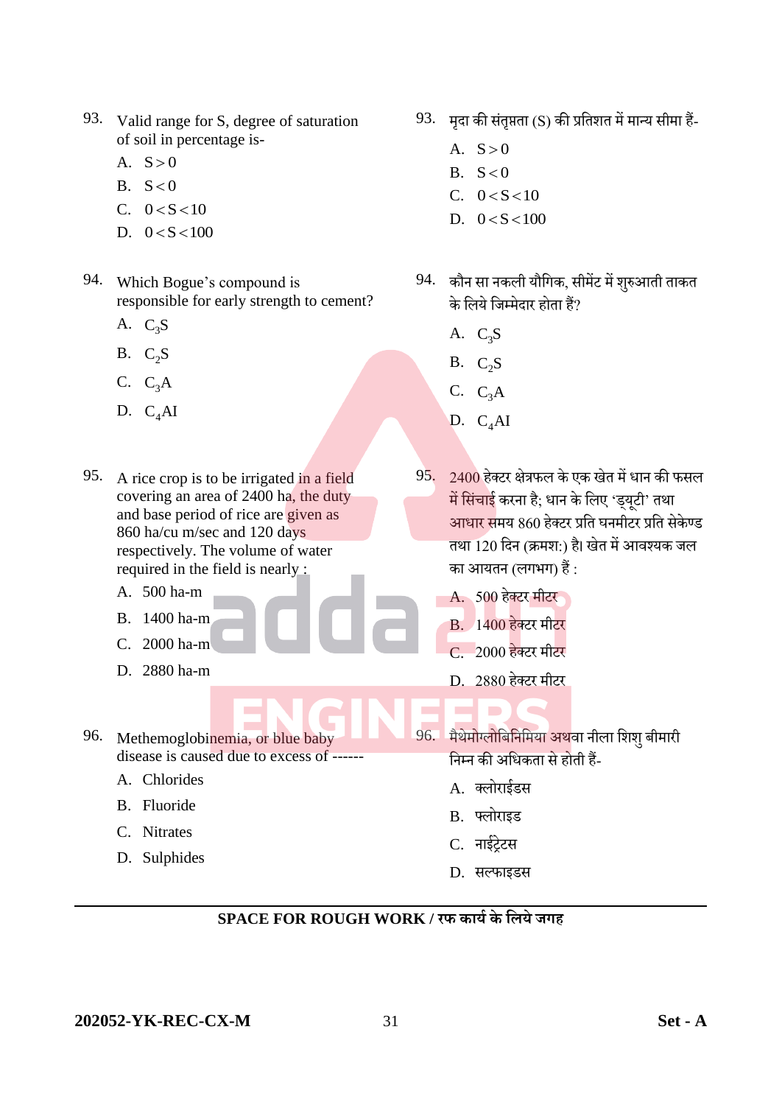- 93. Valid range for S, degree of saturation of soil in percentage is-
	- A.  $S > 0$
	- B.  $S < 0$
	- C.  $0 < S < 10$
	- D.  $0 < S < 100$
- 94. Which Bogue's compound is responsible for early strength to cement?
	- A.  $C_3S$
	- B.  $C_2S$
	- C.  $C_3A$
	- D.  $C_4AI$
- 95. A rice crop is to be irrigated in a field covering an area of 2400 ha, the duty and base period of rice are given as 860 ha/cu m/sec and 120 days respectively. The volume of water required in the field is nearly :
	- A. 500 ha-m
	- B. 1400 ha-m
	- C. 2000 ha-m
	- D. 2880 ha-m

96. Methemoglobinemia, or blue baby disease is caused due to excess of ------

- A. Chlorides
- B. Fluoride
- C. Nitrates
- D. Sulphides
- $93.$  मुदा की संतुप्तता (S) की प्रतिशत में मान्य सीमा हैं-
	- A.  $S > 0$
	- B.  $S < 0$
	- C.  $0 < S < 10$
	- D.  $0 < S < 100$
- 94. कौन सा नकली यौगिक, सीमेंट में शुरुआती ताकत के सलये सिम्मेदार होता हैं?
	- A.  $C_3S$
	- B.  $C_2S$
	- C.  $C_3A$
	- D.  $C_4AI$
- $95.$  2400 हेक्टर क्षेत्रफल के एक खेत में धान की फसल में सिंचाई करना है; धान के लिए 'ड्यूटी' तथा आधार समय 860 हेक्टर प्रति घनमीटर प्रति सेकेण्ड तथा 120 दिन (क्रमश:) है। खेत में आवश्यक जल का आयतन (लगभग) हैं :
	- A. 500 हेक्टर मीटर
		- B. 1400 हेक्टर मीटर
		- C. 2000 हेक्टर मीटर
		- D. 2880 हेक्टर मीटर

96. मैथेमोग्लोबिनिमिया अथवा नीला शिश् बीमारी सनम्न की असिकता से होती हैं-

A. क्लोराईडस

 $\sim$ 

- B. फ्लोराइड
- C. नाईरेटस
- D. सर्लफाइडस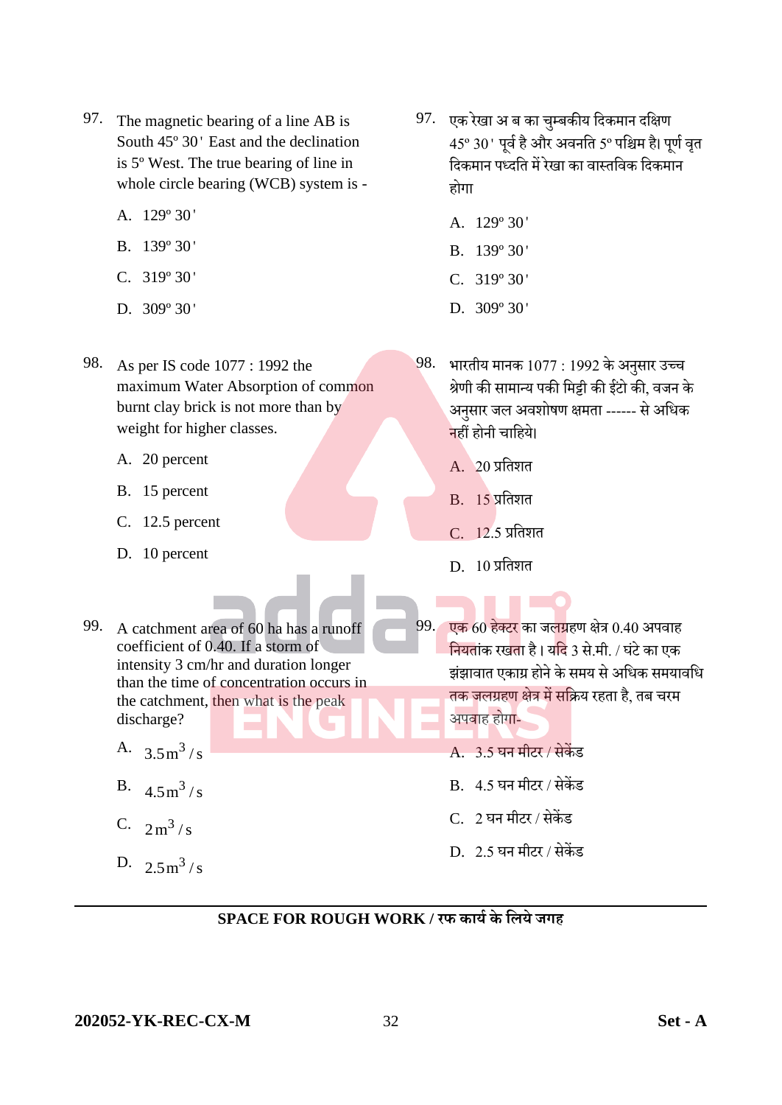- 97. The magnetic bearing of a line AB is South 45º 30 ' East and the declination is 5º West. The true bearing of line in whole circle bearing (WCB) system is -
	- A. 129° 30'
	- B. 139º 30 '
	- C. 319° 30'
	- D. 309° 30'
- 98. As per IS code 1077 : 1992 the maximum Water Absorption of common burnt clay brick is not more than by weight for higher classes.
	- A. 20 percent
	- B. 15 percent
	- C. 12.5 percent
	- D. 10 percent
- 97. एक रेखा अ ब का चुम्बकीय दिकमान दक्षिण 45° 30' पूर्व है और अवनति 5° पश्चिम है। पूर्ण वृत दिकमान पध्दति में रेखा का वास्तविक दिकमान होगा
	- A. 129° 30'
	- B. 139º 30 '
	- C. 319°30'
	- D. 309° 30'
- $98.$  भारतीय मानक  $1077:1992$  के अनुसार उच्च श्रेणी की सामान्य पकी मिट्टी की ईटो की, वजन के अनुसार िल अवशोर्ण क्षमता ------ से असिक नहीं होनी र्ासहये।
	- A. 20 प्रसतशत
	- $B = 15$  प्रतिशत
	- C. 12.5 प्रसतशत
	- $D. 10$  प्रतिशत
- 99. A catchment area of 60 ha has a runoff coefficient of 0.40. If a storm of intensity 3 cm/hr and duration longer than the time of concentration occurs in the catchment, then what is the peak discharge?
	- A.  $3.5 \text{ m}^3/\text{s}$
	- B.  $4.5 \text{ m}^3/\text{s}$
	- C.  $2 m^3/s$
	- D.  $2.5 \text{ m}^3/\text{s}$
- 99. एक 60 हेक्टर का जलग्रहण क्षेत्र 0.40 अपवाह नियतांक रखता है। यदि 3 से.मी. / घंटे का एक झंझावात एकाग्र होने के समय से अधिक समयावधि <mark>तक जलग्रहण क्षेत्र में सक्रिय रहता है, तब चरम</mark> अपवाह होगा-
	- A. 3.5 घन मीटर / सेकेंड
	- B. 4.5 घन मीटर / सेकें ड
	- C. 2 घन मीटर / सेकें ड
	- $D_2$  2.5 घन मीटर / सेकेंड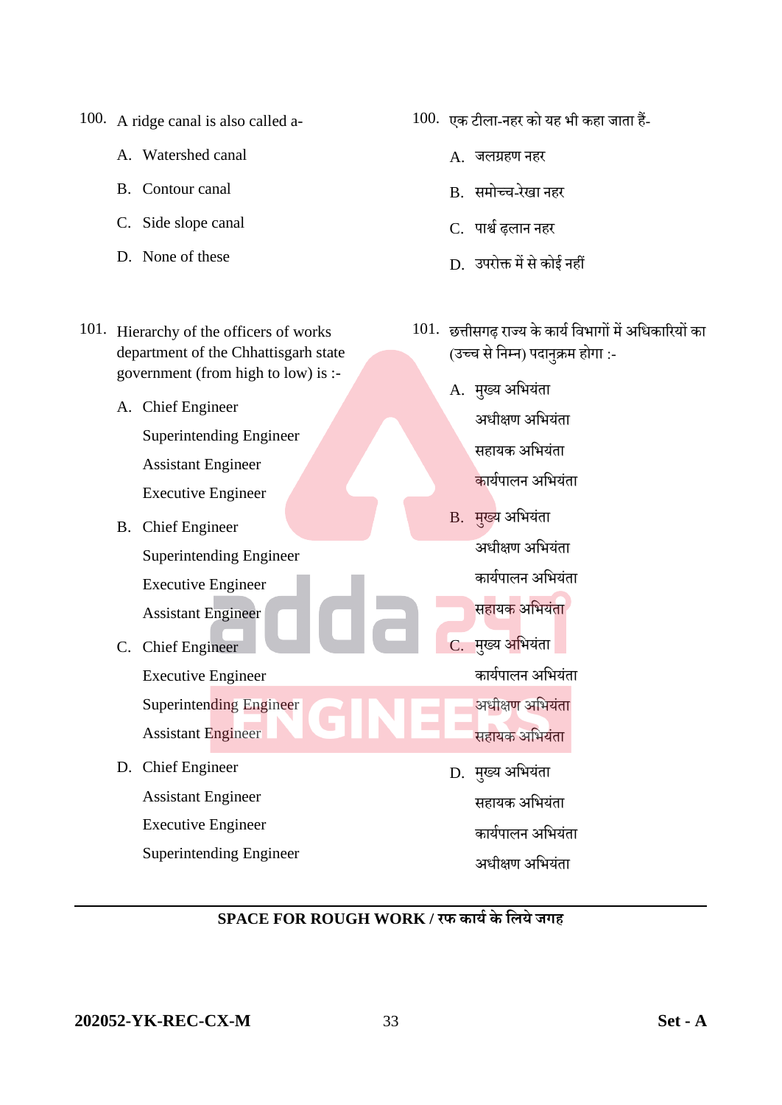100. A ridge canal is also called a-

- A. Watershed canal
- B. Contour canal
- C. Side slope canal
- D. None of these
- 101. Hierarchy of the officers of works department of the Chhattisgarh state government (from high to low) is :-
	- A. Chief Engineer Superintending Engineer Assistant Engineer Executive Engineer
	- B. Chief Engineer Superintending Engineer
		- Executive Engineer Assistant Engineer
	- C. Chief Engineer Executive Engineer Superintending Engineer Assistant Engineer
	- D. Chief Engineer Assistant Engineer Executive Engineer Superintending Engineer
- $100.$  एक टीला-नहर को यह भी कहा जाता हैं-
	- A. िलग्रहण नहर
	- B. समोच्च-रेखा नहर
	- C. पार्श्च ढ़लान नहर
	- D. उपरोक्त में से कोई नहीं
- 101. छत्तीसगढ़ राज्य के कार्य विभागों में अधिकारियों का (उच्च से निम्न) पदानुक्रम होगा :-
	- A. मुख्य अभियंता अधीक्षण अभियंता सहायक असभयुंता <mark>का</mark>र्यपालन अभियंता
	- B. मुख्य अभियंता अधीक्षण अभियंता कायचपालन असभयुंता सहायक अभियंता C. मुख्य अभियंता कायचपालन असभयुंता
		- अधीक्षण अभियंता सहायक असभयुंता
		- D. मुख्य अभियंता सहायक अभियंता कायचपालन असभयुंता अधीक्षण अभियंता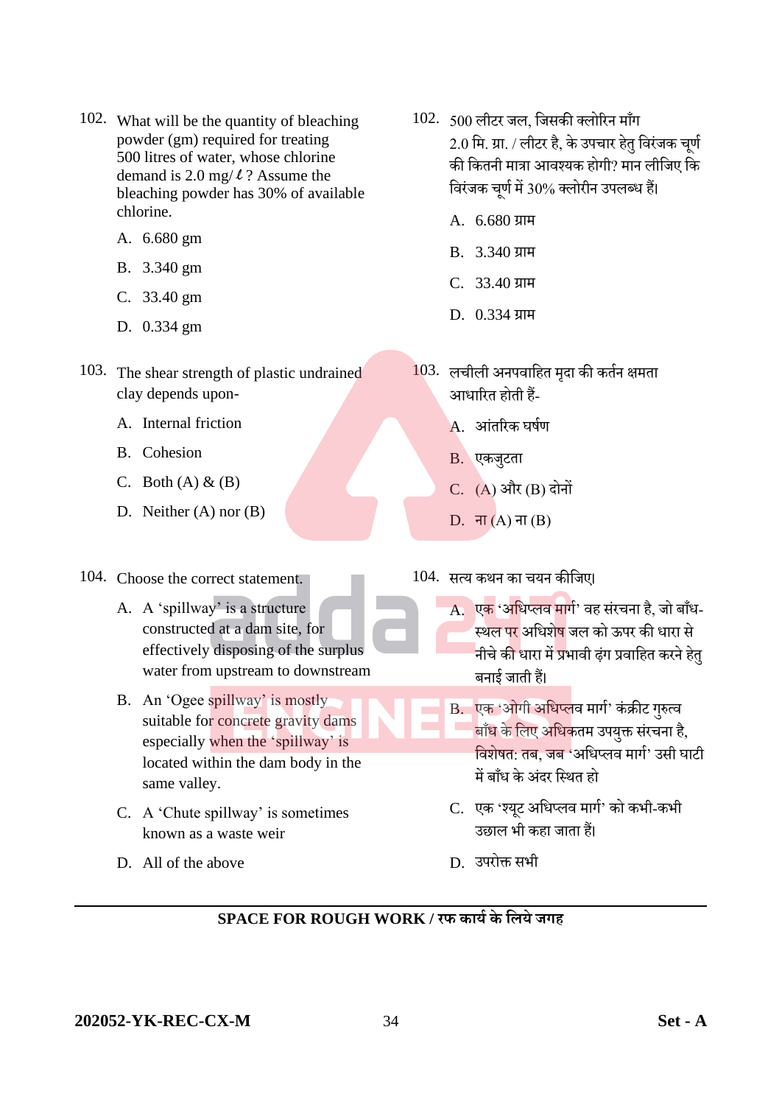- 102. What will be the quantity of bleaching powder (gm) required for treating 500 litres of water, whose chlorine demand is 2.0 mg/ *l* ? Assume the bleaching powder has 30% of available chlorine.
	- A. 6.680 gm
	- B. 3.340 gm
	- C. 33.40 gm
	- D. 0.334 gm
- 103. The shear strength of plastic undrained clay depends upon-
	- A. Internal friction
	- B. Cohesion
	- C. Both  $(A)$  &  $(B)$
	- D. Neither (A) nor (B)

104. Choose the correct statement.

- A. A 'spillway' is a structure constructed at a dam site, for effectively disposing of the surplus water from upstream to downstream
- B. An 'Ogee spillway' is mostly suitable for concrete gravity dams especially when the 'spillway' is located within the dam body in the same valley.
- C. A 'Chute spillway' is sometimes known as a waste weir

D. All of the above

- 102. 500 लीटर जल, जिसकी क्लोरिन माँग 2.0 मि. ग्रा. / लीटर है. के उपचार हेत विरंजक चर्ण की सकतनी मात्रा आवश्यक होगी? मान लीसिए सक विरंजक चूर्ण में 30% क्लोरीन उपलब्ध हैं।
	- A. 6.680 ग्राम
	- B. 3.340 ग्राम
	- C. 33.40 ग्राम
	- D. 0.334 ग्राम
- $103.$  लचीली अनपवाहित मृदा की कर्तन क्षमता आधारित होती हैं-
	- $\mathbf{A}$  अांतरिक घर्षण
	- B. एकजुटता
	- C. (A) और (B) दोनों
	- D. ना $(A)$ ना $(B)$

104. सत्य कथन का र्यन कीसिए।

- $\overline{{\rm A.}}$  एक 'अधिप्लव मार्ग' वह संरचना है, जो बाँध-स्थल पर अधिशेष जल को ऊपर की धारा से नीचे की धारा में प्रभावी ढंग प्रवाहित करने हेत बनाई जाती हैं।
- B. एक 'ओगी अधिप्लव मार्ग' कंक्रीट गुरुत्व <mark>बाँध के लिए अधिकतम उपयुक्त संरचना है,</mark> <u>विशेषत: तब, जब '</u>अधिप्लव मार्ग' उसी घाटी में बाँध के अंदर स्थित हो
- C. एक 'श्यूट अधिप्लव मार्ग' को कभी-कभी उछाल भी कहा िाता हैं।
- D. उपरोक्त सभी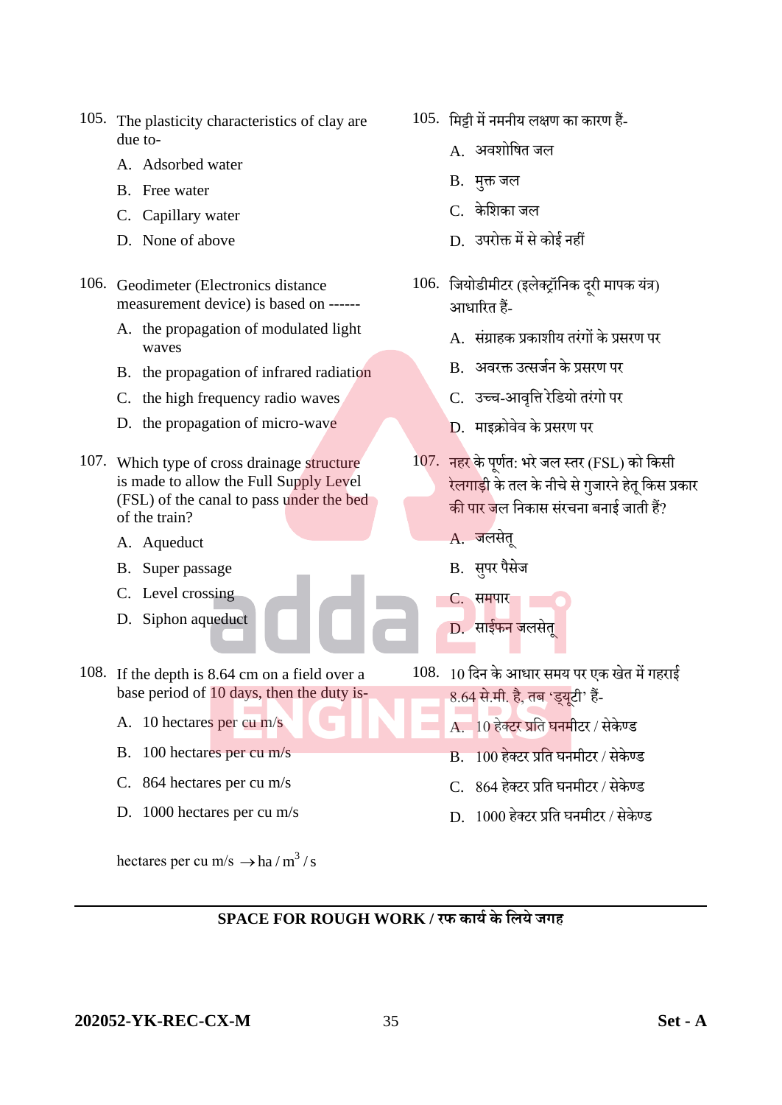- 105. The plasticity characteristics of clay are due to-
	- A. Adsorbed water
	- B. Free water
	- C. Capillary water
	- D. None of above
- 106. Geodimeter (Electronics distance measurement device) is based on ------
	- A. the propagation of modulated light waves
	- B. the propagation of infrared radiation
	- C. the high frequency radio waves
	- D. the propagation of micro-wave
- 107. Which type of cross drainage structure is made to allow the Full Supply Level (FSL) of the canal to pass under the bed of the train?
	- A. Aqueduct
	- B. Super passage
	- C. Level crossing
	- D. Siphon aqueduct
- 108. If the depth is 8.64 cm on a field over a base period of 10 days, then the duty is-
	- A. 10 hectares per cu m/s
	- B. 100 hectares per cu m/s
	- C. 864 hectares per cu m/s
	- D. 1000 hectares per cu m/s

hectares per cu m/s  $\rightarrow$  ha / m<sup>3</sup> / s

- 105. समट्टी में नमनीय लक्षण का कारण हैं-
	- A. अवशोषित जल
	- B. मुक्त जल
	- C. केशिका जल
	- D. उपरोक्त में से कोई नहीं
- 106. सियोडीमीटर (इलेक्रॉसनक दरूी मापक युंत्र) आधारित हैं-
	- A. सुंग्राहक प्रकाशीय तरुंगों केप्रसरण पर
	- B. अवरक्त उत्सिचन के प्रसरण पर
	- C. उच्च-आवृत्ति रेडियो तरंगो पर
	- D. माइक्रोवेव के प्रसरण पर
- 107. नहर के पूर्णत: भरे जल स्तर (FSL) को किसी रेलगाड़ी के तल के नीचे से गुजारने हेतु किस प्रकार की पार जल निकास संरचना बनाई जाती हैं?
	- A. जलसेत्

C. समपार

B. सुपर पैसेज

D. साईफन जलसेत

- $108.$   $10$  दिन के आधार समय पर एक खेत में गहराई 8.64 से.मी. है, तब 'ड्यूटी' हैं-
	- A. 10 हेक्टर प्रसत घनमीटर / सेके ण्ड
	- B. 100 हेक्टर प्रसत घनमीटर / सेके ण्ड
	- C. 864 हेक्टर प्रसत घनमीटर / सेके ण्ड
	- D. 1000 हेक्टर प्रसत घनमीटर / सेके ण्ड

**202052-YK-REC-CX-M** 35 **Set - A**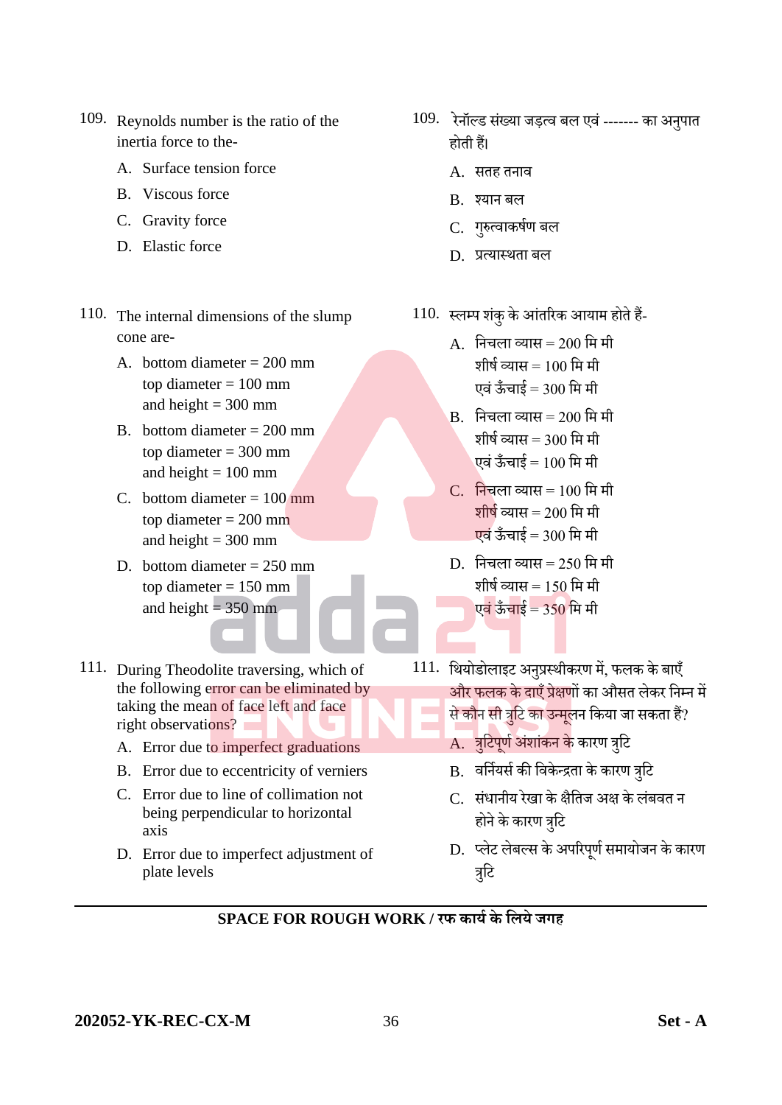- 109. Reynolds number is the ratio of the inertia force to the-
	- A. Surface tension force
	- B. Viscous force
	- C. Gravity force
	- D. Elastic force
- 110. The internal dimensions of the slump cone are-
	- A. bottom diameter  $= 200$  mm top diameter = 100 mm and height  $= 300$  mm
	- B. bottom diameter  $= 200$  mm top diameter = 300 mm and height  $= 100$  mm
	- C. bottom diameter  $= 100$  mm top diameter  $= 200$  mm and height  $= 300$  mm
	- D. bottom diameter  $= 250$  mm top diameter = 150 mm and height  $= 350$  mm
- 111. During Theodolite traversing, which of the following error can be eliminated by taking the mean of face left and face right observations?
	- A. Error due to imperfect graduations
	- B. Error due to eccentricity of verniers
	- C. Error due to line of collimation not being perpendicular to horizontal axis
	- D. Error due to imperfect adjustment of plate levels
- 109. रेनॉल्ड संख्या जड़त्व बल एवं ------- का अनुपात होती हैं।
	- A. सतह तनाव
	- B. श्यान बल
	- C. गुरुत्वाकर्षण बल
	- D. प्रत्यास्थता बल
- $110.$  स्लम्प शंकु के आंतरिक आयाम होते हैं-
	- A. निचला व्यास = 200 मि मी शीर्ष व्यास = 100 मि मी एवं ऊँचाई =  $300$  मि मी
	- B. निचला व्यास = 200 मि मी शीर्ष व्यास = 300 मि मी एवं ऊँचाई =  $100$  मि मी
	- $C_{\rm c}$  निचला व्यास = 100 मि मी शीर्ष व्यास $= 200$  मि मी एवं ऊँचाई =  $300$  मि मी
	- $D.$  निचला व्यास = 250 मि मी शीर्ष व्यास = 150 मि मी एवं ऊँचाई = 350 मि मी
- 111. थियोडोलाइट अनुप्रस्थीकरण में, फलक के बाएँ और फलक के दाएाँ प्रेक्षणों का औसत लेकर सनम्न में **COL** से कौन सी त्रुटि का उन्मूलन किया जा सकता हैं?
	- A. त्रुटिपूर्ण अंशांकन के कारण त्रुटि
	- B. वर्नियर्स की विकेन्द्रता के कारण त्रुटि
	- C. संधानीय रेखा के क्षैतिज अक्ष के लंबवत न होने के कारण त्रुटि
	- D. प्लेट लेबल्स के अपरिपूर्ण समायोजन के कारण त्रुटि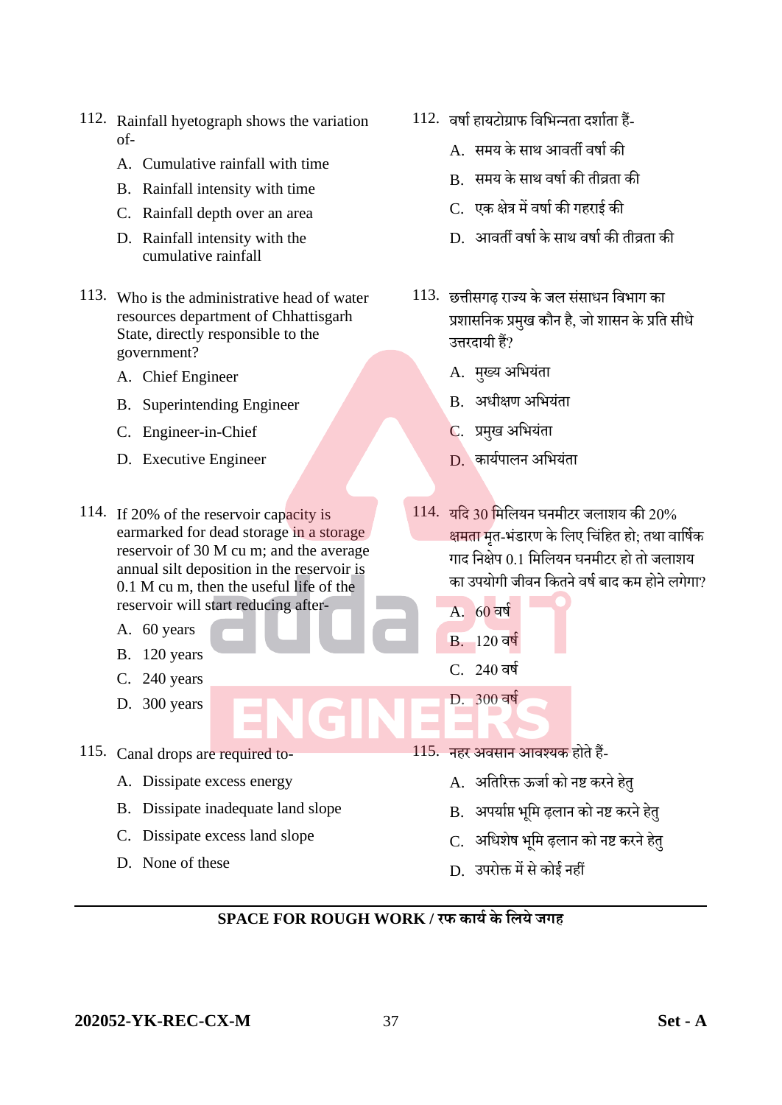- 112. Rainfall hyetograph shows the variation of-
	- A. Cumulative rainfall with time
	- B. Rainfall intensity with time
	- C. Rainfall depth over an area
	- D. Rainfall intensity with the cumulative rainfall
- 113. Who is the administrative head of water resources department of Chhattisgarh State, directly responsible to the government?
	- A. Chief Engineer
	- B. Superintending Engineer
	- C. Engineer-in-Chief
	- D. Executive Engineer
- 114. If 20% of the reservoir capacity is earmarked for dead storage in a storage reservoir of 30 M cu m; and the average annual silt deposition in the reservoir is 0.1 M cu m, then the useful life of the reservoir will start reducing after-
	- A. 60 years
	- B. 120 years
	- C. 240 years
	- D. 300 years

115. Canal drops are required to-

- A. Dissipate excess energy
- B. Dissipate inadequate land slope
- C. Dissipate excess land slope
- D. None of these
- $112.$  वर्षा हायटोग्राफ विभिन्नता दर्शाता हैं-
	- A. समय के साथ आवती वर्ाच की
	- B. समय के साथ वर्ाच की तीव्रता की
	- C. एक क्षेत्र में वर्ाच की गहराई की
	- D. आवती वर्ाच के साथ वर्ाच की तीव्रता की
- 113. छत्तीसगढ़ राज्य के जल संसाधन विभाग का प्रशासनिक प्रमुख कौन है, जो शासन के प्रति सीधे उत्तरदायी हैं?
	- A. मुख्य अभियंता
	- B. अधीक्षण अभियंता
	- C. प्रमख अभियंता
	- D. कायचपालन असभयुंता
- $114.$  यदि 30 मिलियन घनमीटर जलाशय की 20% <u>क्षमता म</u>त-भंडारण के लिए चिंहित हो; तथा वार्षिक गाद निक्षेप 0.1 मिलियन घनमीटर हो तो जलाशय का उपयोगी जीवन कितने वर्ष बाद कम होने लगेगा?

115. नहर अवसान आवश्यक होते हैं-

A. 60 वर्च

B. 120 वर्च

C. 240 वर्च

D. 300 वर्च

a. a.

- A. अतिरिक्त ऊर्जा को नष्ट करने हेत्
- B. अपर्याप्त भूमि ढ़लान को नष्ट करने हेतु
- C. अधिशेष भूमि ढ़लान को नष्ट करने हेत्
- D. उपरोक्त में से कोई नहीं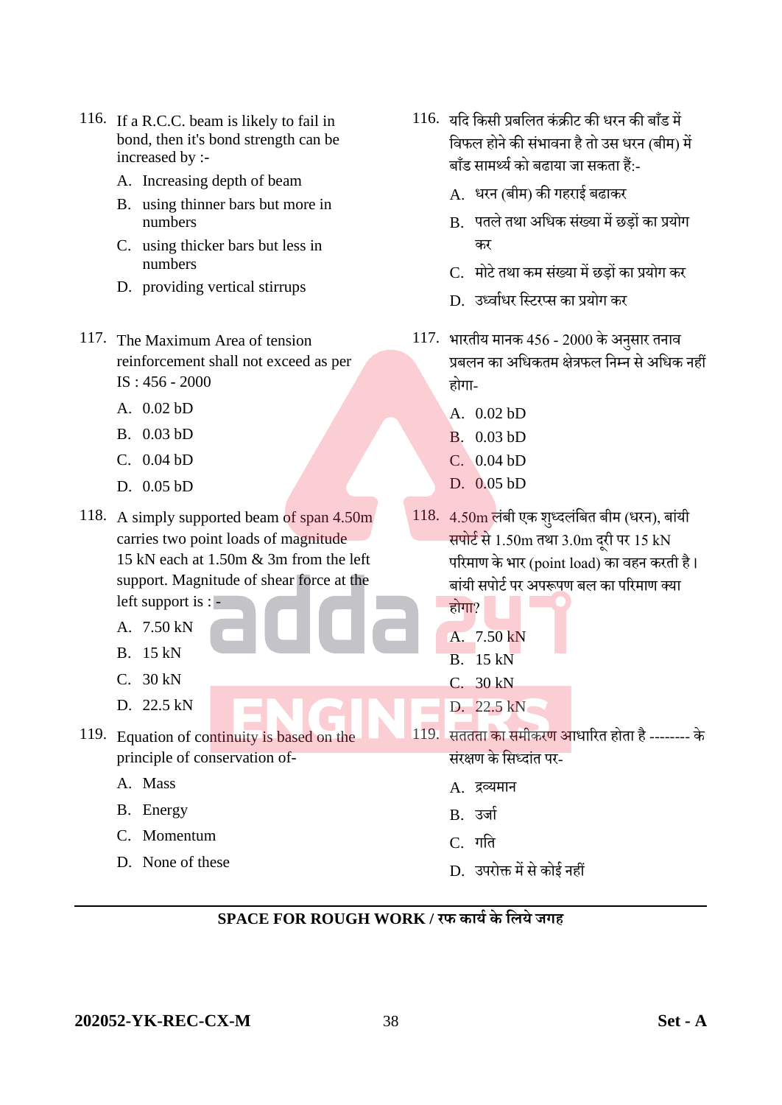- 116. If a R.C.C. beam is likely to fail in bond, then it's bond strength can be increased by :-
	- A. Increasing depth of beam
	- B. using thinner bars but more in numbers
	- C. using thicker bars but less in numbers
	- D. providing vertical stirrups
- 117. The Maximum Area of tension reinforcement shall not exceed as per IS : 456 - 2000
	- A. 0.02 bD
	- B. 0.03 bD
	- C. 0.04 bD
	- D. 0.05 bD

118. A simply supported beam of span 4.50m carries two point loads of magnitude 15 kN each at 1.50m & 3m from the left support. Magnitude of shear force at the left support is : -

- A. 7.50 kN
- B. 15 kN
- C. 30 kN
- D. 22.5 kN
- 119. Equation of continuity is based on the principle of conservation of-
	- A. Mass
	- B. Energy
	- C. Momentum
	- D. None of these
- 116. यदि किसी प्रबलित कंक्रीट की धरन की बाँड में सवफल होनेकी सुंभावनाहैतोउस िरन (बीम) में बाँड सामर्थ्य को बढाया जा सकता हैं:-
	- A. िरन (बीम) की गहराई बढाकर
	- B. पतले तथा अधिक संख्या में छड़ों का प्रयोग कर
	- C. मोटे तथा कम संख्या में छड़ों का प्रयोग कर
	- D. उध्वाचिर सस्टर्स का प्रयोग कर
- $117.$  भारतीय मानक 456 2000 के अनुसार तनाव प्रबलन का असिकतम क्षेत्रफल सनम्न से असिक नहीं होगा-
	- A. 0.02 bD
	- B. 0.03 bD
	- C. 0.04 bD
	- D. 0.05 bD
- $118.$  4.50m लंबी एक शुध्दलंबित बीम (धरन), बांयी सपोर्ट से 1.50m तथा 3.0m दरी पर 15 kN पररमाण के भार (point load) का वहन करती है । बांयी सपोर्ट पर अपरूपण बल का परिमाण क्या
	- A. 7.50 kN B. 15 kN

होगा?

- C. 30 kN
- D. 22.5 kN
- 119. सततता का समीकरण आिाररत होता है -------- के संरक्षण के सिध्दांत पर-
	- A. द्रव्यमान
	- B. उर्जा
	- $C.$  गति
	- D. उपरोक्त में से कोई नहीं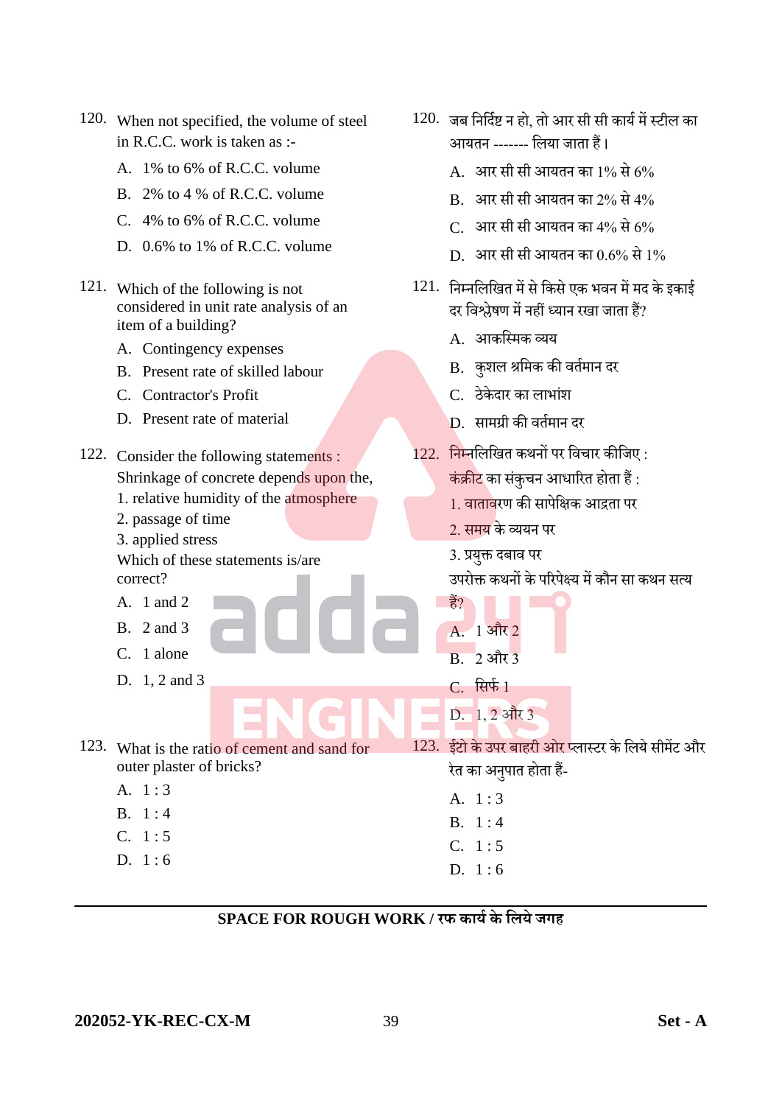|      | 120. When not specified, the volume of steel<br>in R.C.C. work is taken as :-                                                                                                                                                                                                               | 120. जब निर्दिष्ट न हो, तो आर सी सी कार्य में स्टील का<br>आयतन ------- लिया जाता हैं।                                                                                                                                                                                                        |
|------|---------------------------------------------------------------------------------------------------------------------------------------------------------------------------------------------------------------------------------------------------------------------------------------------|----------------------------------------------------------------------------------------------------------------------------------------------------------------------------------------------------------------------------------------------------------------------------------------------|
|      | A. 1% to 6% of R.C.C. volume                                                                                                                                                                                                                                                                | A. आर सी सी आयतन का $1\%$ से $6\%$                                                                                                                                                                                                                                                           |
|      | B. 2% to 4 % of R.C.C. volume                                                                                                                                                                                                                                                               | B. आर सी सी आयतन का 2% से 4%                                                                                                                                                                                                                                                                 |
|      | C. 4% to 6% of R.C.C. volume                                                                                                                                                                                                                                                                | C. आर सी सी आयतन का 4% से 6%                                                                                                                                                                                                                                                                 |
|      | D. $0.6\%$ to 1% of R.C.C. volume                                                                                                                                                                                                                                                           | D. आर सी सी आयतन का $0.6\%$ से 1%                                                                                                                                                                                                                                                            |
|      | 121. Which of the following is not<br>considered in unit rate analysis of an<br>item of a building?                                                                                                                                                                                         | 121. निम्नलिखित में से किसे एक भवन में मद के इकाई<br>दर विश्लेषण में नहीं ध्यान रखा जाता हैं?                                                                                                                                                                                                |
|      | A. Contingency expenses                                                                                                                                                                                                                                                                     | A. आकस्मिक व्यय                                                                                                                                                                                                                                                                              |
|      | B. Present rate of skilled labour                                                                                                                                                                                                                                                           | B. कुशल श्रमिक की वर्तमान दर                                                                                                                                                                                                                                                                 |
|      | C. Contractor's Profit                                                                                                                                                                                                                                                                      | C. ठेकेदार का लाभांश                                                                                                                                                                                                                                                                         |
|      | D. Present rate of material                                                                                                                                                                                                                                                                 | D. सामग्री की वर्तमान दर                                                                                                                                                                                                                                                                     |
|      | 122. Consider the following statements:<br>Shrinkage of concrete depends upon the,<br>1. relative humidity of the atmosphere<br>2. passage of time<br>3. applied stress<br>Which of these statements is/are<br>correct?<br>A. 1 and 2<br><b>B.</b> 2 and 3<br>C. 1 alone<br>D. $1, 2$ and 3 | 122. निम्नलिखित कथनों पर विचार कीजिए :<br>कंक्रीट का संकुचन आधारित होता हैं :<br>1. वातावरण की सापेक्षिक आद्रता पर<br>2. समय के व्ययन पर<br>3. प्रयुक्त दबाव पर<br>उपरोक्त कथनों के परिपेक्ष्य में कौन सा कथन सत्य<br>हैं?<br>A. 1 और 2<br>2 और 3<br><b>B.</b><br>C. सिर्फ 1<br>D. 1, 2 और 3 |
| 123. | What is the ratio of cement and sand for<br>outer plaster of bricks?<br>A. $1:3$<br>B. 1:4<br>C. 1:5<br>D. $1:6$                                                                                                                                                                            | 123. ईंटो के उपर बाहरी ओर प्लास्टर के लिये सीमेंट और<br>रेत का अनुपात होता हैं-<br>A. $1:3$<br>B. 1:4<br>C. 1:5<br>D. $1:6$                                                                                                                                                                  |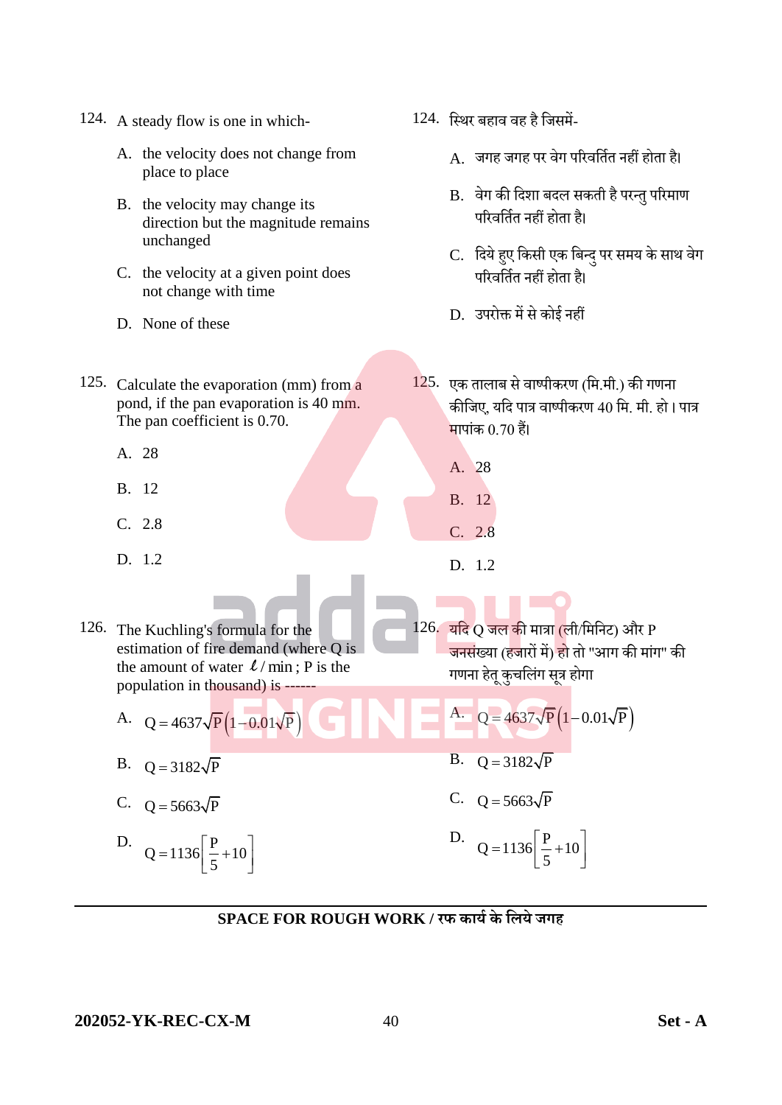- 124. A steady flow is one in which-
	- A. the velocity does not change from place to place
	- B. the velocity may change its direction but the magnitude remains unchanged
	- C. the velocity at a given point does not change with time
	- D. None of these
- 125. Calculate the evaporation (mm) from a pond, if the pan evaporation is 40 mm. The pan coefficient is 0.70.
	- A. 28
	- B. 12
	- C. 2.8
	- D. 1.2
- 124. सस्थर बहाव वह है सिसमें-
	- A. जगह जगह पर वेग परिवर्तित नहीं होता है।
	- B. वेग की दिशा बदल सकती है परन्त परिमाण परिवर्तित नहीं होता है।
	- C. दिये हुए किसी एक बिन्दु पर समय के साथ वेग परिवर्तित नहीं होता है।
	- D. उपरोक्त में से कोई नहीं

A. 28

B. 12

C. 2.8

D. 1.2

 $125.$  एक तालाब से वाष्पीकरण (मि.मी.) की गणना कीजिए, यदि पात्र वाष्पीकरण 40 मि. मी. हो। पात्र मापांक 0.70 हैं।

- 126. The Kuchling's formula for the estimation of fire demand (where Q is the amount of water  $\ell$  / min; P is the population in thousand) is ---A.  $Q = 4637\sqrt{P(1-0.01\sqrt{P})}$ B.  $Q = 3182\sqrt{P}$  $126.$  यदि  $O$  जल की मात्रा (ली/मिनिट) और P <mark>जनसं</mark>ख्या (हजारों में) हो तो "आग की मांग" की गणनाहतेूकुर्सलुंग सत्रू होगा A.  $Q = 4637\sqrt{P} (1 - 0.01\sqrt{P})$  $B. \quad Q = 3182\sqrt{P}$ 
	- C.  $Q = 5663\sqrt{P}$ 
		- D.  $Q = 1136 \frac{P}{2} + 10$ 5  $= 1136 \left[ \frac{P}{5} + 10 \right]$

#### **SPACE FOR ROUGH WORK / रफ कार्यके लिर्े जगह**

**202052-YK-REC-CX-M** 40 **Set - A**

C.  $Q = 5663\sqrt{P}$ 

D.  $Q = 1136 \frac{P}{2} + 10$ 

5  $= 1136 \left[ \frac{P}{5} + 10 \right]$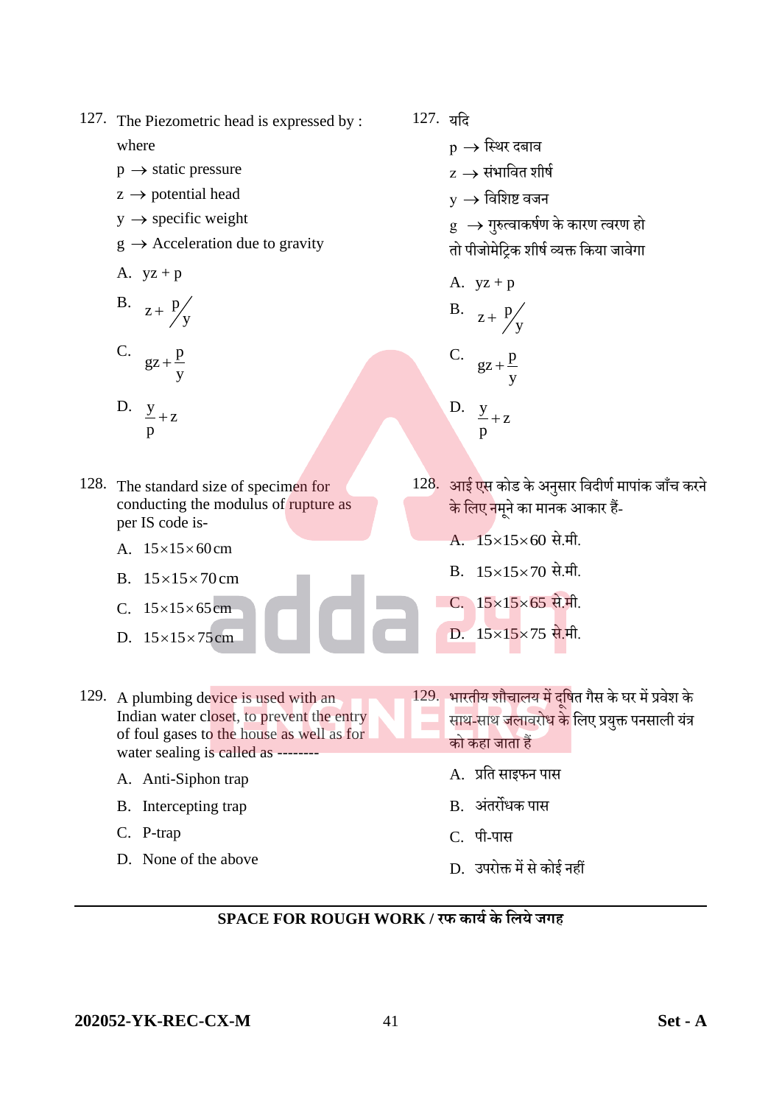127. The Piezometric head is expressed by :

where

- $p \rightarrow$  static pressure
- $z \rightarrow$  potential head
- $y \rightarrow$  specific weight
- $g \rightarrow$  Acceleration due to gravity
- A.  $yz + p$

B. 
$$
z + \frac{p}{y}
$$

- C.  $gz + \frac{p}{q}$ y +
- D.  $y + z$ p +
- 128. The standard size of specimen for conducting the modulus of rupture as per IS code is-
	- A.  $15 \times 15 \times 60$  cm
	- B.  $15 \times 15 \times 70$  cm
	- C.  $15 \times 15 \times 65$  cm
	- D.  $15 \times 15 \times 75$  cm
- 129. A plumbing device is used with an Indian water closet, to prevent the entry of foul gases to the house as well as for water sealing is called as --------
	- A. Anti-Siphon trap
	- B. Intercepting trap
	- C. P-trap
	- D. None of the above
- 127. यसद
	- $\rm p\,\rightarrow$  स्थिर दबाव
	- $\rm z \rightarrow$  संभावित शीर्ष
	- $\mathrm{y} \rightarrow$  विशिष्ट वजन
	- $\mathrm{g}\ \rightarrow \mathrm{\overline{\eta}}$ रुत्वाकर्षण के कारण त्वरण हो

तो पीजोमेट्रिक शीर्ष व्यक्त किया जावेगा

A. 
$$
yz + p
$$
  
\nB.  $z + \frac{p}{y}$   
\nC.  $gz + \frac{p}{y}$   
\nD.  $\underline{y} + z$ 

p

- 128. आई एस कोड के अनुसार विदीर्ण मापांक जाँच करने <mark>के लिए न</mark>मूने का मानक आकार हैं-
	- A. 15×15×60 से.मी.
	- B. 15×15×70 से.मी.
	- C. 15×15×65 से.मी.
	- D. 15×15×75 से.मी.
- 129. भारतीय शौचालय में दुषित गैस के घर में प्रवेश के साथ-साथ जलावरोध के लिए प्रयुक्त पनसाली यंत्र को कहा िाता हैं
	- A. प्रसत साइफन पास
	- **B.** अंतर्रोधक पास
	- C. पी-पास
	- D. उपरोक्त में से कोई नहीं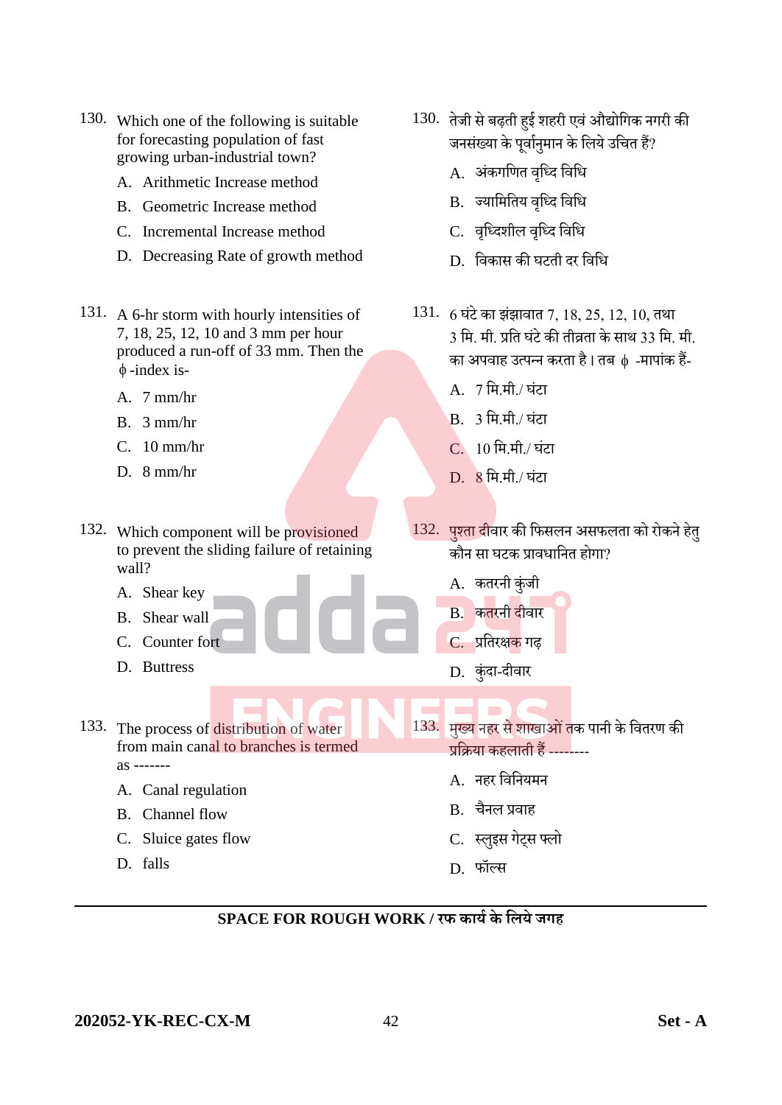- 130. Which one of the following is suitable for forecasting population of fast growing urban-industrial town?
	- A. Arithmetic Increase method
	- B. Geometric Increase method
	- C. Incremental Increase method
	- D. Decreasing Rate of growth method
- 131. A 6-hr storm with hourly intensities of 7, 18, 25, 12, 10 and 3 mm per hour produced a run-off of 33 mm. Then the -index is-
	- A. 7 mm/hr
	- B. 3 mm/hr
	- $C. 10$  mm/hr
	- D. 8 mm/hr

132. Which component will be provisioned to prevent the sliding failure of retaining wall?

B. Shear wall

A. Shear key

- C. Counter fort
- D. Buttress

133. The process of distribution of water from main canal to branches is termed as -------

- A. Canal regulation
- B. Channel flow
- C. Sluice gates flow
- D. falls
- 130. तेिी सेबढ़तीहुई शहरी एवुंऔद्योसगक नगरी की <sub>.</sub><br>जनसंख्या के पर्वानुमान के लिये उचित हैं?
	- A. अंकगणित वृध्दि विधि
	- B. ज्यामितिय वध्दि विधि
	- C. वृध्दिशील वृध्दि विधि
	- D. सवकास की घटती दर सवसि
- 131. 6 घुंटेका झुंझावात 7,18,25, 12, 10, तथा 3 मि. मी. प्रति घंटे की तीव्रता के साथ 33 मि. मी. का अपवाह उत्पन्न करता है। तब  $\phi$  -मापांक हैं-
	- A. 7 मि.मी./ घंटा
	- B. 3 मि.मी./ घंटा
	- $C = 10$  मि मी / घंटा
	- D. 8 मि.मी./ घंटा
- 132. पुश्ता दीवार की फिसलन असफलता को रोकने हेतु कौन सा घटक प्रावधानित होगा?
	- A. कतरनी कुंजी
	- B. कतरनी दीवार
	- C. प्रसतरक्षक गढ़
	- D. कुंदा-दीवार

**COL** 

133. मुख्य नहर से शाखाओं तक पानी के वितरण की प्रसिया कहलाती हैं --------

- A. नहर विनियमन
- B. र्ैनल प्रवाह
- C. स्लइुस गेट्स फ्लो
- D. फॉर्लस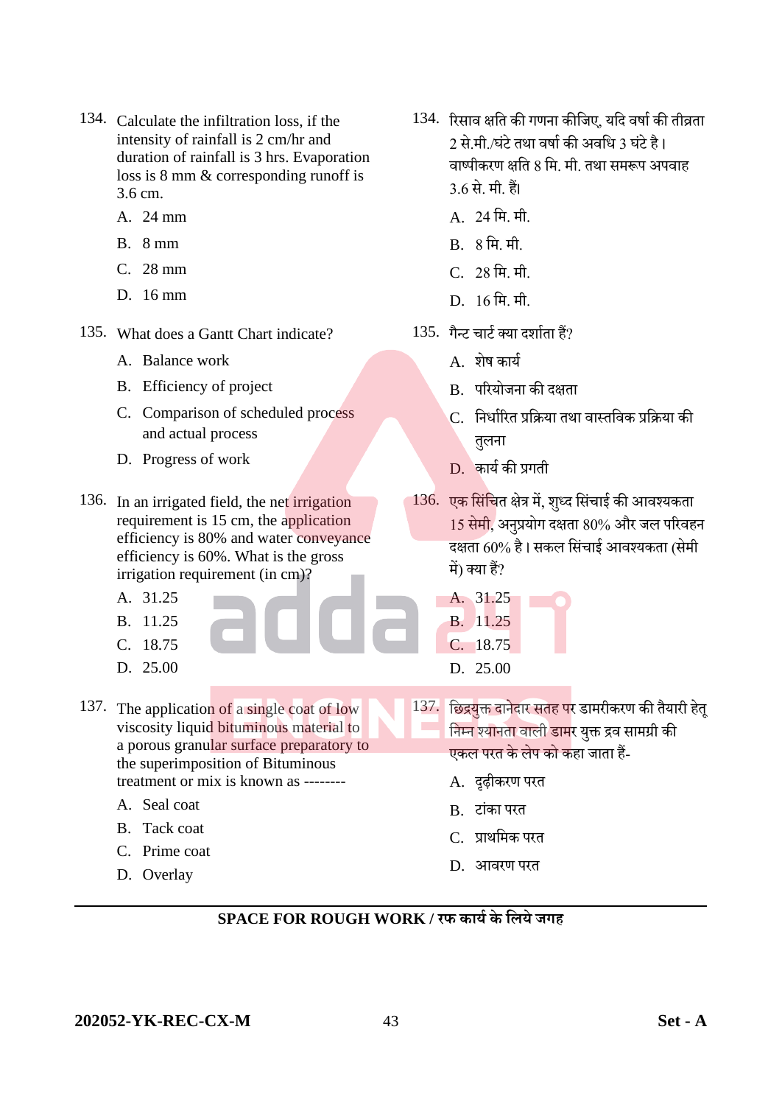- 134. Calculate the infiltration loss, if the intensity of rainfall is 2 cm/hr and duration of rainfall is 3 hrs. Evaporation loss is 8 mm & corresponding runoff is 3.6 cm.
	- A. 24 mm
	- B. 8 mm
	- C. 28 mm
	- D. 16 mm
- 135. What does a Gantt Chart indicate?
	- A. Balance work
	- B. Efficiency of project
	- C. Comparison of scheduled process and actual process
	- D. Progress of work
- 136. In an irrigated field, the net irrigation requirement is 15 cm, the application efficiency is 80% and water conveyance efficiency is 60%. What is the gross irrigation requirement (in cm)?
	- A. 31.25
	- B. 11.25
	- C. 18.75
	- D. 25.00
- 137. The application of a single coat of low viscosity liquid bituminous material to a porous granular surface preparatory to the superimposition of Bituminous treatment or mix is known as --------
	- A. Seal coat
	- B. Tack coat
	- C. Prime coat
	- D. Overlay
- 134. ररसाव क्षसत की गणना कीसिए, यसद वर्ाच की तीव्रता 2 से.मी./घुंटेतथा वर्ाचकी अवसि 3 घुंटेहै। वाष्पीकरण क्षति 8 मि. मी. तथा समरूप अपवाह 3.6 से. मी. हैं।
	- $A = 24 \text{ }\hat{H} = \text{ }\hat{H}$
	- B. 8 सम. मी.
	- C. 28 मि. मी.
	- D. 16 मि मी.
- $135.$  गैन्ट चार्ट क्या दर्शाता हैं?
	- $\overline{A}$  शेष कार्य
	- B. परियोजना की दक्षता
	- C. निर्धारित प्रक्रिया तथा वास्तविक प्रक्रिया की तुलना
	- D. कार्य की प्रगती
- 136. एक सिंचित क्षेत्र में, शृध्द सिंचाई की आवश्यकता 15 सेमी, अनुप्रयोग दक्षता 80% और जल परिवहन दक्षता 60% है। सकल सिंचाई आवश्यकता (सेमी में) क्या हैं?
	- A. 31.25 B. 11.25 C. 18.75 D. 25.00
- 137. छिद्र<mark>युक्त दानेदार सतह प</mark>र डामरीकरण की तैयारी हेतू सनम्न श्यानता वाली डामर यक्तु द्रव सामग्री की एकल परत के लेप को कहा िाता हैं-
	- A. दृढ़ीकरण परत
	- B. टांका परत
	- C. प्राथसमक परत
	- D. आवरण परत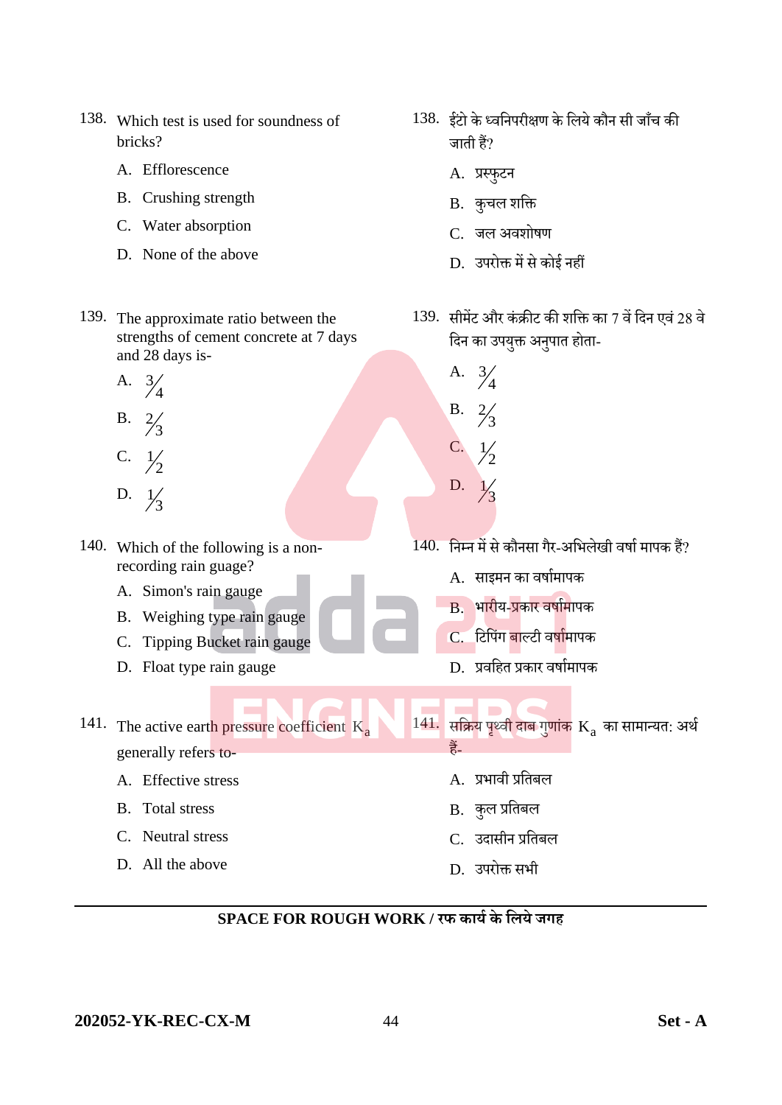- 138. Which test is used for soundness of bricks?
	- A. Efflorescence
	- B. Crushing strength
	- C. Water absorption
	- D. None of the above
- 139. The approximate ratio between the strengths of cement concrete at 7 days and 28 days is-
	- A. 3 4
	- B. 2 3
	- C. 1 2
	- D. 1 3

140. Which of the following is a nonrecording rain guage?

A. Simon's rain gauge

- B. Weighing type rain gauge
- C. Tipping Bucket rain gauge
- D. Float type rain gauge
- 141. The active earth pressure coefficient  $K_a$ generally refers to-
	- A. Effective stress
	- B. Total stress
	- C. Neutral stress
	- D. All the above
- 138. ईटो के ध्वनिपरीक्षण के लिये कौन सी जाँच की जाती हैं?
	- A. प्रस्फुटन

A. 3

B. 2 3

C. 1

D. 1

4

2

3

- B. कुर्ल शसक्त
- C. िल अवशोर्ण
- D. उपरोक्त में से कोई नहीं
- 139. सीमेंट और कंक्रीट की शक्ति का 7 वें दिन एवं 28 वे दिन का उपयुक्त अनुपात होता-

- $140.$  निम्न में से कौनसा गैर-अभिलेखी वर्षा मापक हैं?
	- A. साइमन का वर्ाचमापक
	- B. भारीय-प्रकार वर्ाचमापक
	- C. टिपिंग बाल्टी वर्षामापक
	- D. प्रवसहत प्रकार वर्ाचमापक
- $\frac{141}{4}$  सक्रिय पृथ्वी दाब गुणांक  $\mathbf{K}_{\mathbf{a}}$  का सामान्यत: अर्थ हैं-
	- A. प्रभावी प्रसतबल
	- B. कुल प्रसतबल
	- C. उदासीन प्रसतबल
	- D. उपरोक्त सभी

#### **SPACE FOR ROUGH WORK / रफ कार्यके लिर्े जगह**

#### **202052-YK-REC-CX-M** 44 **Set - A**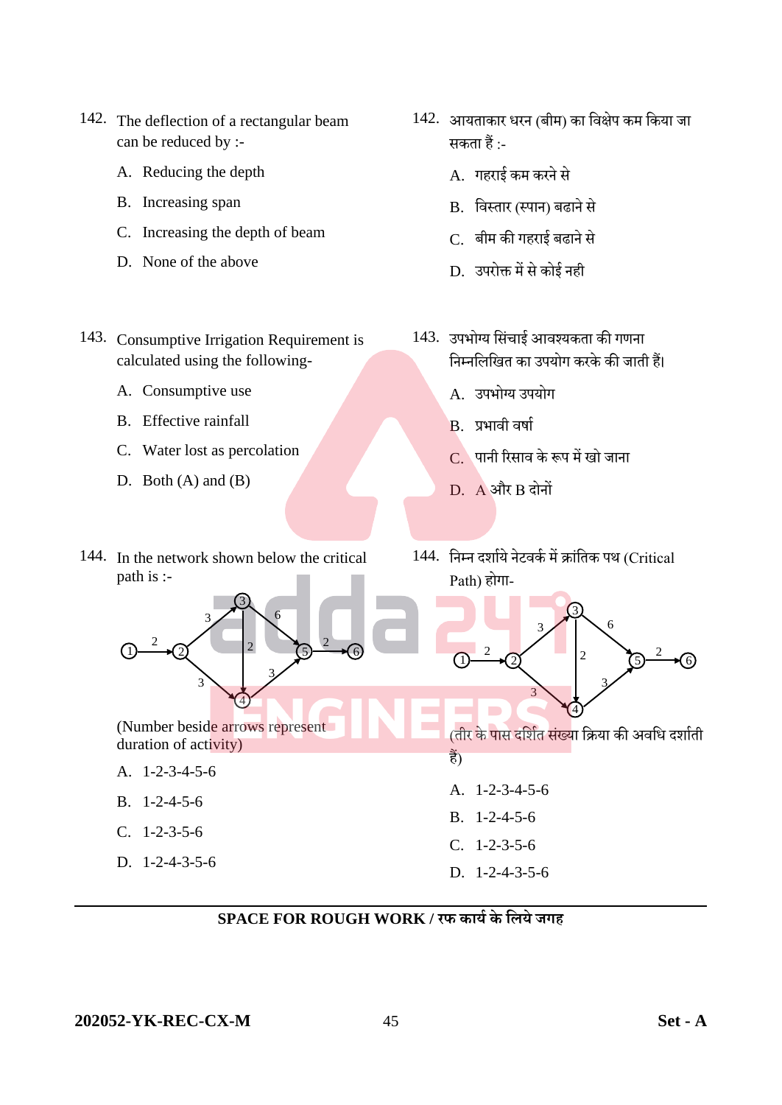- 142. The deflection of a rectangular beam can be reduced by :-
	- A. Reducing the depth
	- B. Increasing span
	- C. Increasing the depth of beam
	- D. None of the above
- 143. Consumptive Irrigation Requirement is calculated using the following-
	- A. Consumptive use
	- B. Effective rainfall
	- C. Water lost as percolation
	- D. Both  $(A)$  and  $(B)$
- 144. In the network shown below the critical path is :-
- 142. आयताकार धरन (बीम) का विक्षेप कम किया जा सकता हैं :-
	- A. गहराई कम करने से
	- B. सवस्तार (स्पान) बढाने से
	- C. बीम की गहराई बढाने से
	- D. उपरोक्त में से कोई नही
- 143. उपभोग्य सिंचाई आवश्यकता की गणना सनम्नसलसित का उपयोग करके की िाती हैं।
	- A. उपभोग्य उपयोग
	- B. प्रभावी वर्षा
	- $\overline{C}$ े पानी रिसाव के रूप में खो जाना
	- D. A और B दोनों
- 144. निम्न दर्शाये नेटवर्क में क्रांतिक पथ (Critical Path) होगा-

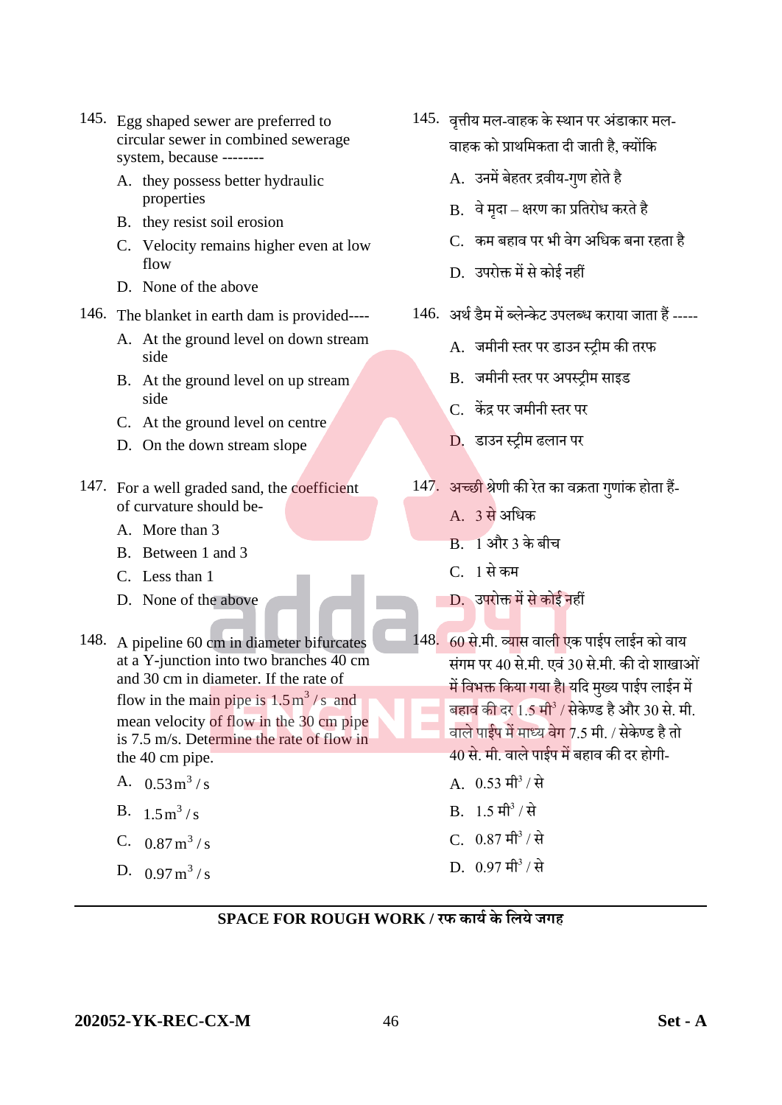- 145. Egg shaped sewer are preferred to circular sewer in combined sewerage system, because --------
	- A. they possess better hydraulic properties
	- B. they resist soil erosion
	- C. Velocity remains higher even at low flow
	- D. None of the above
- 146. The blanket in earth dam is provided----
	- A. At the ground level on down stream side
	- B. At the ground level on up stream side
	- C. At the ground level on centre
	- D. On the down stream slope
- 147. For a well graded sand, the coefficient of curvature should be-
	- A. More than 3
	- B. Between 1 and 3
	- C. Less than 1
	- D. None of the above
- 148. A pipeline 60 cm in diameter bifurcates at a Y-junction into two branches 40 cm and 30 cm in diameter. If the rate of flow in the main pipe is  $1.5 \text{ m}^3/\text{s}$  and mean velocity of flow in the 30 cm pipe is 7.5 m/s. Determine the rate of flow in the 40 cm pipe.
	- A.  $0.53 \,\mathrm{m^3/s}$
	- B.  $1.5 \,\mathrm{m}^3/\mathrm{s}$
	- C.  $0.87 \,\mathrm{m^3/s}$
	- D.  $0.97 \,\mathrm{m^3/s}$
- 145. वृत्तीय मल-वाहक के स्थान पर अंडाकार मल-वाहक को प्राथमिकता दी जाती है, क्योंकि
	- A. उनमें बेहतर द्रवीय-गणु होतेहै
	- B. वे मदा क्षरण का प्रतिरोध करते है
	- C. कम बहाव पर भी वेग असिक बना रहता है
	- D. उपरोक्त में से कोई नहीं
- 146. अर्थ डैम में ब्लेन्केट उपलब्ध कराया जाता हैं -----
	- A. िमीनी स्तर पर डाउन स्रीम की तरफ
	- B. िमीनी स्तर पर अपस्रीम साइड
	- C. केंद्र पर जमीनी स्तर पर
	- D. डाउन स्रीम ढलान पर
- 147. अच्छी श्रेणी की रेत का वक्रता गणांक होता हैं-
	- A. 3 से असिक
	- B. 1 और 3 के बीर्
	- C. 1 से कम
	- D. उपरोक्त में से कोई नहीं
- 148. 60 से.मी. व्यास वाली एक पाईप लाईन को वाय संगम पर 40 से.मी. एवं 30 से.मी. की दो शाखाओं <u>में विभक्त किया गया है। यदि मख्य पाईप लाईन में</u> बहा<mark>व</mark> की दर 1.5 मी<sup>3</sup> / सेकेण्ड है और 30 से. मी. वाले पाईप में माध्य वेग 7.5 मी. / सेके ण्ड हैतो 40 से. मी. वाले पाईप में बहाव की दर होगी-
	- A.  $0.53 \text{ H}^3 / \text{R}$
	- B.  $1.5 \text{ H}^3 / \text{R}$
	- C. 0.87 मी<sup>3</sup> / से
	- D. 0.97 मी<sup>3</sup> / से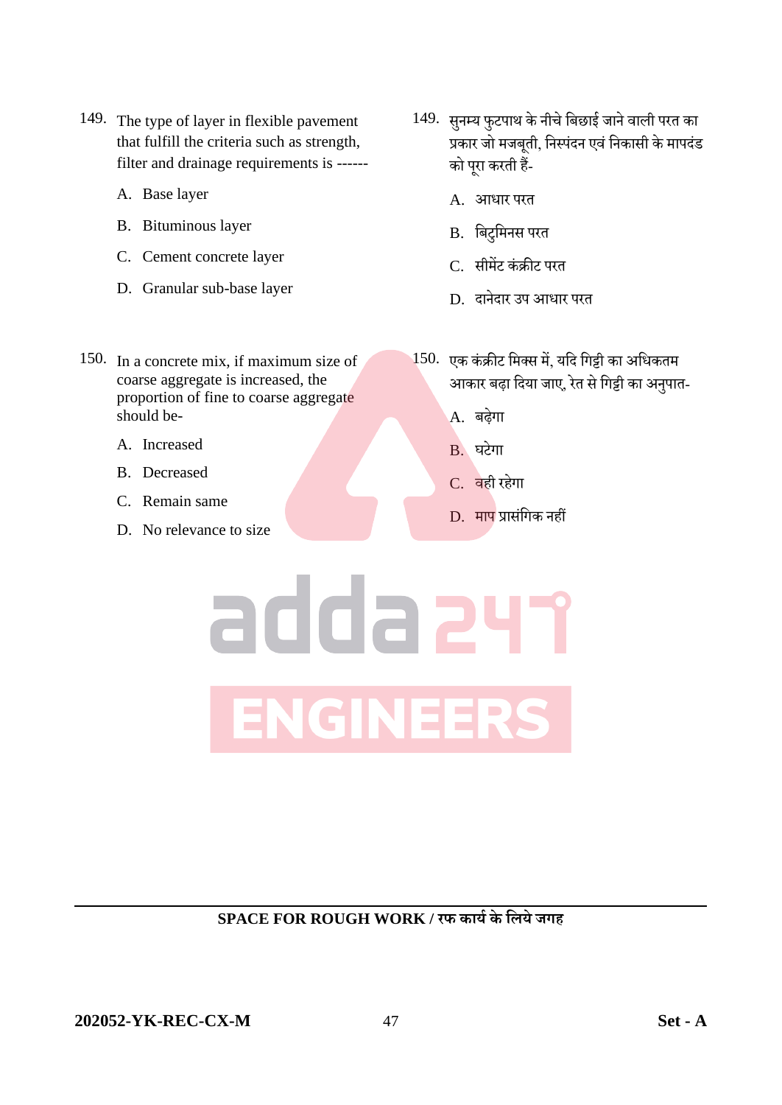- 149. The type of layer in flexible pavement that fulfill the criteria such as strength, filter and drainage requirements is ------
	- A. Base layer
	- B. Bituminous layer
	- C. Cement concrete layer
	- D. Granular sub-base layer
- 150. In a concrete mix, if maximum size of coarse aggregate is increased, the proportion of fine to coarse aggregate should be-
	- A. Increased
	- B. Decreased
	- C. Remain same
	- D. No relevance to size
- 149. सुनम्य फुटपाथ के नीचे बिछाई जाने वाली परत का प्रकार िो मिबूती, सनस्पुंदन एवुं सनकासी केमापदडुं को परा करती हैं-
	- A. आिार परत
	- B. सबटुसमनस परत
	- C. सीमेंट कुंिीट परत
	- D. दानेदार उप आिार परत
- 150. एक कंक्रीट मिक्स में, यदि गिट्टी का अधिकतम आकार बढ़ा दिया जाए, रेत से गिट्टी का अनुपात-
	- A. बढ़ेगा
	- B. घटेगा
	- C. वही रहेगा
	- D. माप प्रासुंसगक नहीं
- adda 24 **ENGINEERS**